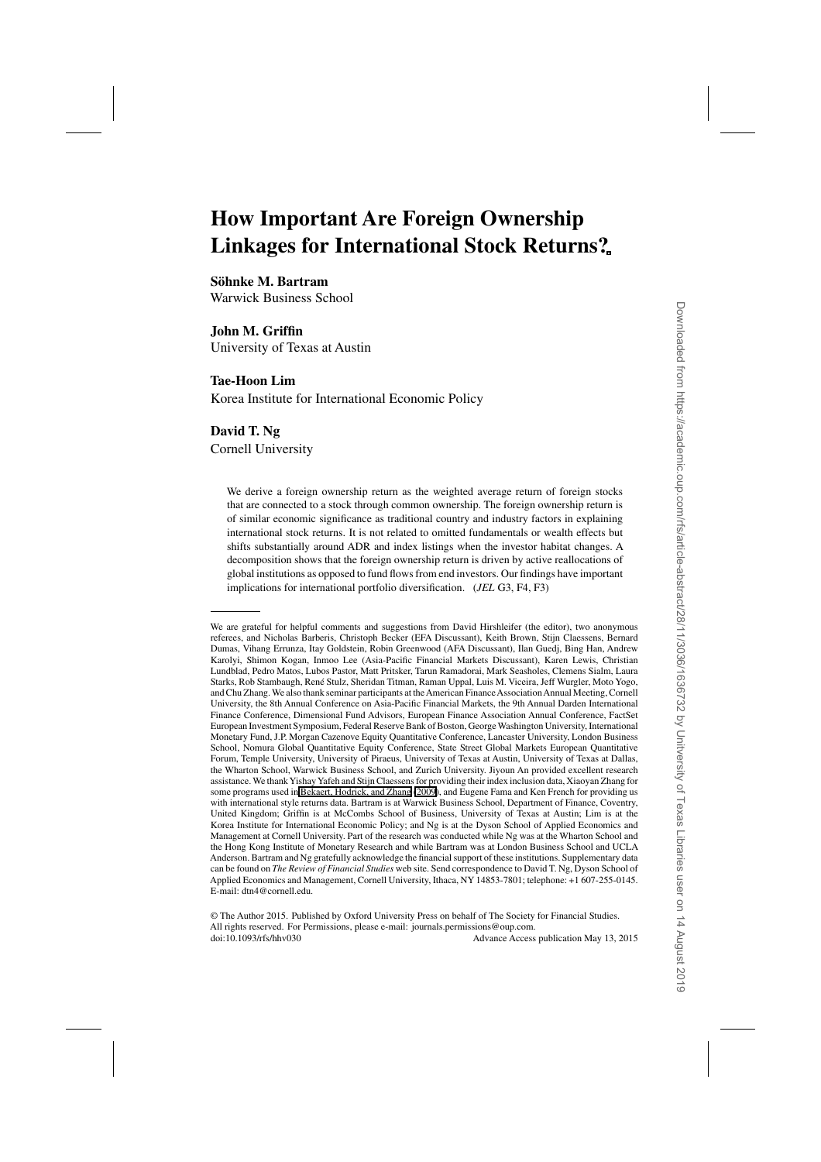# **How Important Are Foreign Ownership Linkages for International Stock Returns?**

**Söhnke M. Bartram**

Warwick Business School

# **John M. Griffin**

University of Texas at Austin

# **Tae-Hoon Lim**

Korea Institute for International Economic Policy

# **David T. Ng**

Cornell University

We derive a foreign ownership return as the weighted average return of foreign stocks that are connected to a stock through common ownership. The foreign ownership return is of similar economic significance as traditional country and industry factors in explaining international stock returns. It is not related to omitted fundamentals or wealth effects but shifts substantially around ADR and index listings when the investor habitat changes. A decomposition shows that the foreign ownership return is driven by active reallocations of global institutions as opposed to fund flows from end investors. Our findings have important implications for international portfolio diversification. (*JEL* G3, F4, F3)

We are grateful for helpful comments and suggestions from David Hirshleifer (the editor), two anonymous referees, and Nicholas Barberis, Christoph Becker (EFA Discussant), Keith Brown, Stijn Claessens, Bernard Dumas, Vihang Errunza, Itay Goldstein, Robin Greenwood (AFA Discussant), Ilan Guedj, Bing Han, Andrew Karolyi, Shimon Kogan, Inmoo Lee (Asia-Pacific Financial Markets Discussant), Karen Lewis, Christian Lundblad, Pedro Matos, Lubos Pastor, Matt Pritsker, Tarun Ramadorai, Mark Seasholes, Clemens Sialm, Laura Starks, Rob Stambaugh, René Stulz, Sheridan Titman, Raman Uppal, Luis M. Viceira, Jeff Wurgler, Moto Yogo, and Chu Zhang. We also thank seminar participants at the American Finance Association Annual Meeting, Cornell University, the 8th Annual Conference on Asia-Pacific Financial Markets, the 9th Annual Darden International Finance Conference, Dimensional Fund Advisors, European Finance Association Annual Conference, FactSet European Investment Symposium, Federal Reserve Bank of Boston, GeorgeWashington University, International Monetary Fund, J.P. Morgan Cazenove Equity Quantitative Conference, Lancaster University, London Business School, Nomura Global Quantitative Equity Conference, State Street Global Markets European Quantitative Forum, Temple University, University of Piraeus, University of Texas at Austin, University of Texas at Dallas, the Wharton School, Warwick Business School, and Zurich University. Jiyoun An provided excellent research assistance.We thank Yishay Yafeh and Stijn Claessens for providing their index inclusion data, Xiaoyan Zhang for some programs used in [Bekaert, Hodrick, and Zhang](#page-33-0) [\(2009\)](#page-33-0), and Eugene Fama and Ken French for providing us with international style returns data. Bartram is at Warwick Business School, Department of Finance, Coventry, United Kingdom; Griffin is at McCombs School of Business, University of Texas at Austin; Lim is at the Korea Institute for International Economic Policy; and Ng is at the Dyson School of Applied Economics and Management at Cornell University. Part of the research was conducted while Ng was at the Wharton School and the Hong Kong Institute of Monetary Research and while Bartram was at London Business School and UCLA Anderson. Bartram and Ng gratefully acknowledge the financial support of these institutions. Supplementary data can be found on *The Review of Financial Studies* web site. Send correspondence to David T. Ng, Dyson School of Applied Economics and Management, Cornell University, Ithaca, NY 14853-7801; telephone: +1 607-255-0145. E-mail: dtn4@cornell.edu.

<sup>©</sup> The Author 2015. Published by Oxford University Press on behalf of The Society for Financial Studies. All rights reserved. For Permissions, please e-mail: journals.permissions@oup.com. doi:10.1093/rfs/hhv030 Advance Access publication May 13, 2015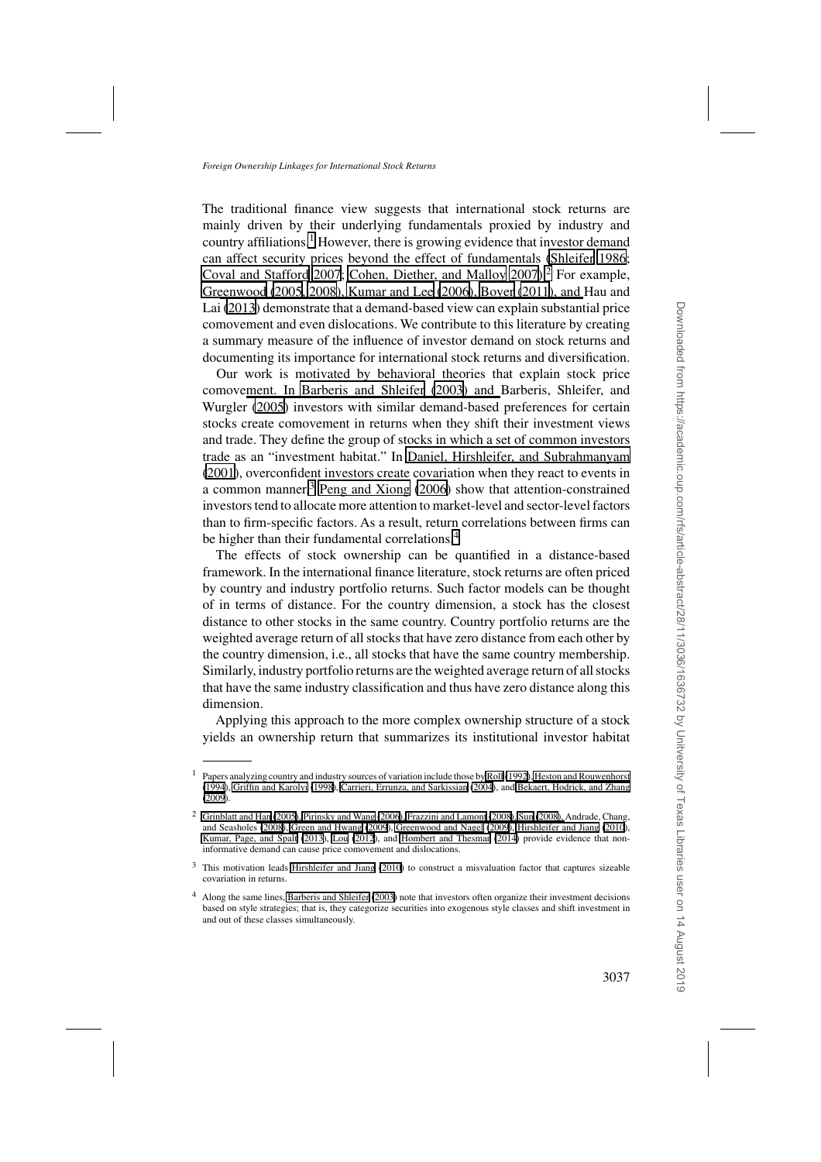The traditional finance view suggests that international stock returns are mainly driven by their underlying fundamentals proxied by industry and country affiliations.<sup>1</sup> However, there is growing evidence that investor demand can affect security prices beyond the effect of fundamentals [\(Shleifer 1986;](#page-36-0) [Coval and Stafford 2007; Cohen, Diether, and Malloy 2007\)](#page-34-0).<sup>2</sup> For example, [Greenwood \(2005, 2008\),](#page-35-0) [Kumar and Lee](#page-36-0)[\(2006](#page-36-0)[\),](#page-35-0) [Boyer](#page-34-0)[\(2011](#page-34-0)[\), and](#page-35-0) Hau and Lai [\(2013](#page-35-0)) demonstrate that a demand-based view can explain substantial price comovement and even dislocations. We contribute to this literature by creating a summary measure of the influence of investor demand on stock returns and documenting its importance for international stock returns and diversification.

Our work is motivated by behavioral theories that explain stock price comove[ment. In Barberis and Shleifer \(2003\) and](#page-33-0) Barberis, Shleifer, and Wurgler [\(2005\)](#page-33-0) investors with similar demand-based preferences for certain stocks create comovement in returns when they shift their investment views and trade. They define the group of stocks in which a set of common investors trade as an "investment habitat." In [Daniel, Hirshleifer, and Subrahmanyam](#page-34-0) [\(2001\)](#page-34-0), overconfident investors create covariation when they react to events in a common manner.<sup>3</sup> [Peng and Xiong](#page-36-0) [\(2006](#page-36-0)) show that attention-constrained investors tend to allocate more attention to market-level and sector-level factors than to firm-specific factors. As a result, return correlations between firms can be higher than their fundamental correlations.<sup>4</sup>

The effects of stock ownership can be quantified in a distance-based framework. In the international finance literature, stock returns are often priced by country and industry portfolio returns. Such factor models can be thought of in terms of distance. For the country dimension, a stock has the closest distance to other stocks in the same country. Country portfolio returns are the weighted average return of all stocks that have zero distance from each other by the country dimension, i.e., all stocks that have the same country membership. Similarly, industry portfolio returns are the weighted average return of all stocks that have the same industry classification and thus have zero distance along this dimension.

Applying this approach to the more complex ownership structure of a stock yields an ownership return that summarizes its institutional investor habitat

<sup>1</sup> Papers analyzing country and industry sources of variation include those by [Roll](#page-36-0) [\(1992](#page-36-0))[, Heston and Rouwenhorst](#page-35-0) [\(1994\)](#page-35-0), [Griffin and Karolyi](#page-35-0) [\(1998](#page-35-0)), [Carrieri, Errunza, and Sarkissian](#page-34-0) [\(2004\)](#page-34-0), and [Bekaert, Hodrick, and Zhang](#page-33-0) [\(2009\)](#page-33-0).

<sup>2</sup> [Grinblatt and Han](#page-35-0)[\(2005](#page-35-0)[\),](#page-33-0) [Pirinsky and Wang](#page-36-0)[\(2006](#page-36-0)[\),](#page-33-0) [Frazzini and Lamont](#page-34-0)[\(2008](#page-34-0)[\),](#page-33-0) [Sun](#page-36-0)[\(2008](#page-36-0)[\),](#page-33-0) Andrade, Chang, and Seasholes [\(2008\)](#page-33-0), [Green and Hwang](#page-35-0) [\(2009\)](#page-35-0), [Greenwood and Nagel](#page-35-0) [\(2009\)](#page-35-0), [Hirshleifer and Jiang \(2010](#page-35-0)), [Kumar, Page, and Spalt](#page-36-0) [\(2013](#page-36-0)), [Lou](#page-36-0) [\(2012](#page-36-0)), and [Hombert and Thesmar](#page-35-0) [\(2014](#page-35-0)) provide evidence that noninformative demand can cause price comovement and dislocations.

<sup>&</sup>lt;sup>3</sup> This motivation leads [Hirshleifer and Jiang](#page-35-0) [\(2010\)](#page-35-0) to construct a misvaluation factor that captures sizeable covariation in returns.

<sup>4</sup> Along the same lines, [Barberis and Shleifer \(2003](#page-33-0)) note that investors often organize their investment decisions based on style strategies; that is, they categorize securities into exogenous style classes and shift investment in and out of these classes simultaneously.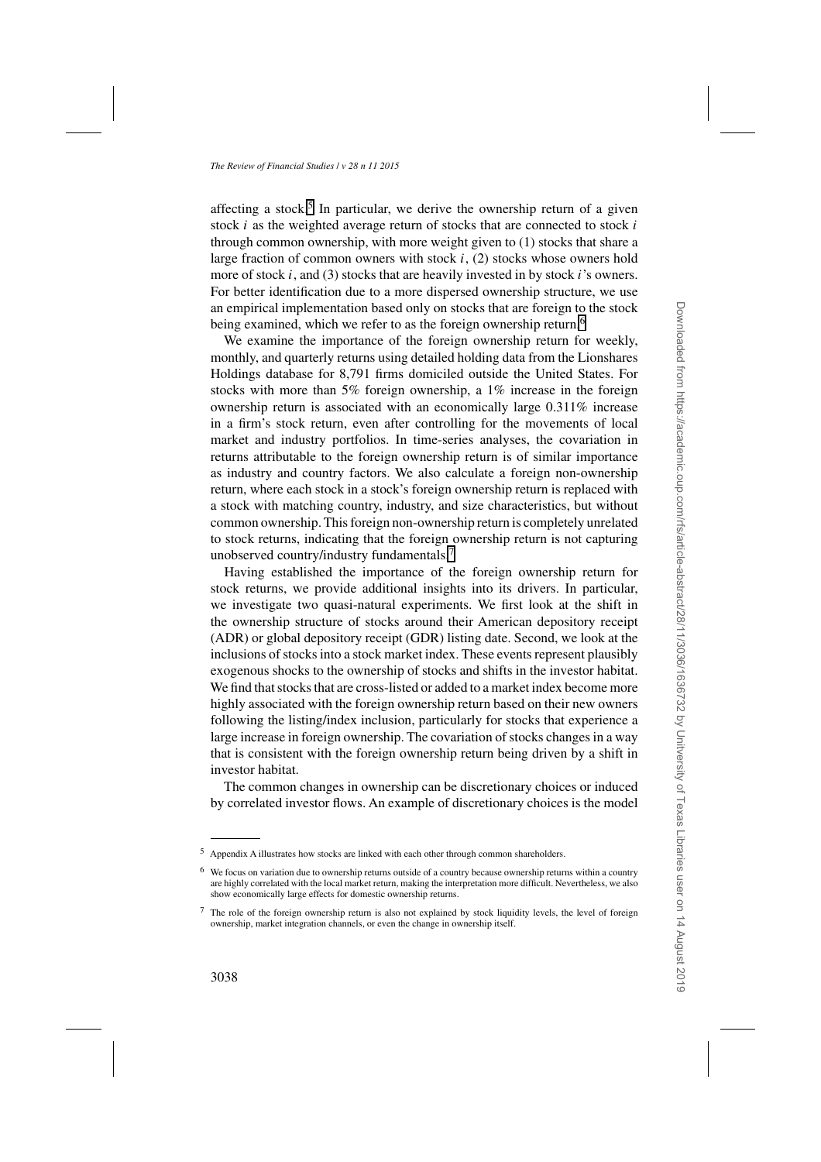affecting a stock.<sup>5</sup> In particular, we derive the ownership return of a given stock *i* as the weighted average return of stocks that are connected to stock *i* through common ownership, with more weight given to (1) stocks that share a large fraction of common owners with stock *i*, (2) stocks whose owners hold more of stock *i*, and (3) stocks that are heavily invested in by stock *i*'s owners. For better identification due to a more dispersed ownership structure, we use an empirical implementation based only on stocks that are foreign to the stock being examined, which we refer to as the foreign ownership return.<sup>6</sup>

We examine the importance of the foreign ownership return for weekly, monthly, and quarterly returns using detailed holding data from the Lionshares Holdings database for 8,791 firms domiciled outside the United States. For stocks with more than 5% foreign ownership, a 1% increase in the foreign ownership return is associated with an economically large 0.311% increase in a firm's stock return, even after controlling for the movements of local market and industry portfolios. In time-series analyses, the covariation in returns attributable to the foreign ownership return is of similar importance as industry and country factors. We also calculate a foreign non-ownership return, where each stock in a stock's foreign ownership return is replaced with a stock with matching country, industry, and size characteristics, but without common ownership. This foreign non-ownership return is completely unrelated to stock returns, indicating that the foreign ownership return is not capturing unobserved country/industry fundamentals.<sup>7</sup>

Having established the importance of the foreign ownership return for stock returns, we provide additional insights into its drivers. In particular, we investigate two quasi-natural experiments. We first look at the shift in the ownership structure of stocks around their American depository receipt (ADR) or global depository receipt (GDR) listing date. Second, we look at the inclusions of stocks into a stock market index. These events represent plausibly exogenous shocks to the ownership of stocks and shifts in the investor habitat. We find that stocks that are cross-listed or added to a market index become more highly associated with the foreign ownership return based on their new owners following the listing/index inclusion, particularly for stocks that experience a large increase in foreign ownership. The covariation of stocks changes in a way that is consistent with the foreign ownership return being driven by a shift in investor habitat.

The common changes in ownership can be discretionary choices or induced by correlated investor flows. An example of discretionary choices is the model

<sup>5</sup> Appendix A illustrates how stocks are linked with each other through common shareholders.

<sup>6</sup> We focus on variation due to ownership returns outside of a country because ownership returns within a country are highly correlated with the local market return, making the interpretation more difficult. Nevertheless, we also show economically large effects for domestic ownership returns.

<sup>&</sup>lt;sup>7</sup> The role of the foreign ownership return is also not explained by stock liquidity levels, the level of foreign ownership, market integration channels, or even the change in ownership itself.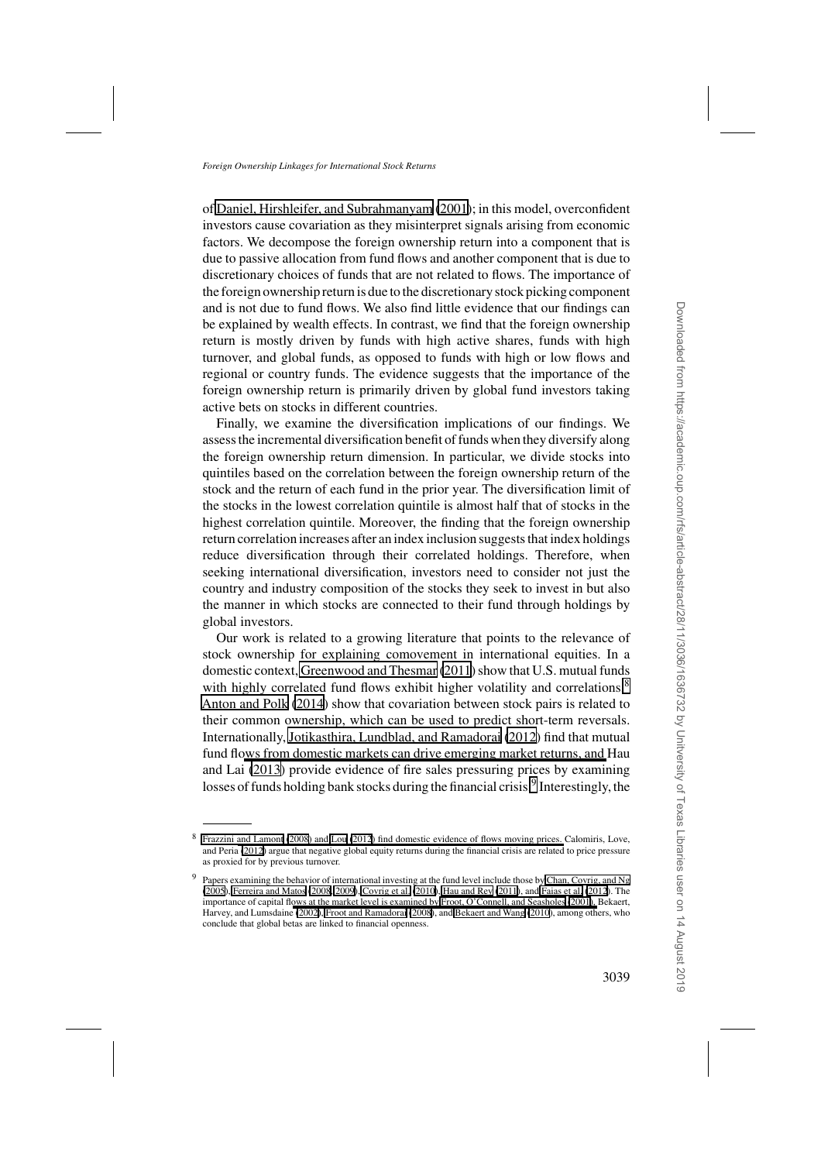of [Daniel, Hirshleifer, and Subrahmanyam](#page-34-0) [\(2001\)](#page-34-0); in this model, overconfident investors cause covariation as they misinterpret signals arising from economic factors. We decompose the foreign ownership return into a component that is due to passive allocation from fund flows and another component that is due to discretionary choices of funds that are not related to flows. The importance of the foreign ownership return is due to the discretionary stock picking component and is not due to fund flows. We also find little evidence that our findings can be explained by wealth effects. In contrast, we find that the foreign ownership return is mostly driven by funds with high active shares, funds with high turnover, and global funds, as opposed to funds with high or low flows and regional or country funds. The evidence suggests that the importance of the foreign ownership return is primarily driven by global fund investors taking active bets on stocks in different countries.

Finally, we examine the diversification implications of our findings. We assess the incremental diversification benefit of funds when they diversify along the foreign ownership return dimension. In particular, we divide stocks into quintiles based on the correlation between the foreign ownership return of the stock and the return of each fund in the prior year. The diversification limit of the stocks in the lowest correlation quintile is almost half that of stocks in the highest correlation quintile. Moreover, the finding that the foreign ownership return correlation increases after an index inclusion suggests that index holdings reduce diversification through their correlated holdings. Therefore, when seeking international diversification, investors need to consider not just the country and industry composition of the stocks they seek to invest in but also the manner in which stocks are connected to their fund through holdings by global investors.

Our work is related to a growing literature that points to the relevance of stock ownership for explaining comovement in international equities. In a domestic context, [Greenwood and Thesmar](#page-35-0) [\(2011](#page-35-0)) show that U.S. mutual funds with highly correlated fund flows exhibit higher volatility and correlations.<sup>8</sup> [Anton and Polk](#page-33-0) [\(2014](#page-33-0)) show that covariation between stock pairs is related to their common ownership, which can be used to predict short-term reversals. Internationally, [Jotikasthira, Lundblad, and Ramadorai](#page-35-0) [\(2012](#page-35-0)) find that mutual fund fl[ows from domestic markets can drive emerging market returns, and](#page-35-0) Hau and Lai [\(2013](#page-35-0)) provide evidence of fire sales pressuring prices by examining losses of funds holding bank stocks during the financial crisis.<sup>9</sup> Interestingly, the

<sup>8</sup> [Frazzini and Lamont](#page-34-0) [\(2008\)](#page-34-0) [and](#page-34-0) [Lou \(2012](#page-36-0)[\)](#page-34-0) [find](#page-34-0) [domestic](#page-34-0) [evidence](#page-34-0) [of](#page-34-0) [flows](#page-34-0) [moving](#page-34-0) [prices.](#page-34-0) Calomiris, Love, and Peria [\(2012\)](#page-34-0) argue that negative global equity returns during the financial crisis are related to price pressure as proxied for by previous turnover.

<sup>9</sup> Papers examining the behavior of international investing at the fund level include those by [Chan, Covrig, and Ng](#page-34-0) [\(2005\)](#page-34-0), [Ferreira and Matos](#page-34-0) [\(2008](#page-34-0), [2009\)](#page-34-0), [Covrig et al.](#page-34-0) [\(2010](#page-34-0)), [Hau and Rey](#page-35-0) [\(2011\)](#page-35-0), and [Faias et al.](#page-34-0) [\(2012](#page-34-0)). The importance of capital fl[ows at the market level is examined by](#page-33-0) [Froot, O'Connell, and Seasholes](#page-35-0)[\(2001](#page-35-0)[\),](#page-33-0) Bekaert, Harvey, and Lumsdaine [\(2002](#page-33-0)), [Froot and Ramadorai \(2008](#page-35-0)), and [Bekaert and Wang](#page-34-0) [\(2010](#page-34-0)), among others, who conclude that global betas are linked to financial openness.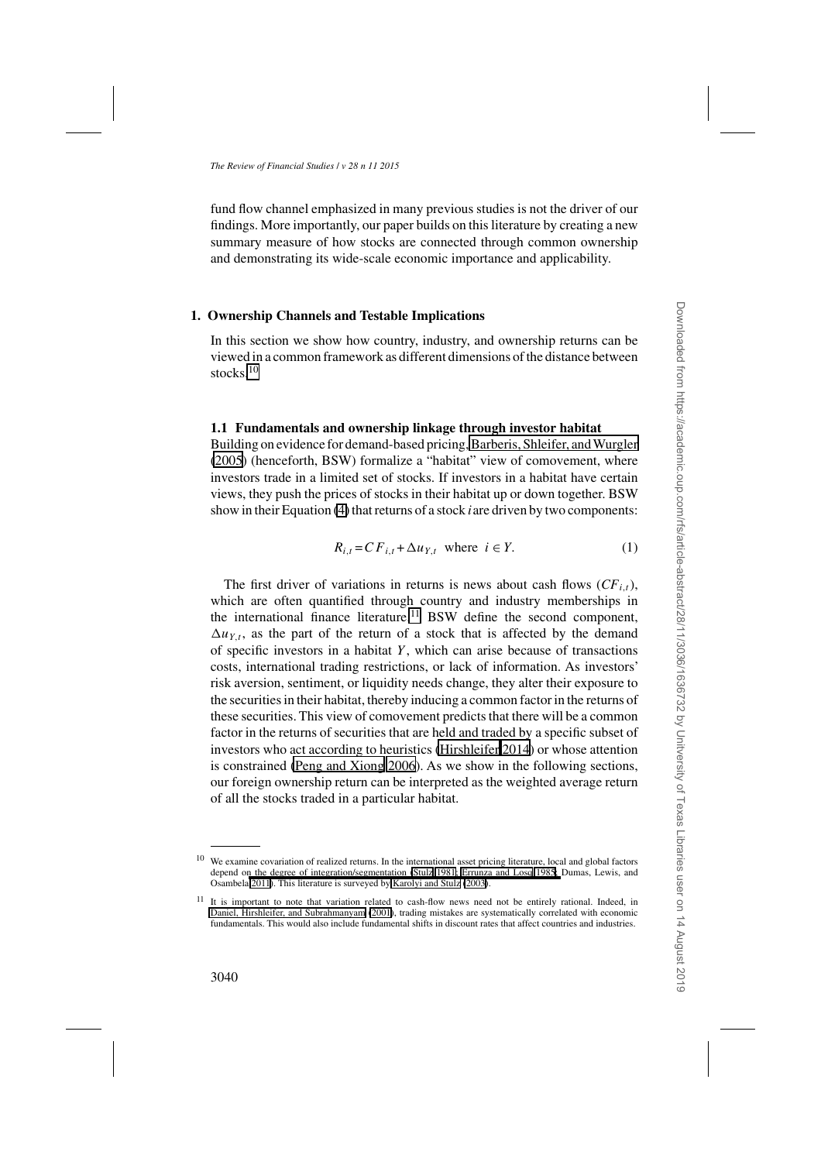<span id="page-4-0"></span>fund flow channel emphasized in many previous studies is not the driver of our findings. More importantly, our paper builds on this literature by creating a new summary measure of how stocks are connected through common ownership and demonstrating its wide-scale economic importance and applicability.

# **1. Ownership Channels and Testable Implications**

In this section we show how country, industry, and ownership returns can be viewed in a common framework as different dimensions of the distance between stocks.<sup>10</sup>

# **1.1 Fundamentals and ownership linkage through investor habitat**

Building on evidence for demand-based pricing, Barberis, Shleifer, and Wurgler [\(2005\)](#page-33-0) (henceforth, BSW) formalize a "habitat" view of comovement, where investors trade in a limited set of stocks. If investors in a habitat have certain views, they push the prices of stocks in their habitat up or down together. BSW show in their Equation [\(4\)](#page-5-0) that returns of a stock *i*are driven by two components:

$$
R_{i,t} = C F_{i,t} + \Delta u_{Y,t} \text{ where } i \in Y. \tag{1}
$$

The first driver of variations in returns is news about cash flows  $(CF_{i,t})$ , which are often quantified through country and industry memberships in the international finance literature.<sup>11</sup> BSW define the second component,  $\Delta u_{Y,t}$ , as the part of the return of a stock that is affected by the demand of specific investors in a habitat *Y* , which can arise because of transactions costs, international trading restrictions, or lack of information. As investors' risk aversion, sentiment, or liquidity needs change, they alter their exposure to the securities in their habitat, thereby inducing a common factor in the returns of these securities. This view of comovement predicts that there will be a common factor in the returns of securities that are held and traded by a specific subset of investors who act according to heuristics [\(Hirshleifer 2014\)](#page-35-0) or whose attention is constrained [\(Peng and Xiong 2006\)](#page-36-0). As we show in the following sections, our foreign ownership return can be interpreted as the weighted average return of all the stocks traded in a particular habitat.

<sup>10</sup> We examine covariation of realized returns. In the international asset pricing literature, local and global factors depend o[n](#page-34-0) [the](#page-34-0) [degree](#page-34-0) [of](#page-34-0) [integration/segmentation](#page-34-0) [\(Stulz 1981](#page-36-0)[; Errunza and Losq 1985;](#page-34-0) Dumas, Lewis, and Osambela [2011\)](#page-34-0). This literature is surveyed by [Karolyi and Stulz](#page-35-0) [\(2003\)](#page-35-0).

<sup>&</sup>lt;sup>11</sup> It is important to note that variation related to cash-flow news need not be entirely rational. Indeed, in [Daniel, Hirshleifer, and Subrahmanyam](#page-34-0) [\(2001](#page-34-0)), trading mistakes are systematically correlated with economic fundamentals. This would also include fundamental shifts in discount rates that affect countries and industries.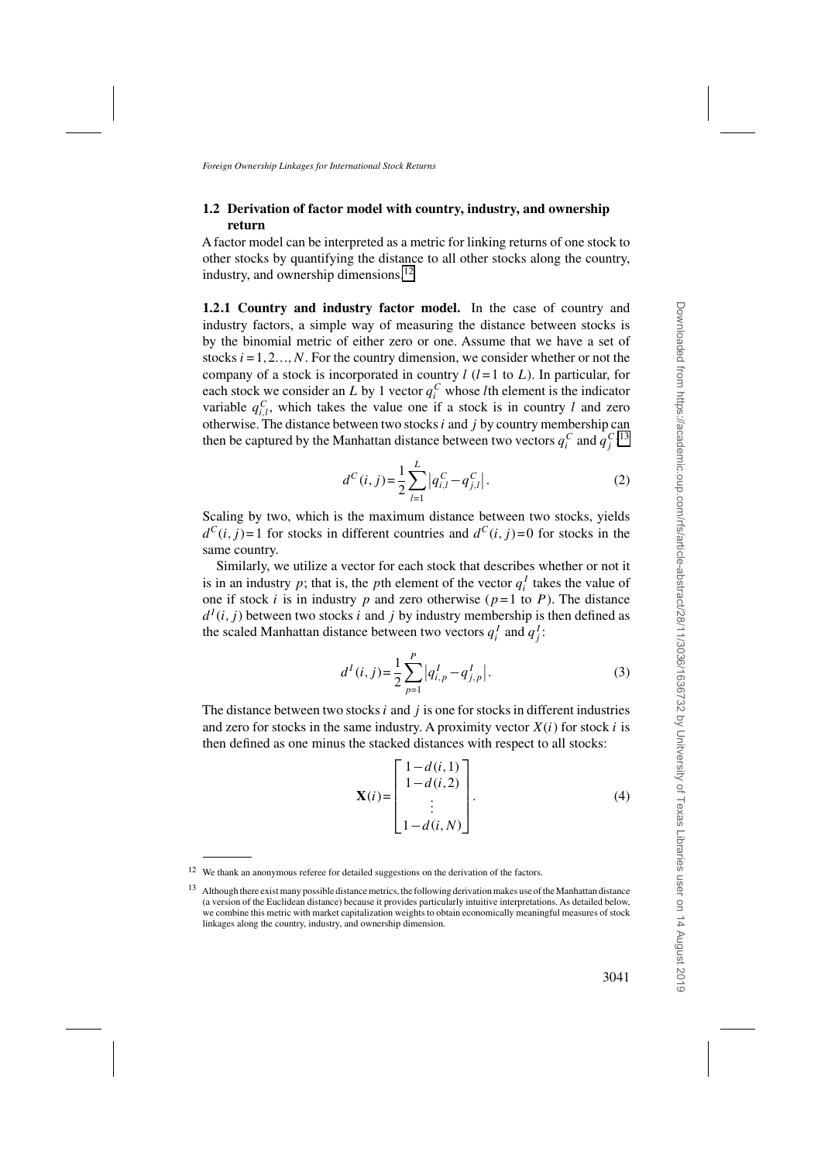# <span id="page-5-0"></span>**1.2 Derivation of factor model with country, industry, and ownership return**

A factor model can be interpreted as a metric for linking returns of one stock to other stocks by quantifying the distance to all other stocks along the country, industry, and ownership dimensions. $^{12}$ 

**1.2.1 Country and industry factor model.** In the case of country and industry factors, a simple way of measuring the distance between stocks is by the binomial metric of either zero or one. Assume that we have a set of stocks  $i = 1, 2, ..., N$ . For the country dimension, we consider whether or not the company of a stock is incorporated in country  $l$  ( $l = 1$  to  $L$ ). In particular, for each stock we consider an *L* by 1 vector  $q_i^C$  whose *l*th element is the indicator variable  $q_{i,l}^C$ , which takes the value one if a stock is in country *l* and zero otherwise. The distance between two stocks*i* and *j* by country membership can then be captured by the Manhattan distance between two vectors  $q_i^C$  and  $q_j^C$ :<sup>13</sup>

$$
d^{C}(i, j) = \frac{1}{2} \sum_{l=1}^{L} |q_{i,l}^{C} - q_{j,l}^{C}|.
$$
 (2)

Scaling by two, which is the maximum distance between two stocks, yields  $d^{C}(i, j) = 1$  for stocks in different countries and  $d^{C}(i, j) = 0$  for stocks in the same country.

Similarly, we utilize a vector for each stock that describes whether or not it is in an industry  $p$ ; that is, the  $p$ th element of the vector  $q_i^I$  takes the value of one if stock *i* is in industry *p* and zero otherwise ( $p=1$  to *P*). The distance  $d^{I}(i, j)$  between two stocks *i* and *j* by industry membership is then defined as the scaled Manhattan distance between two vectors  $q_i^I$  and  $q_j^I$ :

$$
d^{I}(i,j) = \frac{1}{2} \sum_{p=1}^{P} |q^{I}_{i,p} - q^{I}_{j,p}|.
$$
 (3)

The distance between two stocks *i* and *j* is one for stocks in different industries and zero for stocks in the same industry. A proximity vector  $X(i)$  for stock *i* is then defined as one minus the stacked distances with respect to all stocks:

$$
\mathbf{X}(i) = \begin{bmatrix} 1 - d(i, 1) \\ 1 - d(i, 2) \\ \vdots \\ 1 - d(i, N) \end{bmatrix} .
$$
 (4)

<sup>&</sup>lt;sup>12</sup> We thank an anonymous referee for detailed suggestions on the derivation of the factors.

<sup>&</sup>lt;sup>13</sup> Although there exist many possible distance metrics, the following derivation makes use of the Manhattan distance (a version of the Euclidean distance) because it provides particularly intuitive interpretations. As detailed below, we combine this metric with market capitalization weights to obtain economically meaningful measures of stock linkages along the country, industry, and ownership dimension.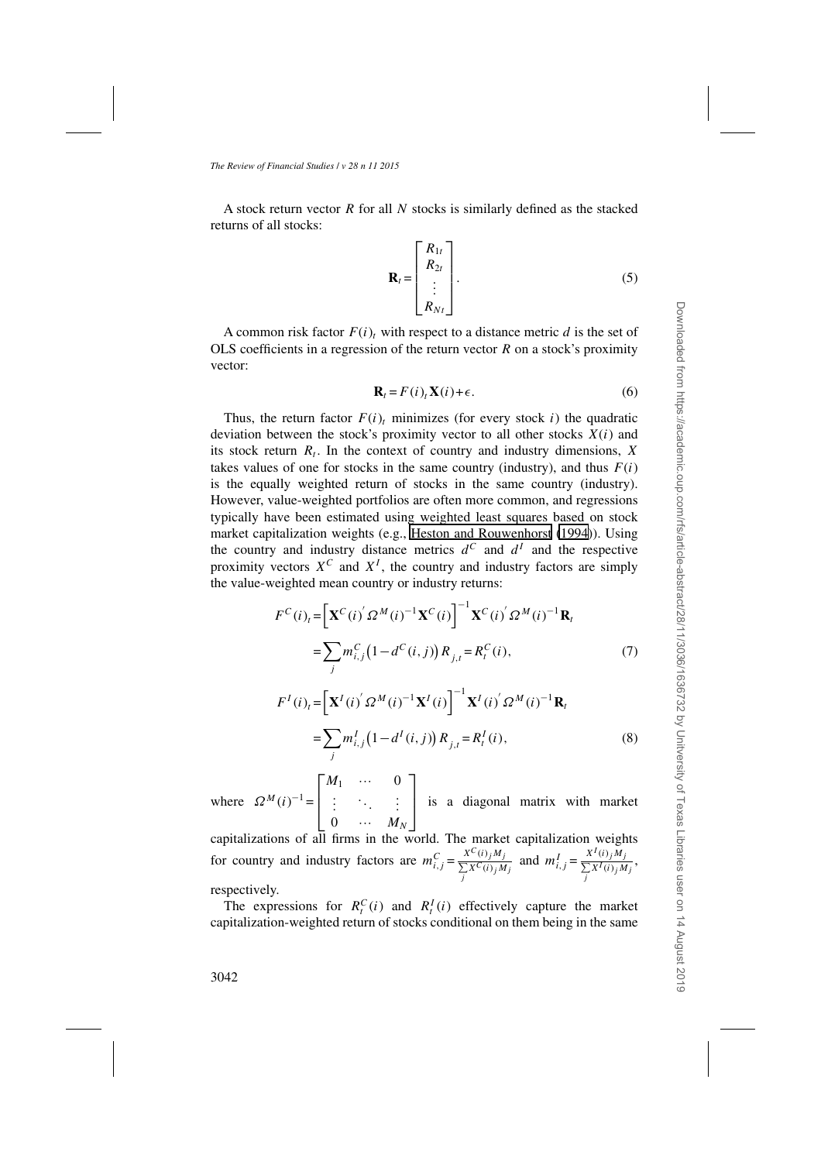<span id="page-6-0"></span>A stock return vector *R* for all *N* stocks is similarly defined as the stacked returns of all stocks:

$$
\mathbf{R}_{t} = \begin{bmatrix} R_{1t} \\ R_{2t} \\ \vdots \\ R_{Nt} \end{bmatrix} .
$$
 (5)

A common risk factor  $F(i)$ <sub>t</sub> with respect to a distance metric *d* is the set of OLS coefficients in a regression of the return vector *R* on a stock's proximity vector:

$$
\mathbf{R}_t = F(i)_t \mathbf{X}(i) + \epsilon.
$$
 (6)

Thus, the return factor  $F(i)$ , minimizes (for every stock *i*) the quadratic deviation between the stock's proximity vector to all other stocks *X*(*i*) and its stock return  $R_t$ . In the context of country and industry dimensions,  $\overline{X}$ takes values of one for stocks in the same country (industry), and thus  $F(i)$ is the equally weighted return of stocks in the same country (industry). However, value-weighted portfolios are often more common, and regressions typically have been estimated using weighted least squares based on stock market capitalization weights (e.g., [Heston and Rouwenhorst](#page-35-0) [\(1994](#page-35-0))). Using the country and industry distance metrics  $d^C$  and  $d^I$  and the respective proximity vectors  $X^C$  and  $X^I$ , the country and industry factors are simply the value-weighted mean country or industry returns:

$$
F^{C}(i)_{t} = \left[\mathbf{X}^{C}(i)' \Omega^{M}(i)^{-1} \mathbf{X}^{C}(i)\right]^{-1} \mathbf{X}^{C}(i)' \Omega^{M}(i)^{-1} \mathbf{R}_{t}
$$
  
= 
$$
\sum_{j} m_{i,j}^{C} (1 - d^{C}(i, j)) R_{j,t} = R_{t}^{C}(i),
$$
 (7)

$$
F^{I}(i)_{t} = \left[\mathbf{X}^{I}(i)^{'} \Omega^{M}(i)^{-1} \mathbf{X}^{I}(i)\right]^{-1} \mathbf{X}^{I}(i)^{'} \Omega^{M}(i)^{-1} \mathbf{R}_{t}
$$

$$
= \sum_{j} m_{i,j}^{I}\left(1 - d^{I}(i,j)\right) R_{j,t} = R_{t}^{I}(i), \tag{8}
$$

where  $\Omega^{M}(i)^{-1}$  =  $\Gamma$  $\vert$ *M*<sup>1</sup> ··· 0 *. . . ... . . .*  $0 \quad \cdots \quad M_N$ ⎤ is a diagonal matrix with market

capitalizations of all firms in the world. The market capitalization weights for country and industry factors are  $m_{i,j}^C = \frac{x^{C}(i)_{j}M_j}{\sum_j x^{C}(i)_{j}M_j}$  and  $m_{i,j}^I = \frac{x^{I}(i)_{j}M_j}{\sum_j x^{I}(i)_{j}M_j}$ , respectively.

The expressions for  $R_t^C(i)$  and  $R_t^I(i)$  effectively capture the market capitalization-weighted return of stocks conditional on them being in the same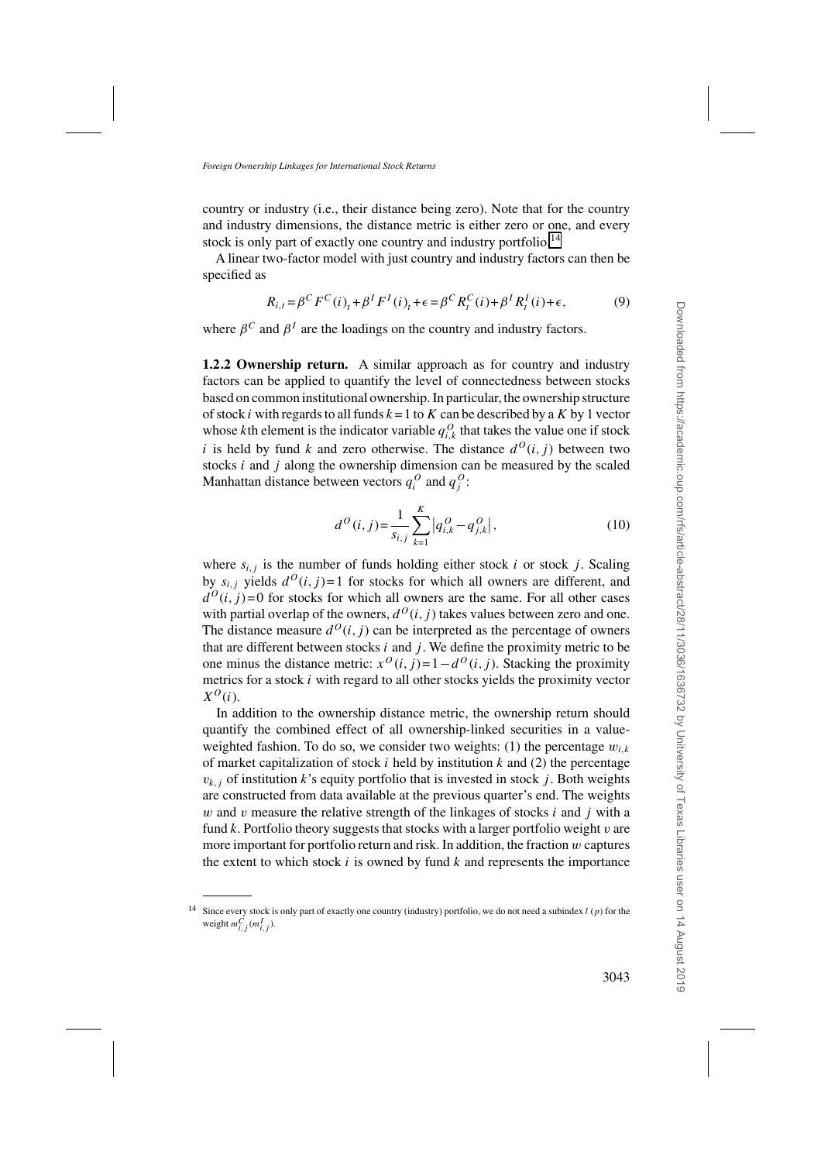country or industry (i.e., their distance being zero). Note that for the country and industry dimensions, the distance metric is either zero or one, and every stock is only part of exactly one country and industry portfolio.<sup>14</sup>

A linear two-factor model with just country and industry factors can then be specified as

$$
R_{i,t} = \beta^C F^C(i)_t + \beta^I F^I(i)_t + \epsilon = \beta^C R_t^C(i) + \beta^I R_t^I(i) + \epsilon,
$$
 (9)

where  $\beta^C$  and  $\beta^I$  are the loadings on the country and industry factors.

**1.2.2 Ownership return.** A similar approach as for country and industry factors can be applied to quantify the level of connectedness between stocks based on common institutional ownership. In particular, the ownership structure of stock *i* with regards to all funds  $k = 1$  to  $K$  can be described by a  $K$  by 1 vector whose *k*th element is the indicator variable  $q_{i,k}^O$  that takes the value one if stock *i* is held by fund *k* and zero otherwise. The distance  $d^{O}(i, j)$  between two stocks *i* and *j* along the ownership dimension can be measured by the scaled Manhattan distance between vectors  $q_i^O$  and  $q_j^O$ :

$$
d^{O}(i, j) = \frac{1}{s_{i,j}} \sum_{k=1}^{K} |q_{i,k}^{O} - q_{j,k}^{O}|,
$$
\n(10)

where  $s_{i,j}$  is the number of funds holding either stock *i* or stock *j*. Scaling by  $s_{i,j}$  yields  $d^O(i,j) = 1$  for stocks for which all owners are different, and  $d^{O}(i, j)$ =0 for stocks for which all owners are the same. For all other cases with partial overlap of the owners,  $d^{O}(i, j)$  takes values between zero and one. The distance measure  $d^{O}(i, j)$  can be interpreted as the percentage of owners that are different between stocks  $i$  and  $j$ . We define the proximity metric to be one minus the distance metric:  $x^{O}(i, j) = 1 - d^{O}(i, j)$ . Stacking the proximity metrics for a stock *i* with regard to all other stocks yields the proximity vector  $X^O(i)$ .

In addition to the ownership distance metric, the ownership return should quantify the combined effect of all ownership-linked securities in a valueweighted fashion. To do so, we consider two weights: (1) the percentage  $w_{i,k}$ of market capitalization of stock *i* held by institution *k* and (2) the percentage  $v_{k,j}$  of institution *k*'s equity portfolio that is invested in stock *j*. Both weights are constructed from data available at the previous quarter's end. The weights *w* and *v* measure the relative strength of the linkages of stocks *i* and *j* with a fund *k*. Portfolio theory suggests that stocks with a larger portfolio weight *v* are more important for portfolio return and risk. In addition, the fraction *w* captures the extent to which stock *i* is owned by fund *k* and represents the importance

<sup>14</sup> Since every stock is only part of exactly one country (industry) portfolio, we do not need a subindex *l* (*p*) for the weight  $m_{i,j}^C$  ( $m_{i,j}^I$ ).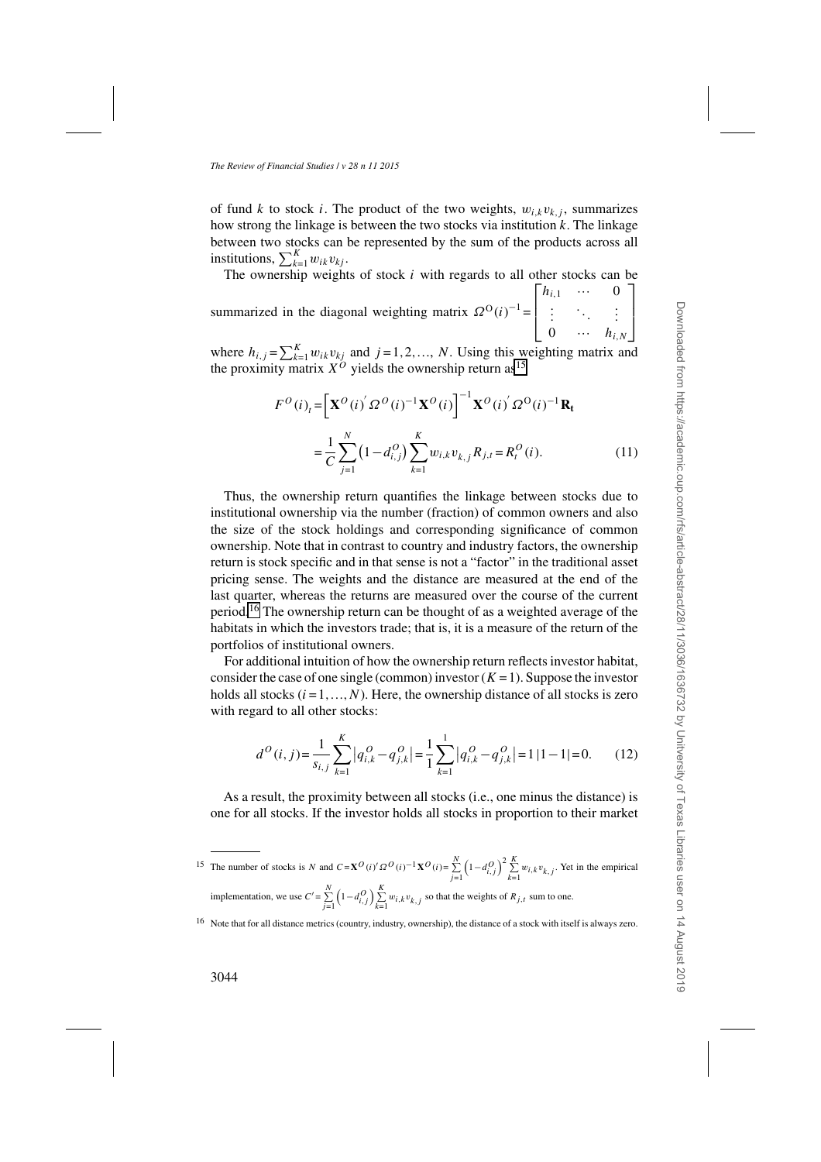of fund *k* to stock *i*. The product of the two weights,  $w_{i,k}v_{k,j}$ , summarizes how strong the linkage is between the two stocks via institution *k*. The linkage between two stocks can be represented by the sum of the products across all institutions,  $\sum_{k=1}^{K} w_{ik}v_{kj}$ .

The ownership weights of stock *i* with regards to all other stocks can be

summarized in the diagonal weighting matrix  $\Omega^{O}(i)^{-1}$  =  $\mathsf{L}$  $\overline{\phantom{a}}$ *h*<sub>*i*,1</sub> ... 0<br>  $\vdots$  : ... :  $0 \quad \cdots \quad h_{i,N}$  $\overline{\phantom{a}}$  $\overline{\phantom{a}}$ 

where  $h_{i,j} = \sum_{k=1}^{K} w_{ik}v_{kj}$  and  $j = 1, 2, ..., N$ . Using this weighting matrix and the proximity matrix  $X^O$  yields the ownership return as<sup>15</sup>

$$
F^{O}(i)_{t} = \left[\mathbf{X}^{O}(i)^{'}\Omega^{O}(i)^{-1}\mathbf{X}^{O}(i)\right]^{-1}\mathbf{X}^{O}(i)^{'}\Omega^{O}(i)^{-1}\mathbf{R}_{t}
$$

$$
= \frac{1}{C} \sum_{j=1}^{N} (1 - d_{i,j}^{O}) \sum_{k=1}^{K} w_{i,k} v_{k,j} R_{j,t} = R_{t}^{O}(i). \tag{11}
$$

Thus, the ownership return quantifies the linkage between stocks due to institutional ownership via the number (fraction) of common owners and also the size of the stock holdings and corresponding significance of common ownership. Note that in contrast to country and industry factors, the ownership return is stock specific and in that sense is not a "factor" in the traditional asset pricing sense. The weights and the distance are measured at the end of the last quarter, whereas the returns are measured over the course of the current period.16 The ownership return can be thought of as a weighted average of the habitats in which the investors trade; that is, it is a measure of the return of the portfolios of institutional owners.

For additional intuition of how the ownership return reflects investor habitat, consider the case of one single (common) investor  $(K = 1)$ . Suppose the investor holds all stocks  $(i = 1, ..., N)$ . Here, the ownership distance of all stocks is zero with regard to all other stocks:

$$
d^{O}(i, j) = \frac{1}{s_{i,j}} \sum_{k=1}^{K} |q_{i,k}^{O} - q_{j,k}^{O}| = \frac{1}{1} \sum_{k=1}^{1} |q_{i,k}^{O} - q_{j,k}^{O}| = 1 |1 - 1| = 0.
$$
 (12)

As a result, the proximity between all stocks (i.e., one minus the distance) is one for all stocks. If the investor holds all stocks in proportion to their market

<sup>15</sup> The number of stocks is *N* and  $C = \mathbf{X}^O(i)' \Omega^O(i)^{-1} \mathbf{X}^O(i) = \sum_{j=1}^N$  $\left(1 - d_{i,j}^O\right)^2 \sum_{k=1}^K w_{i,k} v_{k,j}$ . Yet in the empirical implementation, we use  $C' = \sum_{j=1}^{N}$  $\left(1-d_{i,j}^O\right)\sum_{k=1}^K w_{i,k}v_{k,j}$  so that the weights of  $R_{j,t}$  sum to one.

<sup>16</sup> Note that for all distance metrics (country, industry, ownership), the distance of a stock with itself is always zero.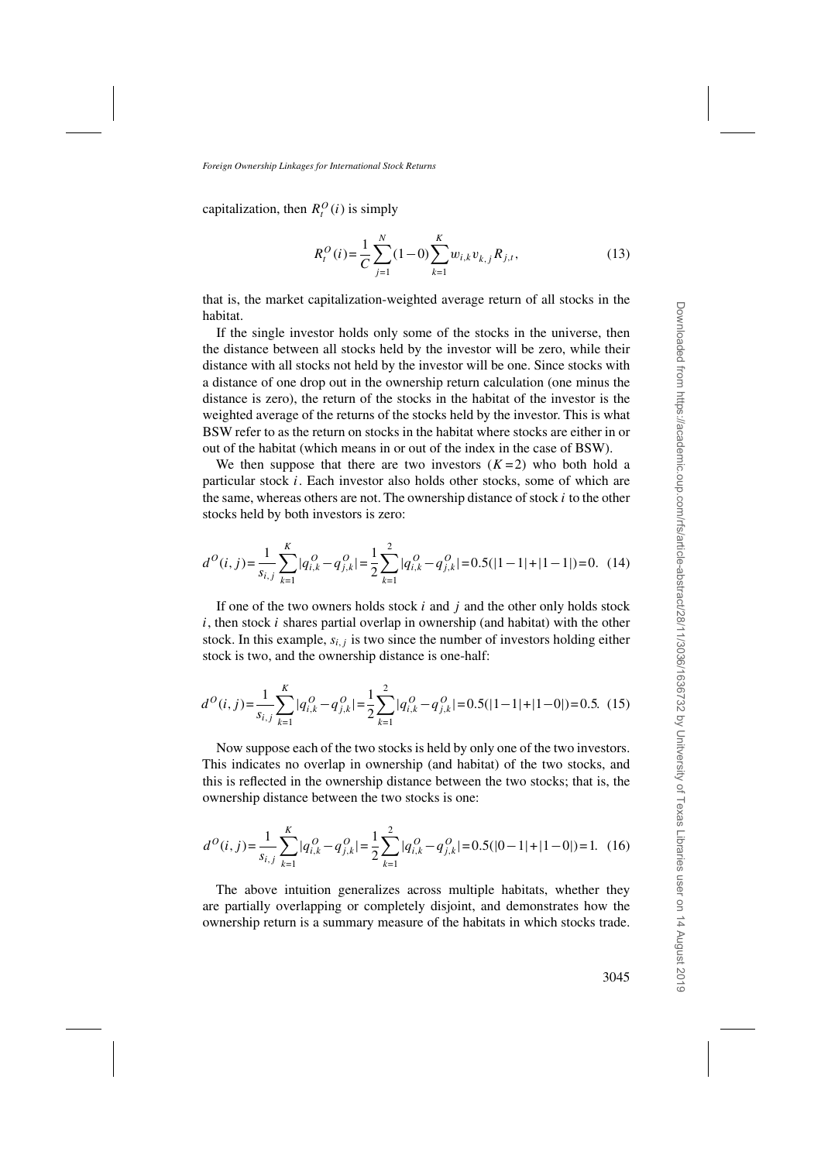capitalization, then  $R_t^O(i)$  is simply

$$
R_t^O(i) = \frac{1}{C} \sum_{j=1}^N (1-0) \sum_{k=1}^K w_{i,k} v_{k,j} R_{j,t},
$$
\n(13)

that is, the market capitalization-weighted average return of all stocks in the habitat.

If the single investor holds only some of the stocks in the universe, then the distance between all stocks held by the investor will be zero, while their distance with all stocks not held by the investor will be one. Since stocks with a distance of one drop out in the ownership return calculation (one minus the distance is zero), the return of the stocks in the habitat of the investor is the weighted average of the returns of the stocks held by the investor. This is what BSW refer to as the return on stocks in the habitat where stocks are either in or out of the habitat (which means in or out of the index in the case of BSW).

We then suppose that there are two investors  $(K=2)$  who both hold a particular stock *i*. Each investor also holds other stocks, some of which are the same, whereas others are not. The ownership distance of stock *i* to the other stocks held by both investors is zero:

$$
d^{O}(i,j) = \frac{1}{s_{i,j}} \sum_{k=1}^{K} |q_{i,k}^{O} - q_{j,k}^{O}| = \frac{1}{2} \sum_{k=1}^{2} |q_{i,k}^{O} - q_{j,k}^{O}| = 0.5(|1 - 1| + |1 - 1|) = 0. \tag{14}
$$

If one of the two owners holds stock *i* and *j* and the other only holds stock *i*, then stock *i* shares partial overlap in ownership (and habitat) with the other stock. In this example,  $s_{i,j}$  is two since the number of investors holding either stock is two, and the ownership distance is one-half:

$$
d^{O}(i,j) = \frac{1}{s_{i,j}} \sum_{k=1}^{K} |q_{i,k}^{O} - q_{j,k}^{O}| = \frac{1}{2} \sum_{k=1}^{2} |q_{i,k}^{O} - q_{j,k}^{O}| = 0.5(|1 - 1| + |1 - 0|) = 0.5.
$$
 (15)

Now suppose each of the two stocks is held by only one of the two investors. This indicates no overlap in ownership (and habitat) of the two stocks, and this is reflected in the ownership distance between the two stocks; that is, the ownership distance between the two stocks is one:

$$
d^{O}(i, j) = \frac{1}{s_{i,j}} \sum_{k=1}^{K} |q_{i,k}^{O} - q_{j,k}^{O}| = \frac{1}{2} \sum_{k=1}^{2} |q_{i,k}^{O} - q_{j,k}^{O}| = 0.5(|0 - 1| + |1 - 0|) = 1.
$$
 (16)

The above intuition generalizes across multiple habitats, whether they are partially overlapping or completely disjoint, and demonstrates how the ownership return is a summary measure of the habitats in which stocks trade.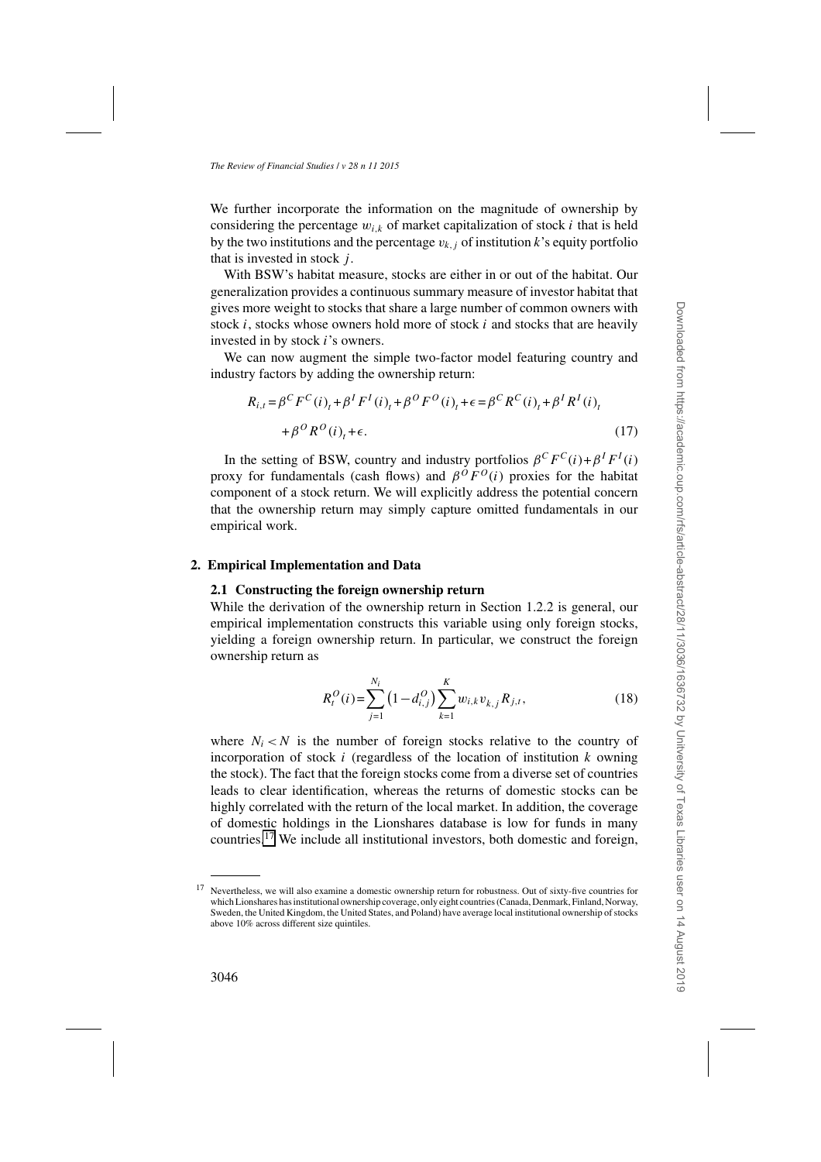We further incorporate the information on the magnitude of ownership by considering the percentage  $w_{i,k}$  of market capitalization of stock *i* that is held by the two institutions and the percentage  $v_{k,i}$  of institution k's equity portfolio that is invested in stock *j* .

With BSW's habitat measure, stocks are either in or out of the habitat. Our generalization provides a continuous summary measure of investor habitat that gives more weight to stocks that share a large number of common owners with stock *i*, stocks whose owners hold more of stock *i* and stocks that are heavily invested in by stock *i*'s owners.

We can now augment the simple two-factor model featuring country and industry factors by adding the ownership return:

$$
R_{i,t} = \beta^C F^C(i)_t + \beta^I F^I(i)_t + \beta^O F^O(i)_t + \epsilon = \beta^C R^C(i)_t + \beta^I R^I(i)_t + \beta^O R^O(i)_t + \epsilon.
$$
 (17)

In the setting of BSW, country and industry portfolios  $\beta^C F^C(i) + \beta^I F^I(i)$ proxy for fundamentals (cash flows) and  $\beta^{O}F^{O}(i)$  proxies for the habitat component of a stock return. We will explicitly address the potential concern that the ownership return may simply capture omitted fundamentals in our empirical work.

## **2. Empirical Implementation and Data**

## **2.1 Constructing the foreign ownership return**

While the derivation of the ownership return in Section 1.2.2 is general, our empirical implementation constructs this variable using only foreign stocks, yielding a foreign ownership return. In particular, we construct the foreign ownership return as

$$
R_t^O(i) = \sum_{j=1}^{N_i} \left(1 - d_{i,j}^O\right) \sum_{k=1}^K w_{i,k} v_{k,j} R_{j,t},
$$
\n(18)

where  $N_i < N$  is the number of foreign stocks relative to the country of incorporation of stock *i* (regardless of the location of institution *k* owning the stock). The fact that the foreign stocks come from a diverse set of countries leads to clear identification, whereas the returns of domestic stocks can be highly correlated with the return of the local market. In addition, the coverage of domestic holdings in the Lionshares database is low for funds in many countries.<sup>17</sup> We include all institutional investors, both domestic and foreign,

<sup>&</sup>lt;sup>17</sup> Nevertheless, we will also examine a domestic ownership return for robustness. Out of sixty-five countries for which Lionshares has institutional ownership coverage, only eight countries (Canada, Denmark, Finland, Norway, Sweden, the United Kingdom, the United States, and Poland) have average local institutional ownership of stocks above 10% across different size quintiles.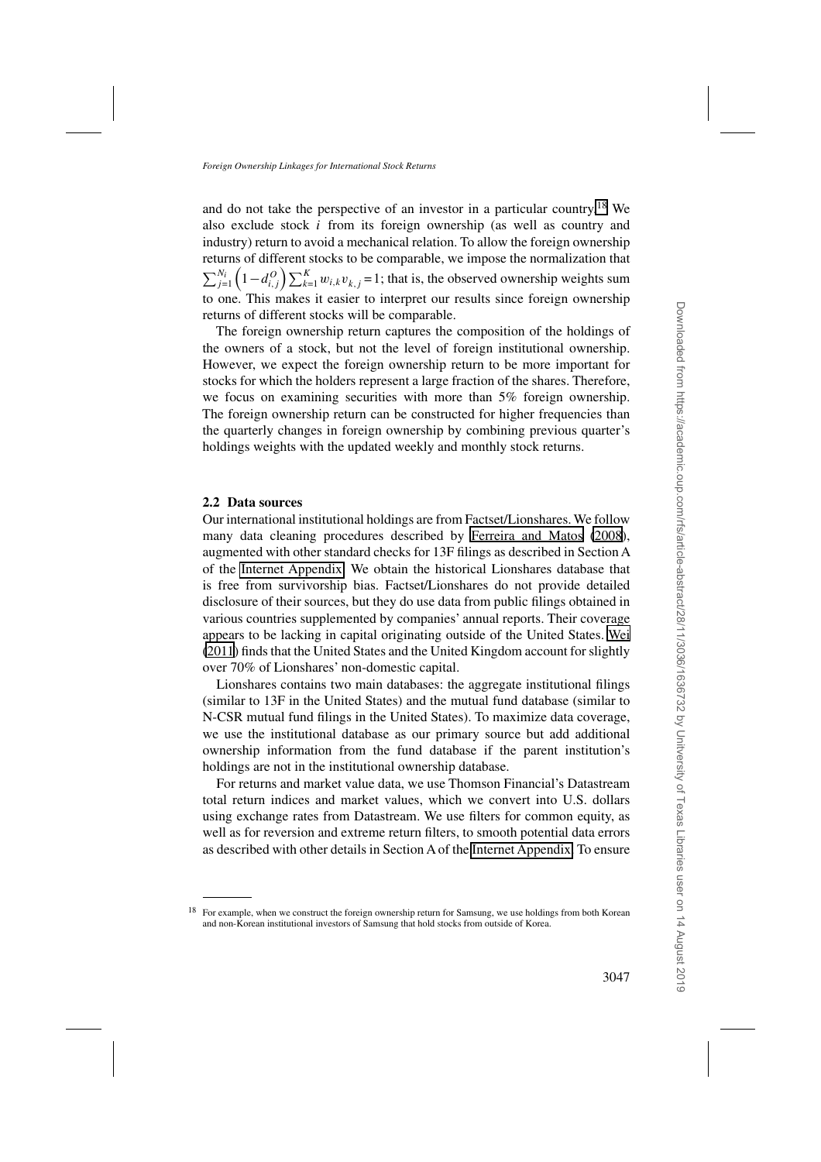and do not take the perspective of an investor in a particular country.<sup>18</sup> We also exclude stock *i* from its foreign ownership (as well as country and industry) return to avoid a mechanical relation. To allow the foreign ownership returns of different stocks to be comparable, we impose the normalization that  $\sum_{j=1}^{N_i} \left(1 - d_{i,j}^O\right) \sum_{k=1}^K$  $\sum_{k=1}^{K} w_{i,k}v_{k,j} = 1$ ; that is, the observed ownership weights sum to one. This makes it easier to interpret our results since foreign ownership returns of different stocks will be comparable.

The foreign ownership return captures the composition of the holdings of the owners of a stock, but not the level of foreign institutional ownership. However, we expect the foreign ownership return to be more important for stocks for which the holders represent a large fraction of the shares. Therefore, we focus on examining securities with more than 5% foreign ownership. The foreign ownership return can be constructed for higher frequencies than the quarterly changes in foreign ownership by combining previous quarter's holdings weights with the updated weekly and monthly stock returns.

# **2.2 Data sources**

Our international institutional holdings are from Factset/Lionshares. We follow many data cleaning procedures described by [Ferreira and Matos](#page-34-0) [\(2008\)](#page-34-0), augmented with other standard checks for 13F filings as described in Section A of the [Internet Appendix.](http://rfs.oxfordjournals.org/lookup/suppl/doi:10.1093/rfs/hhv030/-/DC1) We obtain the historical Lionshares database that is free from survivorship bias. Factset/Lionshares do not provide detailed disclosure of their sources, but they do use data from public filings obtained in various countries supplemented by companies' annual reports. Their coverage appears to be lacking in capital originating outside of the United States. [Wei](#page-36-0) [\(2011](#page-36-0)) finds that the United States and the United Kingdom account for slightly over 70% of Lionshares' non-domestic capital.

Lionshares contains two main databases: the aggregate institutional filings (similar to 13F in the United States) and the mutual fund database (similar to N-CSR mutual fund filings in the United States). To maximize data coverage, we use the institutional database as our primary source but add additional ownership information from the fund database if the parent institution's holdings are not in the institutional ownership database.

For returns and market value data, we use Thomson Financial's Datastream total return indices and market values, which we convert into U.S. dollars using exchange rates from Datastream. We use filters for common equity, as well as for reversion and extreme return filters, to smooth potential data errors as described with other details in Section A of the [Internet Appendix.](http://rfs.oxfordjournals.org/lookup/suppl/doi:10.1093/rfs/hhv030/-/DC1) To ensure

<sup>&</sup>lt;sup>18</sup> For example, when we construct the foreign ownership return for Samsung, we use holdings from both Korean and non-Korean institutional investors of Samsung that hold stocks from outside of Korea.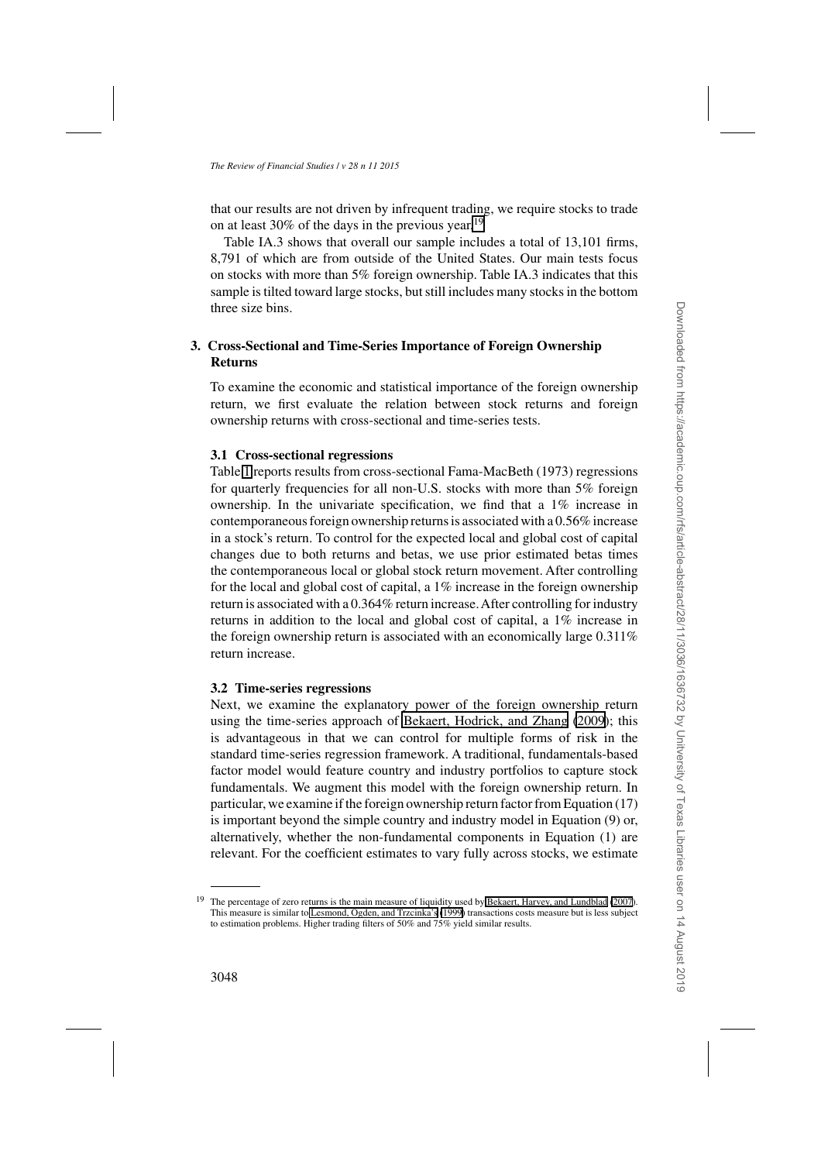that our results are not driven by infrequent trading, we require stocks to trade on at least 30% of the days in the previous year.<sup>19</sup>

Table IA.3 shows that overall our sample includes a total of 13,101 firms, 8,791 of which are from outside of the United States. Our main tests focus on stocks with more than 5% foreign ownership. Table IA.3 indicates that this sample is tilted toward large stocks, but still includes many stocks in the bottom three size bins.

# **3. Cross-Sectional and Time-Series Importance of Foreign Ownership Returns**

To examine the economic and statistical importance of the foreign ownership return, we first evaluate the relation between stock returns and foreign ownership returns with cross-sectional and time-series tests.

# **3.1 Cross-sectional regressions**

Table [1](#page-13-0) reports results from cross-sectional Fama-MacBeth (1973) regressions for quarterly frequencies for all non-U.S. stocks with more than 5% foreign ownership. In the univariate specification, we find that a 1% increase in contemporaneous foreign ownership returns is associated with a 0.56% increase in a stock's return. To control for the expected local and global cost of capital changes due to both returns and betas, we use prior estimated betas times the contemporaneous local or global stock return movement. After controlling for the local and global cost of capital, a 1% increase in the foreign ownership return is associated with a 0.364% return increase.After controlling for industry returns in addition to the local and global cost of capital, a 1% increase in the foreign ownership return is associated with an economically large 0.311% return increase.

# **3.2 Time-series regressions**

Next, we examine the explanatory power of the foreign ownership return using the time-series approach of [Bekaert, Hodrick, and Zhang](#page-33-0) [\(2009](#page-33-0)); this is advantageous in that we can control for multiple forms of risk in the standard time-series regression framework. A traditional, fundamentals-based factor model would feature country and industry portfolios to capture stock fundamentals. We augment this model with the foreign ownership return. In particular, we examine if the foreign ownership return factor from Equation (17) is important beyond the simple country and industry model in Equation (9) or, alternatively, whether the non-fundamental components in Equation (1) are relevant. For the coefficient estimates to vary fully across stocks, we estimate

<sup>&</sup>lt;sup>19</sup> The percentage of zero returns is the main measure of liquidity used by [Bekaert, Harvey, and Lundblad](#page-33-0) [\(2007](#page-33-0)). This measure is similar to [Lesmond, Ogden, and Trzcinka's](#page-36-0) [\(1999\)](#page-36-0) transactions costs measure but is less subject to estimation problems. Higher trading filters of 50% and 75% yield similar results.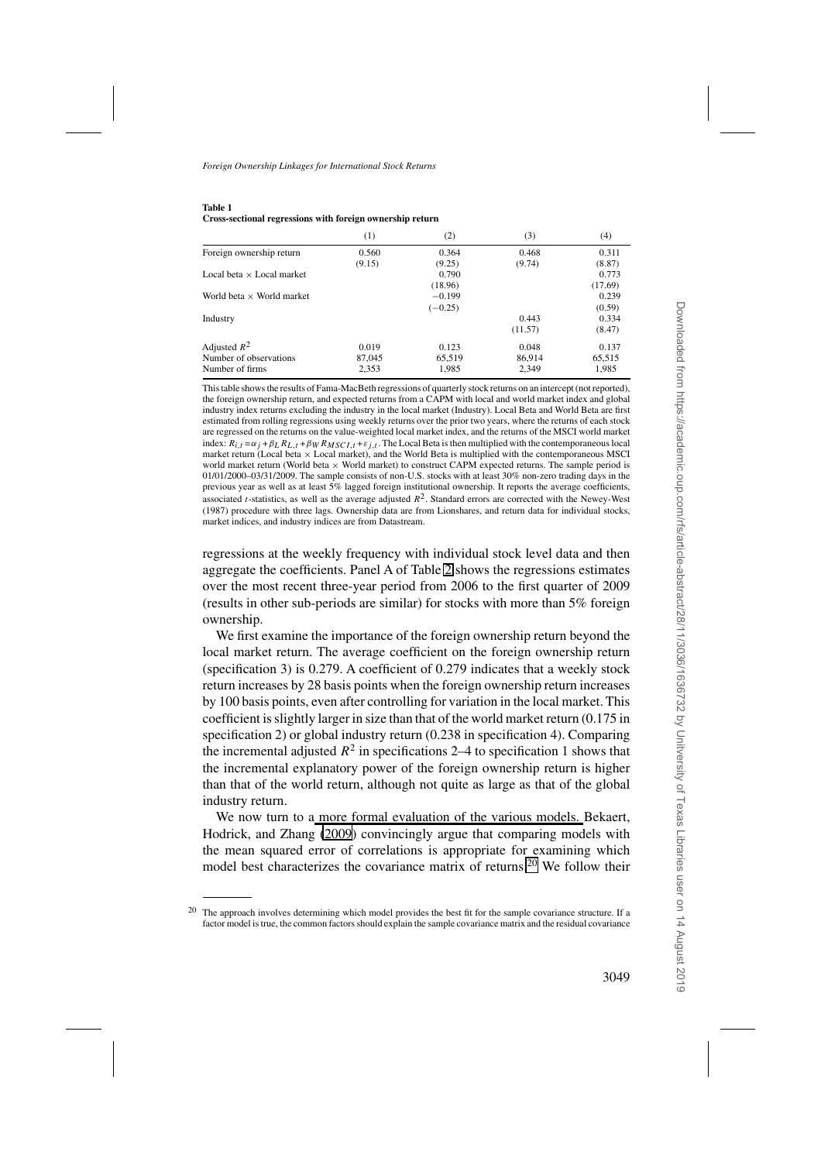<span id="page-13-0"></span>

| <b>Table 1</b> |                                                           |
|----------------|-----------------------------------------------------------|
|                | Cross-sectional regressions with foreign ownership return |

|                                  | (1)    | (2)       | (3)     | (4)     |
|----------------------------------|--------|-----------|---------|---------|
| Foreign ownership return         | 0.560  | 0.364     | 0.468   | 0.311   |
|                                  | (9.15) | (9.25)    | (9.74)  | (8.87)  |
| Local beta $\times$ Local market |        | 0.790     |         | 0.773   |
|                                  |        | (18.96)   |         | (17.69) |
| World beta $\times$ World market |        | $-0.199$  |         | 0.239   |
|                                  |        | $(-0.25)$ |         | (0.59)  |
| Industry                         |        |           | 0.443   | 0.334   |
|                                  |        |           | (11.57) | (8.47)  |
| Adjusted $R^2$                   | 0.019  | 0.123     | 0.048   | 0.137   |
| Number of observations           | 87,045 | 65,519    | 86.914  | 65,515  |
| Number of firms                  | 2,353  | 1,985     | 2.349   | 1,985   |

This table shows the results of Fama-MacBeth regressions of quarterly stock returns on an intercept (not reported), the foreign ownership return, and expected returns from a CAPM with local and world market index and global industry index returns excluding the industry in the local market (Industry). Local Beta and World Beta are first estimated from rolling regressions using weekly returns over the prior two years, where the returns of each stock are regressed on the returns on the value-weighted local market index, and the returns of the MSCI world market index:  $R_{i,t} = \alpha_j + \beta_L R_{L,t} + \beta_W R_{MSCI,t} + \varepsilon_{i,t}$ . The Local Beta is then multiplied with the contemporaneous local market return (Local beta  $\times$  Local market), and the World Beta is multiplied with the contemporaneous MSCI world market return (World beta × World market) to construct CAPM expected returns. The sample period is 01/01/2000–03/31/2009. The sample consists of non-U.S. stocks with at least 30% non-zero trading days in the previous year as well as at least 5% lagged foreign institutional ownership. It reports the average coefficients, associated *t*-statistics, as well as the average adjusted  $R^2$ . Standard errors are corrected with the Newey-West (1987) procedure with three lags. Ownership data are from Lionshares, and return data for individual stocks, market indices, and industry indices are from Datastream.

regressions at the weekly frequency with individual stock level data and then aggregate the coefficients. Panel A of Table [2](#page-14-0) shows the regressions estimates over the most recent three-year period from 2006 to the first quarter of 2009 (results in other sub-periods are similar) for stocks with more than 5% foreign ownership.

We first examine the importance of the foreign ownership return beyond the local market return. The average coefficient on the foreign ownership return (specification 3) is 0.279. A coefficient of 0.279 indicates that a weekly stock return increases by 28 basis points when the foreign ownership return increases by 100 basis points, even after controlling for variation in the local market. This coefficient is slightly larger in size than that of the world market return (0.175 in specification 2) or global industry return (0.238 in specification 4). Comparing the incremental adjusted  $R^2$  in specifications 2–4 to specification 1 shows that the incremental explanatory power of the foreign ownership return is higher than that of the world return, although not quite as large as that of the global industry return.

We now turn to a [more formal evaluation of the various models.](#page-33-0) Bekaert, Hodrick, and Zhang [\(2009\)](#page-33-0) convincingly argue that comparing models with the mean squared error of correlations is appropriate for examining which model best characterizes the covariance matrix of returns.<sup>20</sup> We follow their

<sup>&</sup>lt;sup>20</sup> The approach involves determining which model provides the best fit for the sample covariance structure. If a factor model is true, the common factors should explain the sample covariance matrix and the residual covariance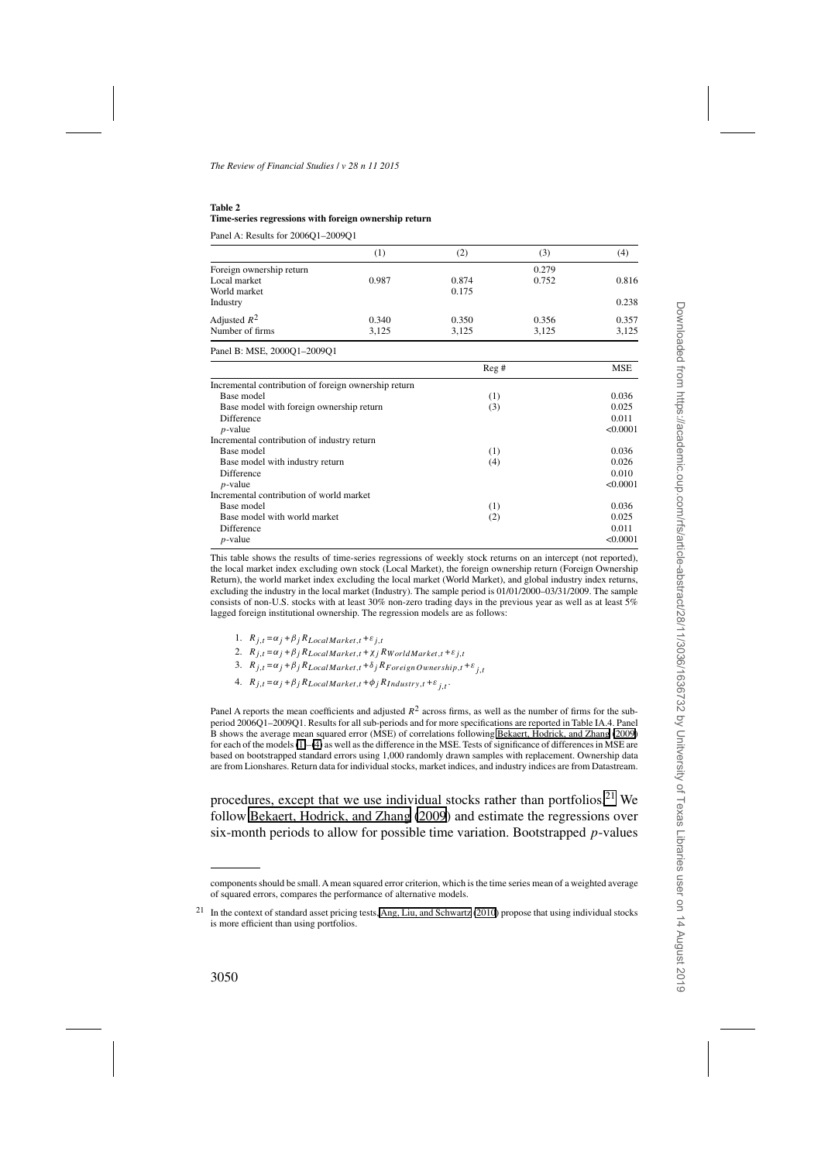#### <span id="page-14-0"></span>**Table 2 Time-series regressions with foreign ownership return**

Panel A: Results for 2006Q1–2009Q1

|                          | $^{(1)}$ | (2)   | (3)   | (4)   |
|--------------------------|----------|-------|-------|-------|
| Foreign ownership return |          |       | 0.279 |       |
| Local market             | 0.987    | 0.874 | 0.752 | 0.816 |
| World market             |          | 0.175 |       |       |
| Industry                 |          |       |       | 0.238 |
| Adjusted $R^2$           | 0.340    | 0.350 | 0.356 | 0.357 |
| Number of firms          | 3.125    | 3.125 | 3.125 | 3,125 |

|                                                      | Reg# | MSE      |
|------------------------------------------------------|------|----------|
| Incremental contribution of foreign ownership return |      |          |
| Base model                                           | (1)  | 0.036    |
| Base model with foreign ownership return             | (3)  | 0.025    |
| <b>Difference</b>                                    |      | 0.011    |
| $p$ -value                                           |      | < 0.0001 |
| Incremental contribution of industry return          |      |          |
| Base model                                           | (1)  | 0.036    |
| Base model with industry return                      | (4)  | 0.026    |
| <b>Difference</b>                                    |      | 0.010    |
| $p$ -value                                           |      | < 0.0001 |
| Incremental contribution of world market             |      |          |
| Base model                                           | (1)  | 0.036    |
| Base model with world market                         | (2)  | 0.025    |
| <b>Difference</b>                                    |      | 0.011    |
| $p$ -value                                           |      | < 0.0001 |

This table shows the results of time-series regressions of weekly stock returns on an intercept (not reported), the local market index excluding own stock (Local Market), the foreign ownership return (Foreign Ownership Return), the world market index excluding the local market (World Market), and global industry index returns, excluding the industry in the local market (Industry). The sample period is 01/01/2000–03/31/2009. The sample consists of non-U.S. stocks with at least 30% non-zero trading days in the previous year as well as at least 5% lagged foreign institutional ownership. The regression models are as follows:

1.  $R_{i,t} = \alpha_j + \beta_j R_{LocalMarket, t} + \varepsilon_{j,t}$ 

2.  $R_{j,t} = \alpha_j + \beta_j R_{LocalMarket, t} + \chi_j R_{World Market, t} + \varepsilon_{j,t}$ 

- 3.  $R_{j,t} = \alpha_j + \beta_j R_{LocalMarket, t} + \delta_j R_{Foreign Ownership, t} + \varepsilon_i$
- 4.  $R_{j,t} = \alpha_j + \beta_j R_{LocalMarket, t} + \phi_j R_{Industry, t} + \varepsilon_{j,t}$ .

Panel A reports the mean coefficients and adjusted  $R^2$  across firms, as well as the number of firms for the subperiod 2006Q1–2009Q1. Results for all sub-periods and for more specifications are reported in Table IA.4. Panel B shows the average mean squared error (MSE) of correlations following [Bekaert, Hodrick, and Zhang](#page-33-0) [\(2009\)](#page-33-0) for each of the models [\(1\)](#page-4-0)–[\(4\)](#page-5-0) as well as the difference in the MSE. Tests of significance of differences in MSE are based on bootstrapped standard errors using 1,000 randomly drawn samples with replacement. Ownership data are from Lionshares. Return data for individual stocks, market indices, and industry indices are from Datastream.

procedures, except that we use individual stocks rather than portfolios.<sup>21</sup> We follow [Bekaert, Hodrick, and Zhang](#page-33-0) [\(2009](#page-33-0)) and estimate the regressions over six-month periods to allow for possible time variation. Bootstrapped *p*-values

components should be small. A mean squared error criterion, which is the time series mean of a weighted average of squared errors, compares the performance of alternative models.

<sup>&</sup>lt;sup>21</sup> In the context of standard asset pricing tests, [Ang, Liu, and Schwartz](#page-33-0) [\(2010](#page-33-0)) propose that using individual stocks is more efficient than using portfolios.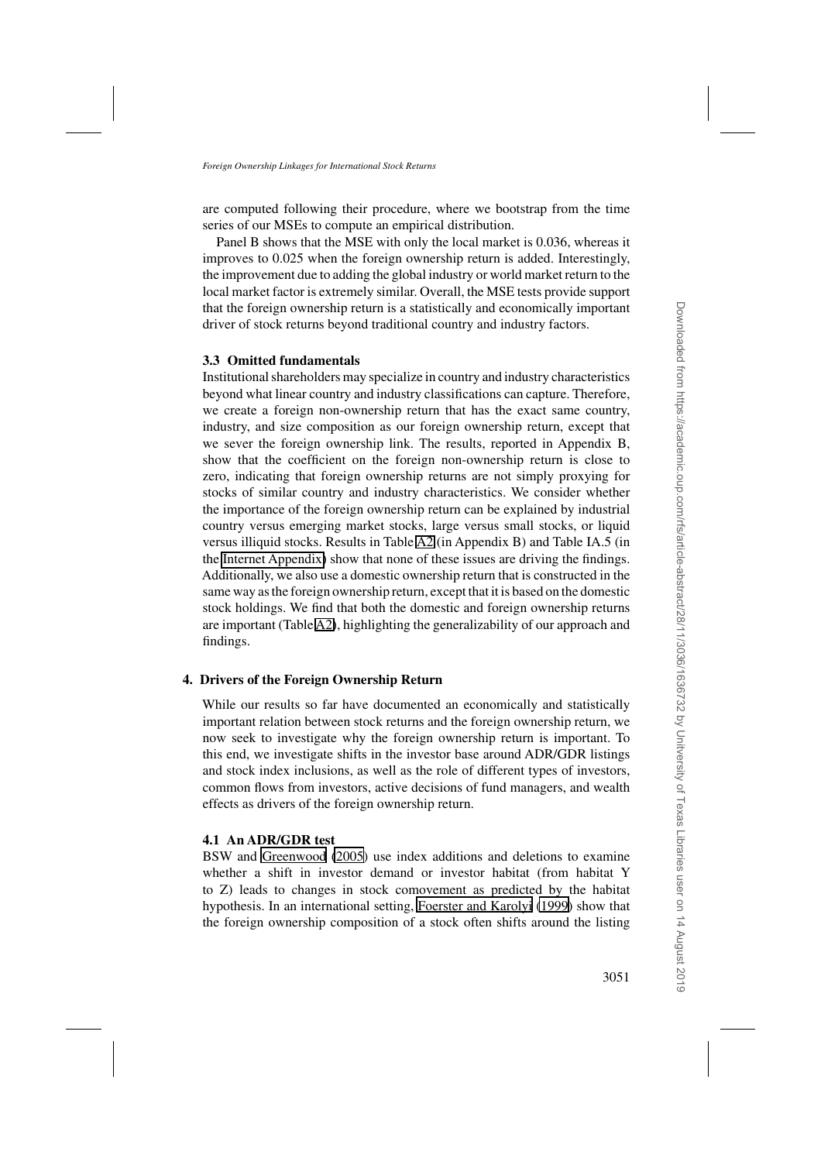are computed following their procedure, where we bootstrap from the time series of our MSEs to compute an empirical distribution.

Panel B shows that the MSE with only the local market is 0.036, whereas it improves to 0.025 when the foreign ownership return is added. Interestingly, the improvement due to adding the global industry or world market return to the local market factor is extremely similar. Overall, the MSE tests provide support that the foreign ownership return is a statistically and economically important driver of stock returns beyond traditional country and industry factors.

# **3.3 Omitted fundamentals**

Institutional shareholders may specialize in country and industry characteristics beyond what linear country and industry classifications can capture. Therefore, we create a foreign non-ownership return that has the exact same country, industry, and size composition as our foreign ownership return, except that we sever the foreign ownership link. The results, reported in Appendix B, show that the coefficient on the foreign non-ownership return is close to zero, indicating that foreign ownership returns are not simply proxying for stocks of similar country and industry characteristics. We consider whether the importance of the foreign ownership return can be explained by industrial country versus emerging market stocks, large versus small stocks, or liquid versus illiquid stocks. Results in Table [A2](#page-14-0) (in Appendix B) and Table IA.5 (in the [Internet Appendix\)](http://rfs.oxfordjournals.org/lookup/suppl/doi:10.1093/rfs/hhv030/-/DC1) show that none of these issues are driving the findings. Additionally, we also use a domestic ownership return that is constructed in the same way as the foreign ownership return, except that it is based on the domestic stock holdings. We find that both the domestic and foreign ownership returns are important (Table [A2\)](#page-14-0), highlighting the generalizability of our approach and findings.

# **4. Drivers of the Foreign Ownership Return**

While our results so far have documented an economically and statistically important relation between stock returns and the foreign ownership return, we now seek to investigate why the foreign ownership return is important. To this end, we investigate shifts in the investor base around ADR/GDR listings and stock index inclusions, as well as the role of different types of investors, common flows from investors, active decisions of fund managers, and wealth effects as drivers of the foreign ownership return.

## **4.1 An ADR/GDR test**

BSW and [Greenwood](#page-35-0) [\(2005](#page-35-0)) use index additions and deletions to examine whether a shift in investor demand or investor habitat (from habitat Y to Z) leads to changes in stock comovement as predicted by the habitat hypothesis. In an international setting, [Foerster and Karolyi](#page-34-0) [\(1999\)](#page-34-0) show that the foreign ownership composition of a stock often shifts around the listing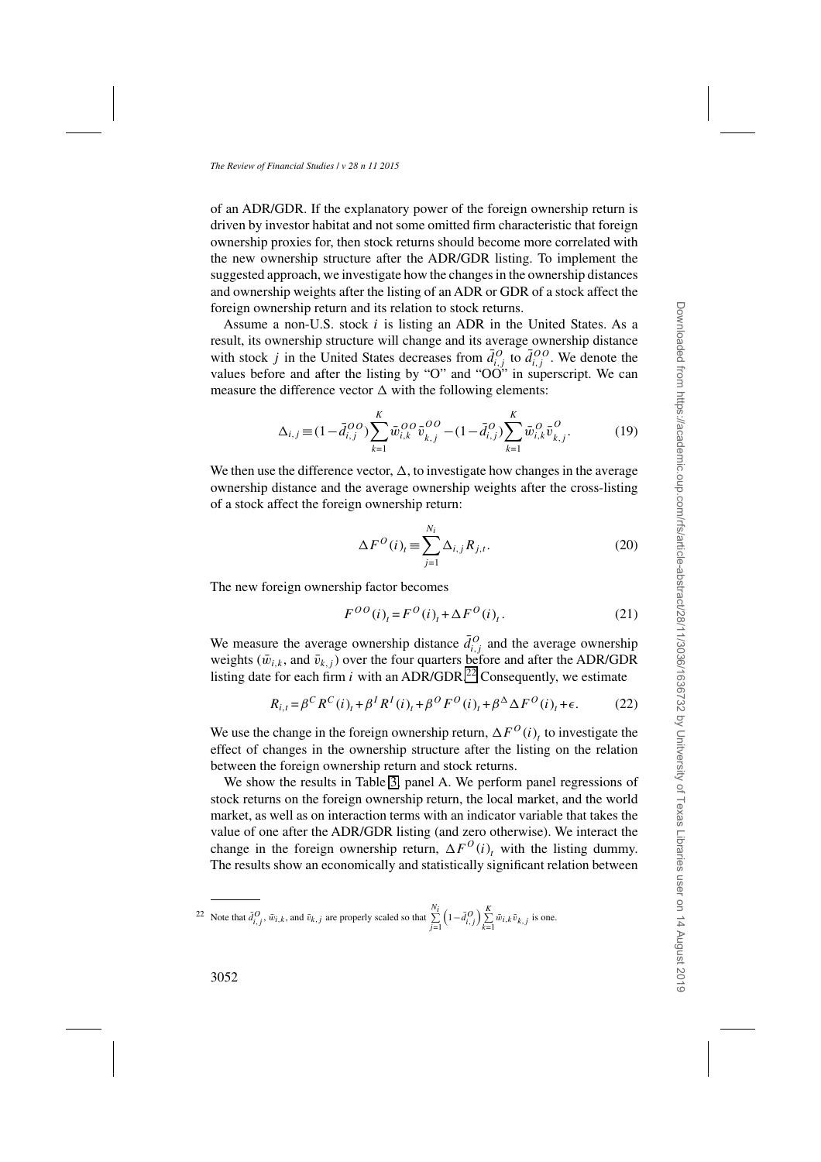of an ADR/GDR. If the explanatory power of the foreign ownership return is driven by investor habitat and not some omitted firm characteristic that foreign ownership proxies for, then stock returns should become more correlated with the new ownership structure after the ADR/GDR listing. To implement the suggested approach, we investigate how the changes in the ownership distances and ownership weights after the listing of an ADR or GDR of a stock affect the foreign ownership return and its relation to stock returns.

Assume a non-U.S. stock *i* is listing an ADR in the United States. As a result, its ownership structure will change and its average ownership distance with stock *j* in the United States decreases from  $\bar{d}^O_{i,j}$  to  $\bar{d}^{OO}_{i,j}$ . We denote the values before and after the listing by "O" and " $O\overrightarrow{O}$ " in superscript. We can measure the difference vector  $\Delta$  with the following elements:

$$
\Delta_{i,j} \equiv (1 - \bar{d}_{i,j}^{OO}) \sum_{k=1}^{K} \bar{w}_{i,k}^{OO} \bar{v}_{k,j}^{OO} - (1 - \bar{d}_{i,j}^{OO}) \sum_{k=1}^{K} \bar{w}_{i,k}^{OO} \bar{v}_{k,j}^{OO}.
$$
 (19)

We then use the difference vector,  $\Delta$ , to investigate how changes in the average ownership distance and the average ownership weights after the cross-listing of a stock affect the foreign ownership return:

$$
\Delta F^O(i)_t \equiv \sum_{j=1}^{N_i} \Delta_{i,j} R_{j,t}.
$$
\n(20)

The new foreign ownership factor becomes

$$
F^{OO}(i)_t = F^O(i)_t + \Delta F^O(i)_t. \tag{21}
$$

We measure the average ownership distance  $\bar{d}^O_{i,j}$  and the average ownership weights ( $\bar{w}_{i,k}$ , and  $\bar{v}_{k,j}$ ) over the four quarters before and after the ADR/GDR listing date for each firm  $i$  with an ADR/GDR.<sup>22</sup> Consequently, we estimate

$$
R_{i,t} = \beta^C R^C(i)_t + \beta^I R^I(i)_t + \beta^O F^O(i)_t + \beta^{\Delta} \Delta F^O(i)_t + \epsilon.
$$
 (22)

We use the change in the foreign ownership return,  $\Delta F^{O}(i)$ <sub>t</sub> to investigate the effect of changes in the ownership structure after the listing on the relation between the foreign ownership return and stock returns.

We show the results in Table [3,](#page-18-0) panel A. We perform panel regressions of stock returns on the foreign ownership return, the local market, and the world market, as well as on interaction terms with an indicator variable that takes the value of one after the ADR/GDR listing (and zero otherwise). We interact the change in the foreign ownership return,  $\Delta F^{O}(i)$ <sub>t</sub> with the listing dummy. The results show an economically and statistically significant relation between

<sup>&</sup>lt;sup>22</sup> Note that  $\bar{d}_{i,j}^O$ ,  $\bar{w}_{i,k}$ , and  $\bar{v}_{k,j}$  are properly scaled so that  $\sum_{j=1}^{N_i}$  $\left(1-\bar{d}_{i,j}^O\right)\sum_{k=1}^K \bar{w}_{i,k}\bar{v}_{k,j}$  is one.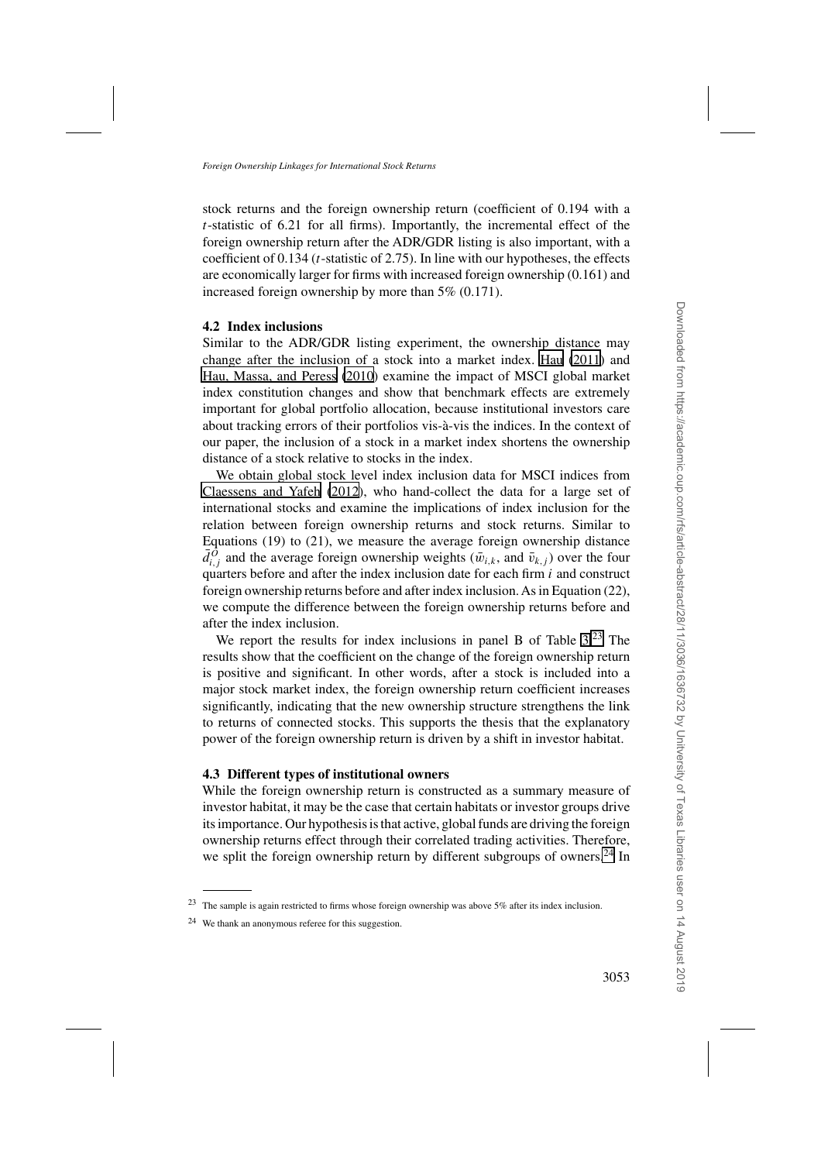stock returns and the foreign ownership return (coefficient of 0.194 with a *t*-statistic of 6.21 for all firms). Importantly, the incremental effect of the foreign ownership return after the ADR/GDR listing is also important, with a coefficient of 0.134 (*t*-statistic of 2.75). In line with our hypotheses, the effects are economically larger for firms with increased foreign ownership (0.161) and increased foreign ownership by more than 5% (0.171).

## **4.2 Index inclusions**

Similar to the ADR/GDR listing experiment, the ownership distance may change after the inclusion of a stock into a market index. [Hau](#page-35-0) [\(2011\)](#page-35-0) and [Hau, Massa, and Peress](#page-35-0) [\(2010\)](#page-35-0) examine the impact of MSCI global market index constitution changes and show that benchmark effects are extremely important for global portfolio allocation, because institutional investors care about tracking errors of their portfolios vis-à-vis the indices. In the context of our paper, the inclusion of a stock in a market index shortens the ownership distance of a stock relative to stocks in the index.

We obtain global stock level index inclusion data for MSCI indices from [Claessens and Yafeh](#page-34-0) [\(2012\)](#page-34-0), who hand-collect the data for a large set of international stocks and examine the implications of index inclusion for the relation between foreign ownership returns and stock returns. Similar to Equations (19) to (21), we measure the average foreign ownership distance  $\bar{d}^O_{i,j}$  and the average foreign ownership weights ( $\bar{w}_{i,k}$ , and  $\bar{v}_{k,j}$ ) over the four quarters before and after the index inclusion date for each firm *i* and construct foreign ownership returns before and after index inclusion. As in Equation (22), we compute the difference between the foreign ownership returns before and after the index inclusion.

We report the results for index inclusions in panel B of Table [3.](#page-18-0)<sup>23</sup> The results show that the coefficient on the change of the foreign ownership return is positive and significant. In other words, after a stock is included into a major stock market index, the foreign ownership return coefficient increases significantly, indicating that the new ownership structure strengthens the link to returns of connected stocks. This supports the thesis that the explanatory power of the foreign ownership return is driven by a shift in investor habitat.

# **4.3 Different types of institutional owners**

While the foreign ownership return is constructed as a summary measure of investor habitat, it may be the case that certain habitats or investor groups drive its importance. Our hypothesis is that active, global funds are driving the foreign ownership returns effect through their correlated trading activities. Therefore, we split the foreign ownership return by different subgroups of owners.<sup>24</sup> In

<sup>23</sup> The sample is again restricted to firms whose foreign ownership was above 5% after its index inclusion.

<sup>24</sup> We thank an anonymous referee for this suggestion.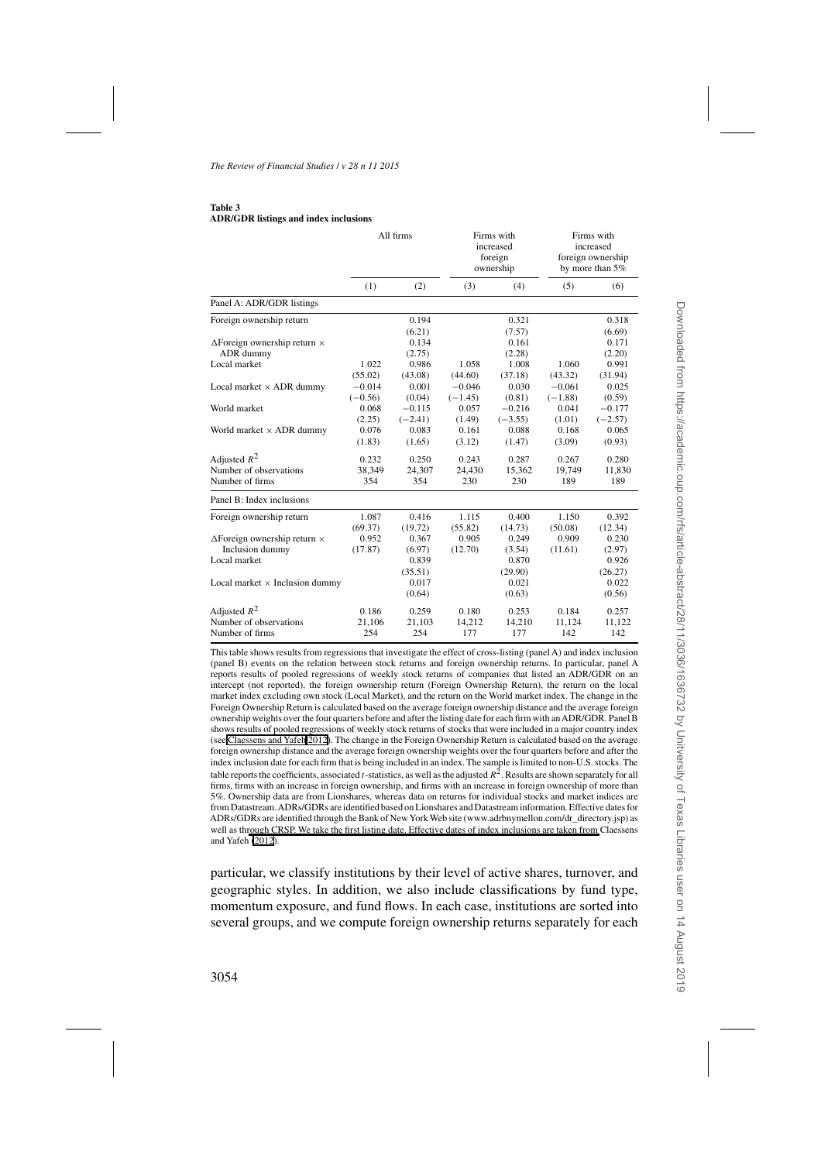#### <span id="page-18-0"></span>**Table 3 ADR/GDR listings and index inclusions**

|                                            | All firms |           |           | Firms with<br>increased<br>foreign<br>ownership |           | Firms with<br>increased<br>foreign ownership<br>by more than 5% |  |
|--------------------------------------------|-----------|-----------|-----------|-------------------------------------------------|-----------|-----------------------------------------------------------------|--|
|                                            | (1)       | (2)       | (3)       | (4)                                             | (5)       | (6)                                                             |  |
| Panel A: ADR/GDR listings                  |           |           |           |                                                 |           |                                                                 |  |
| Foreign ownership return                   |           | 0.194     |           | 0.321                                           |           | 0.318                                                           |  |
|                                            |           | (6.21)    |           | (7.57)                                          |           | (6.69)                                                          |  |
| $\Delta$ Foreign ownership return $\times$ |           | 0.134     |           | 0.161                                           |           | 0.171                                                           |  |
| ADR dummy                                  |           | (2.75)    |           | (2.28)                                          |           | (2.20)                                                          |  |
| Local market                               | 1.022     | 0.986     | 1.058     | 1.008                                           | 1.060     | 0.991                                                           |  |
|                                            | (55.02)   | (43.08)   | (44.60)   | (37.18)                                         | (43.32)   | (31.94)                                                         |  |
| Local market $\times$ ADR dummy            | $-0.014$  | 0.001     | $-0.046$  | 0.030                                           | $-0.061$  | 0.025                                                           |  |
|                                            | $(-0.56)$ | (0.04)    | $(-1.45)$ | (0.81)                                          | $(-1.88)$ | (0.59)                                                          |  |
| World market                               | 0.068     | $-0.115$  | 0.057     | $-0.216$                                        | 0.041     | $-0.177$                                                        |  |
|                                            | (2.25)    | $(-2.41)$ | (1.49)    | $(-3.55)$                                       | (1.01)    | $(-2.57)$                                                       |  |
| World market × ADR dummy                   | 0.076     | 0.083     | 0.161     | 0.088                                           | 0.168     | 0.065                                                           |  |
|                                            | (1.83)    | (1.65)    | (3.12)    | (1.47)                                          | (3.09)    | (0.93)                                                          |  |
| Adjusted $R^2$                             | 0.232     | 0.250     | 0.243     | 0.287                                           | 0.267     | 0.280                                                           |  |
| Number of observations                     | 38,349    | 24,307    | 24,430    | 15,362                                          | 19,749    | 11,830                                                          |  |
| Number of firms                            | 354       | 354       | 230       | 230                                             | 189       | 189                                                             |  |
| Panel B: Index inclusions                  |           |           |           |                                                 |           |                                                                 |  |
| Foreign ownership return                   | 1.087     | 0.416     | 1.115     | 0.400                                           | 1.150     | 0.392                                                           |  |
|                                            | (69.37)   | (19.72)   | (55.82)   | (14.73)                                         | (50.08)   | (12.34)                                                         |  |
| $\Delta$ Foreign ownership return $\times$ | 0.952     | 0.367     | 0.905     | 0.249                                           | 0.909     | 0.230                                                           |  |
| Inclusion dummy                            | (17.87)   | (6.97)    | (12.70)   | (3.54)                                          | (11.61)   | (2.97)                                                          |  |
| Local market                               |           | 0.839     |           | 0.870                                           |           | 0.926                                                           |  |
|                                            |           | (35.51)   |           | (29.90)                                         |           | (26.27)                                                         |  |
| Local market $\times$ Inclusion dummy      |           | 0.017     |           | 0.021                                           |           | 0.022                                                           |  |
|                                            |           | (0.64)    |           | (0.63)                                          |           | (0.56)                                                          |  |
| Adjusted $R^2$                             | 0.186     | 0.259     | 0.180     | 0.253                                           | 0.184     | 0.257                                                           |  |
| Number of observations                     | 21,106    | 21,103    | 14,212    | 14,210                                          | 11,124    | 11,122                                                          |  |
| Number of firms                            | 254       | 254       | 177       | 177                                             | 142       | 142                                                             |  |

This table shows results from regressions that investigate the effect of cross-listing (panel A) and index inclusion (panel B) events on the relation between stock returns and foreign ownership returns. In particular, panel A reports results of pooled regressions of weekly stock returns of companies that listed an ADR/GDR on an intercept (not reported), the foreign ownership return (Foreign Ownership Return), the return on the local market index excluding own stock (Local Market), and the return on the World market index. The change in the Foreign Ownership Return is calculated based on the average foreign ownership distance and the average foreign ownership weights over the four quarters before and after the listing date for each firm with anADR/GDR. Panel B shows results of pooled regressions of weekly stock returns of stocks that were included in a major country index (see [Claessens and Yafeh 2012](#page-34-0)). The change in the Foreign Ownership Return is calculated based on the average foreign ownership distance and the average foreign ownership weights over the four quarters before and after the index inclusion date for each firm that is being included in an index. The sample is limited to non-U.S. stocks. The table reports the coefficients, associated *t*-statistics, as well as the adjusted  $R^2$ . Results are shown separately for all firms, firms with an increase in foreign ownership, and firms with an increase in foreign ownership of more than 5%. Ownership data are from Lionshares, whereas data on returns for individual stocks and market indices are from Datastream.ADRs/GDRs are identified based on Lionshares and Datastream information. Effective dates for ADRs/GDRs are identified through the Bank of New York Web site (www.adrbnymellon.com/dr\_directory.jsp) as well as th[rough CRSP. We take the first listing date. Effective dates of index inclusions are taken from](#page-34-0) Claessens and Yafeh [\(2012](#page-34-0)).

particular, we classify institutions by their level of active shares, turnover, and geographic styles. In addition, we also include classifications by fund type, momentum exposure, and fund flows. In each case, institutions are sorted into several groups, and we compute foreign ownership returns separately for each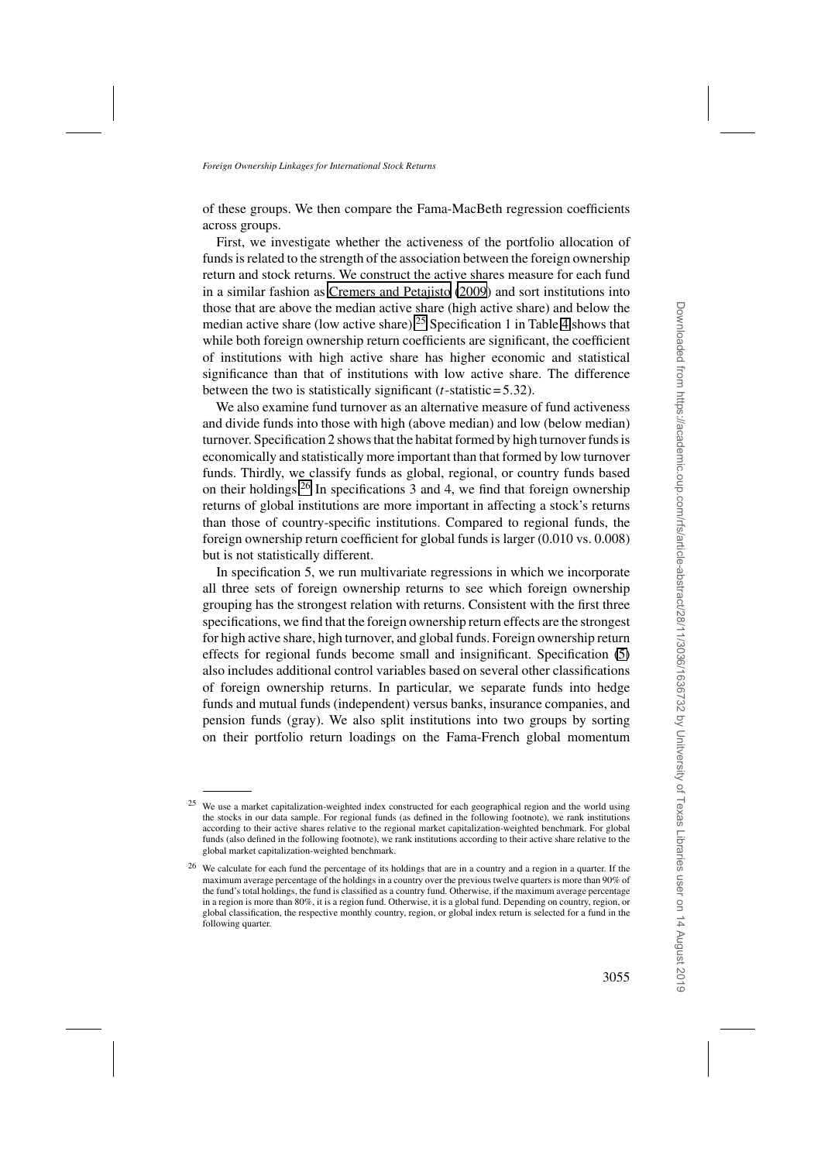of these groups. We then compare the Fama-MacBeth regression coefficients across groups.

First, we investigate whether the activeness of the portfolio allocation of funds is related to the strength of the association between the foreign ownership return and stock returns. We construct the active shares measure for each fund in a similar fashion as [Cremers and Petajisto](#page-34-0) [\(2009\)](#page-34-0) and sort institutions into those that are above the median active share (high active share) and below the median active share (low active share).<sup>25</sup> Specification 1 in Table [4](#page-20-0) shows that while both foreign ownership return coefficients are significant, the coefficient of institutions with high active share has higher economic and statistical significance than that of institutions with low active share. The difference between the two is statistically significant (*t*-statistic= 5*.*32).

We also examine fund turnover as an alternative measure of fund activeness and divide funds into those with high (above median) and low (below median) turnover. Specification 2 shows that the habitat formed by high turnover funds is economically and statistically more important than that formed by low turnover funds. Thirdly, we classify funds as global, regional, or country funds based on their holdings.<sup>26</sup> In specifications 3 and 4, we find that foreign ownership returns of global institutions are more important in affecting a stock's returns than those of country-specific institutions. Compared to regional funds, the foreign ownership return coefficient for global funds is larger (0.010 vs. 0.008) but is not statistically different.

In specification 5, we run multivariate regressions in which we incorporate all three sets of foreign ownership returns to see which foreign ownership grouping has the strongest relation with returns. Consistent with the first three specifications, we find that the foreign ownership return effects are the strongest for high active share, high turnover, and global funds. Foreign ownership return effects for regional funds become small and insignificant. Specification [\(5\)](#page-6-0) also includes additional control variables based on several other classifications of foreign ownership returns. In particular, we separate funds into hedge funds and mutual funds (independent) versus banks, insurance companies, and pension funds (gray). We also split institutions into two groups by sorting on their portfolio return loadings on the Fama-French global momentum

<sup>&</sup>lt;sup>25</sup> We use a market capitalization-weighted index constructed for each geographical region and the world using the stocks in our data sample. For regional funds (as defined in the following footnote), we rank institutions according to their active shares relative to the regional market capitalization-weighted benchmark. For global funds (also defined in the following footnote), we rank institutions according to their active share relative to the global market capitalization-weighted benchmark.

<sup>&</sup>lt;sup>26</sup> We calculate for each fund the percentage of its holdings that are in a country and a region in a quarter. If the maximum average percentage of the holdings in a country over the previous twelve quarters is more than 90% of the fund's total holdings, the fund is classified as a country fund. Otherwise, if the maximum average percentage in a region is more than 80%, it is a region fund. Otherwise, it is a global fund. Depending on country, region, or global classification, the respective monthly country, region, or global index return is selected for a fund in the following quarter.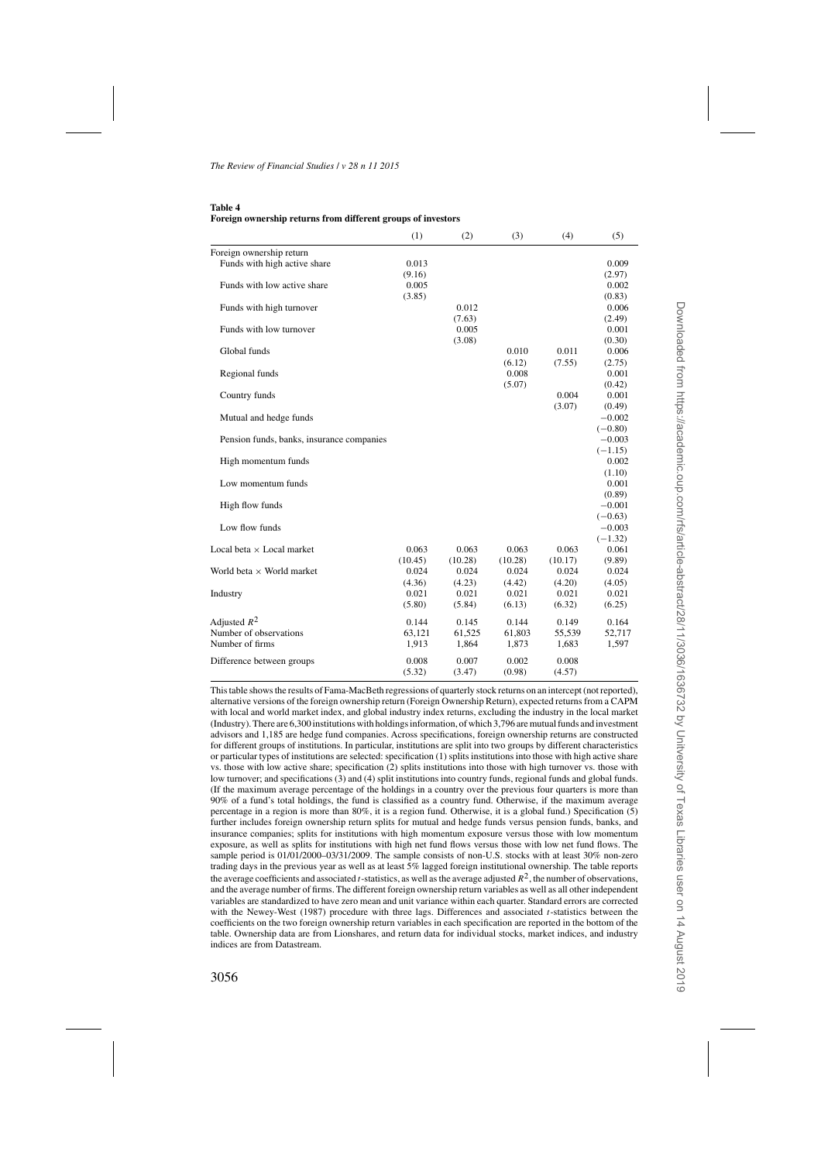#### <span id="page-20-0"></span>**Table 4 Foreign ownership returns from different groups of investors**

|                                           | (1)             | (2)             | (3)             | (4)             | (5)             |
|-------------------------------------------|-----------------|-----------------|-----------------|-----------------|-----------------|
| Foreign ownership return                  |                 |                 |                 |                 |                 |
| Funds with high active share              | 0.013           |                 |                 |                 | 0.009           |
|                                           | (9.16)          |                 |                 |                 | (2.97)          |
| Funds with low active share               | 0.005           |                 |                 |                 | 0.002           |
|                                           | (3.85)          |                 |                 |                 | (0.83)          |
| Funds with high turnover                  |                 | 0.012           |                 |                 | 0.006           |
|                                           |                 | (7.63)          |                 |                 | (2.49)          |
| Funds with low turnover                   |                 | 0.005           |                 |                 | 0.001           |
|                                           |                 | (3.08)          |                 |                 | (0.30)          |
| Global funds                              |                 |                 | 0.010           | 0.011           | 0.006           |
|                                           |                 |                 | (6.12)          | (7.55)          | (2.75)          |
| Regional funds                            |                 |                 | 0.008           |                 | 0.001           |
|                                           |                 |                 | (5.07)          |                 | (0.42)          |
| Country funds                             |                 |                 |                 | 0.004           | 0.001           |
|                                           |                 |                 |                 | (3.07)          | (0.49)          |
| Mutual and hedge funds                    |                 |                 |                 |                 | $-0.002$        |
|                                           |                 |                 |                 |                 | $(-0.80)$       |
| Pension funds, banks, insurance companies |                 |                 |                 |                 | $-0.003$        |
|                                           |                 |                 |                 |                 | $(-1.15)$       |
| High momentum funds                       |                 |                 |                 |                 | 0.002           |
|                                           |                 |                 |                 |                 | (1.10)          |
| Low momentum funds                        |                 |                 |                 |                 | 0.001           |
|                                           |                 |                 |                 |                 | (0.89)          |
| High flow funds                           |                 |                 |                 |                 | $-0.001$        |
|                                           |                 |                 |                 |                 | $(-0.63)$       |
| Low flow funds                            |                 |                 |                 |                 | $-0.003$        |
|                                           |                 |                 |                 |                 | $(-1.32)$       |
| Local beta $\times$ Local market          | 0.063           | 0.063           | 0.063           | 0.063           | 0.061           |
|                                           | (10.45)         | (10.28)         | (10.28)         | (10.17)         | (9.89)          |
| World beta $\times$ World market          | 0.024           | 0.024           | 0.024           | 0.024           | 0.024           |
|                                           | (4.36)<br>0.021 | (4.23)<br>0.021 | (4.42)<br>0.021 | (4.20)<br>0.021 | (4.05)<br>0.021 |
| Industry                                  |                 |                 |                 |                 |                 |
|                                           | (5.80)          | (5.84)          | (6.13)          | (6.32)          | (6.25)          |
| Adjusted $R^2$                            | 0.144           | 0.145           | 0.144           | 0.149           | 0.164           |
| Number of observations                    | 63.121          | 61,525          | 61,803          | 55,539          | 52,717          |
| Number of firms                           | 1,913           | 1,864           | 1,873           | 1,683           | 1,597           |
|                                           |                 |                 | 0.002           |                 |                 |
| Difference between groups                 | 0.008<br>(5.32) | 0.007<br>(3.47) | (0.98)          | 0.008<br>(4.57) |                 |
|                                           |                 |                 |                 |                 |                 |

This table shows the results of Fama-MacBeth regressions of quarterly stock returns on an intercept (not reported), alternative versions of the foreign ownership return (Foreign Ownership Return), expected returns from a CAPM with local and world market index, and global industry index returns, excluding the industry in the local market (Industry). There are 6,300 institutions with holdings information, of which 3,796 are mutual funds and investment advisors and 1,185 are hedge fund companies. Across specifications, foreign ownership returns are constructed for different groups of institutions. In particular, institutions are split into two groups by different characteristics or particular types of institutions are selected: specification (1) splits institutions into those with high active share vs. those with low active share; specification (2) splits institutions into those with high turnover vs. those with low turnover; and specifications (3) and (4) split institutions into country funds, regional funds and global funds. (If the maximum average percentage of the holdings in a country over the previous four quarters is more than 90% of a fund's total holdings, the fund is classified as a country fund. Otherwise, if the maximum average percentage in a region is more than 80%, it is a region fund. Otherwise, it is a global fund.) Specification (5) further includes foreign ownership return splits for mutual and hedge funds versus pension funds, banks, and insurance companies; splits for institutions with high momentum exposure versus those with low momentum exposure, as well as splits for institutions with high net fund flows versus those with low net fund flows. The sample period is 01/01/2000–03/31/2009. The sample consists of non-U.S. stocks with at least 30% non-zero trading days in the previous year as well as at least 5% lagged foreign institutional ownership. The table reports the average coefficients and associated *t*-statistics, as well as the average adjusted  $R^2$ , the number of observations, and the average number of firms. The different foreign ownership return variables as well as all other independent variables are standardized to have zero mean and unit variance within each quarter. Standard errors are corrected with the Newey-West (1987) procedure with three lags. Differences and associated *t*-statistics between the coefficients on the two foreign ownership return variables in each specification are reported in the bottom of the table. Ownership data are from Lionshares, and return data for individual stocks, market indices, and industry indices are from Datastream.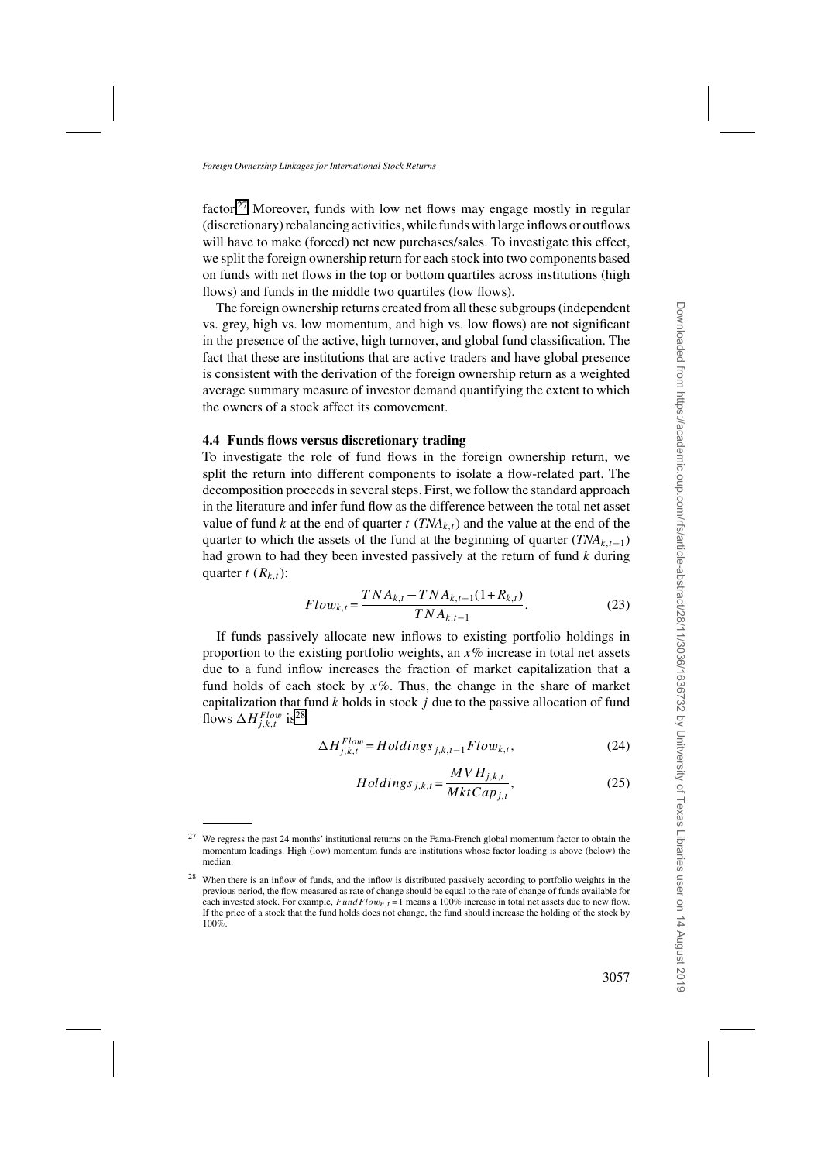factor.<sup>27</sup> Moreover, funds with low net flows may engage mostly in regular (discretionary) rebalancing activities, while funds with large inflows or outflows will have to make (forced) net new purchases/sales. To investigate this effect, we split the foreign ownership return for each stock into two components based on funds with net flows in the top or bottom quartiles across institutions (high flows) and funds in the middle two quartiles (low flows).

The foreign ownership returns created from all these subgroups (independent vs. grey, high vs. low momentum, and high vs. low flows) are not significant in the presence of the active, high turnover, and global fund classification. The fact that these are institutions that are active traders and have global presence is consistent with the derivation of the foreign ownership return as a weighted average summary measure of investor demand quantifying the extent to which the owners of a stock affect its comovement.

# **4.4 Funds flows versus discretionary trading**

To investigate the role of fund flows in the foreign ownership return, we split the return into different components to isolate a flow-related part. The decomposition proceeds in several steps. First, we follow the standard approach in the literature and infer fund flow as the difference between the total net asset value of fund *k* at the end of quarter *t* ( $TNA<sub>k</sub>$ ) and the value at the end of the quarter to which the assets of the fund at the beginning of quarter (*TNA<sub>k t*-1</sub>) had grown to had they been invested passively at the return of fund *k* during quarter  $t$  ( $R_{k,t}$ ):

$$
Flow_{k,t} = \frac{TNA_{k,t} - TNA_{k,t-1}(1+R_{k,t})}{TNA_{k,t-1}}.
$$
\n(23)

If funds passively allocate new inflows to existing portfolio holdings in proportion to the existing portfolio weights, an *x*% increase in total net assets due to a fund inflow increases the fraction of market capitalization that a fund holds of each stock by  $x\%$ . Thus, the change in the share of market capitalization that fund *k* holds in stock *j* due to the passive allocation of fund flows  $\Delta H_{j,k,t}^{Flow}$  is<sup>28</sup>

$$
\Delta H_{j,k,t}^{Flow} = Holdings_{j,k,t-1}Flow_{k,t},\tag{24}
$$

$$
Holdings_{j,k,t} = \frac{MVH_{j,k,t}}{MktCap_{j,t}},
$$
\n(25)

<sup>27</sup> We regress the past 24 months' institutional returns on the Fama-French global momentum factor to obtain the momentum loadings. High (low) momentum funds are institutions whose factor loading is above (below) the median.

<sup>&</sup>lt;sup>28</sup> When there is an inflow of funds, and the inflow is distributed passively according to portfolio weights in the previous period, the flow measured as rate of change should be equal to the rate of change of funds available for each invested stock. For example,  $FundFlow_{n,t} = 1$  means a 100% increase in total net assets due to new flow. If the price of a stock that the fund holds does not change, the fund should increase the holding of the stock by 100%.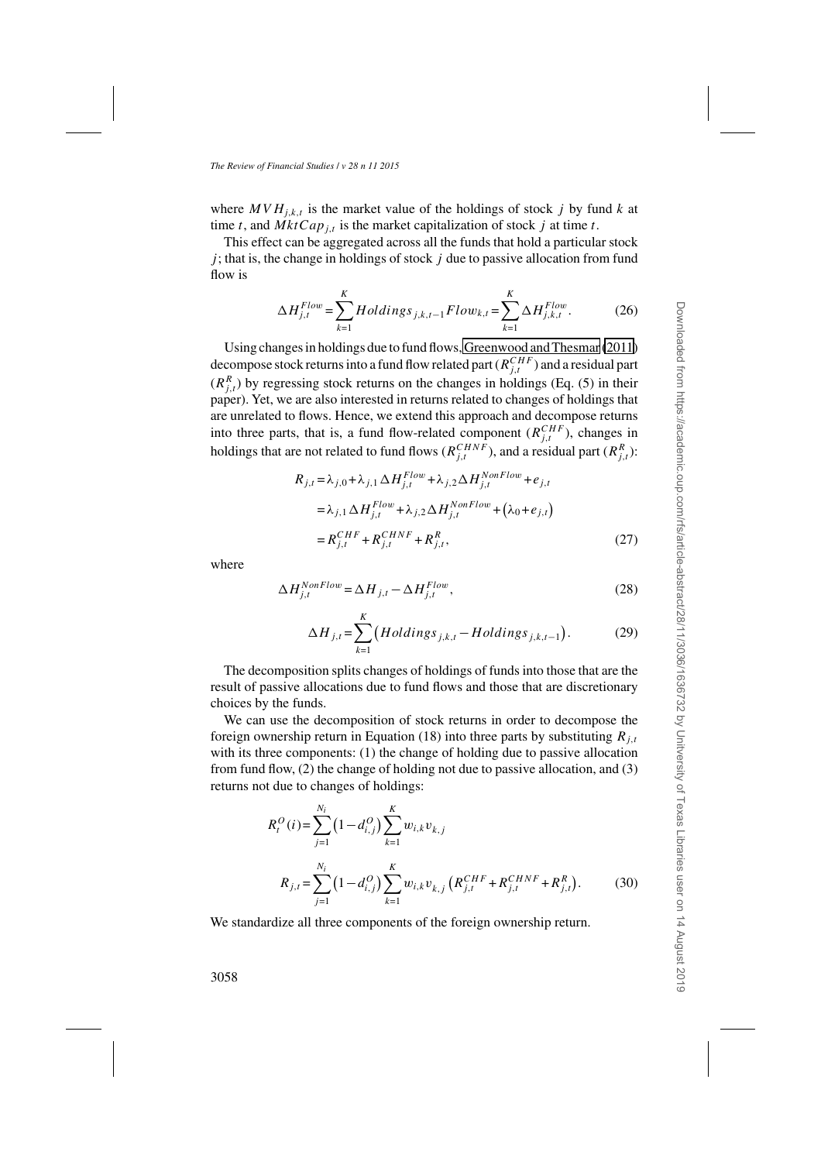where  $MVH_{i,k,t}$  is the market value of the holdings of stock *j* by fund *k* at time *t*, and  $MktCap_{i,t}$  is the market capitalization of stock *j* at time *t*.

This effect can be aggregated across all the funds that hold a particular stock *j* ; that is, the change in holdings of stock *j* due to passive allocation from fund flow is

$$
\Delta H_{j,t}^{Flow} = \sum_{k=1}^{K} Holdings_{j,k,t-1}Flow_{k,t} = \sum_{k=1}^{K} \Delta H_{j,k,t}^{Flow}.
$$
 (26)

Using changes in holdings due to fund flows, [Greenwood and Thesmar](#page-35-0) [\(2011\)](#page-35-0) decompose stock returns into a fund flow related part  $(R^{CHF}_{j,t})$  and a residual part  $(R_{j,t}^R)$  by regressing stock returns on the changes in holdings (Eq. (5) in their paper). Yet, we are also interested in returns related to changes of holdings that are unrelated to flows. Hence, we extend this approach and decompose returns into three parts, that is, a fund flow-related component  $(R_{j,t}^{CHF})$ , changes in holdings that are not related to fund flows ( $R_{j,t}^{CHNF}$ ), and a residual part ( $R_{j,t}^{R}$ ):

$$
R_{j,t} = \lambda_{j,0} + \lambda_{j,1} \Delta H_{j,t}^{Flow} + \lambda_{j,2} \Delta H_{j,t}^{NonFlow} + e_{j,t}
$$
  
\n
$$
= \lambda_{j,1} \Delta H_{j,t}^{Flow} + \lambda_{j,2} \Delta H_{j,t}^{NonFlow} + (\lambda_0 + e_{j,t})
$$
  
\n
$$
= R_{j,t}^{CHF} + R_{j,t}^{CHNF} + R_{j,t}^{R},
$$
\n(27)

where

$$
\Delta H_{j,t}^{NonFlow} = \Delta H_{j,t} - \Delta H_{j,t}^{Flow},\tag{28}
$$

$$
\Delta H_{j,t} = \sum_{k=1}^{K} \left( Holdings_{j,k,t} - Holdings_{j,k,t-1} \right). \tag{29}
$$

The decomposition splits changes of holdings of funds into those that are the result of passive allocations due to fund flows and those that are discretionary choices by the funds.

We can use the decomposition of stock returns in order to decompose the foreign ownership return in Equation (18) into three parts by substituting  $R_{i,t}$ with its three components: (1) the change of holding due to passive allocation from fund flow, (2) the change of holding not due to passive allocation, and (3) returns not due to changes of holdings:

$$
R_t^O(i) = \sum_{j=1}^{N_i} \left(1 - d_{i,j}^O\right) \sum_{k=1}^K w_{i,k} v_{k,j}
$$
  

$$
R_{j,t} = \sum_{j=1}^{N_i} \left(1 - d_{i,j}^O\right) \sum_{k=1}^K w_{i,k} v_{k,j} \left(R_{j,t}^{CHF} + R_{j,t}^{CHNF} + R_{j,t}^R\right).
$$
 (30)

We standardize all three components of the foreign ownership return.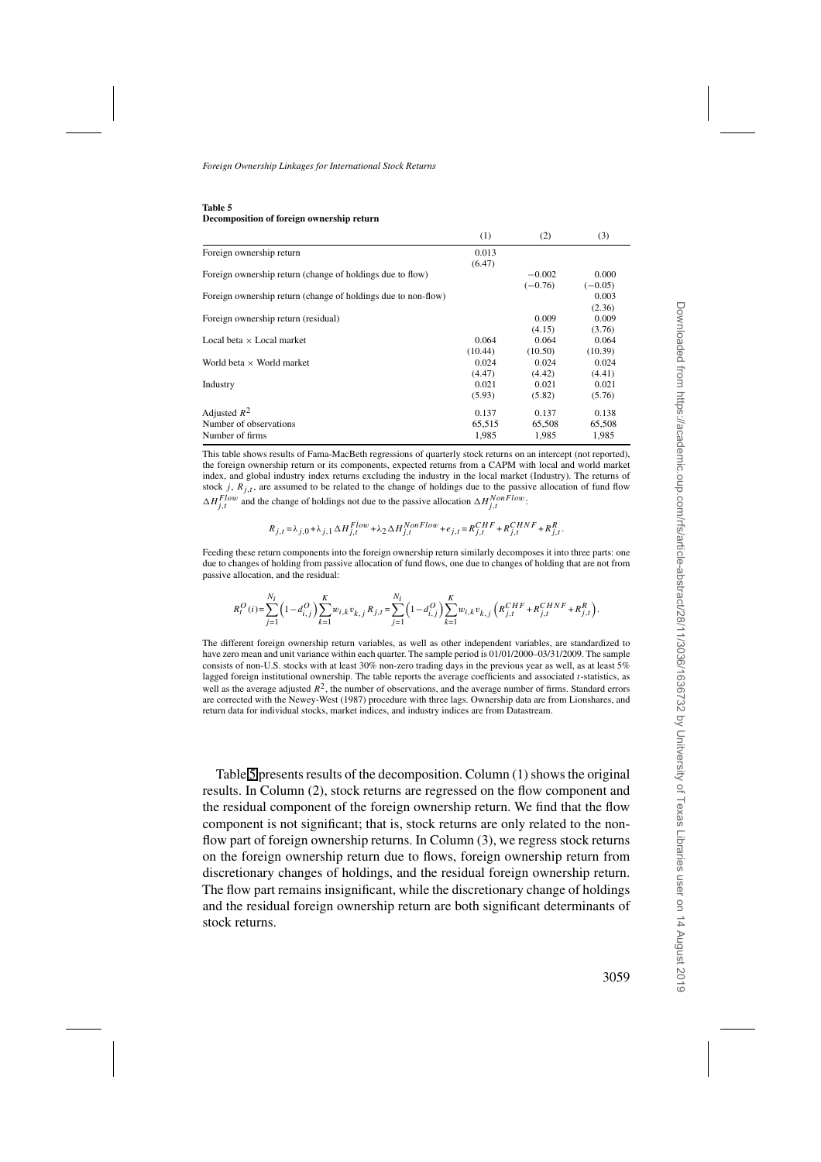#### **Table 5 Decomposition of foreign ownership return**

|                                                               | (1)     | (2)       | (3)       |
|---------------------------------------------------------------|---------|-----------|-----------|
| Foreign ownership return                                      | 0.013   |           |           |
|                                                               | (6.47)  |           |           |
| Foreign ownership return (change of holdings due to flow)     |         | $-0.002$  | 0.000     |
|                                                               |         | $(-0.76)$ | $(-0.05)$ |
| Foreign ownership return (change of holdings due to non-flow) |         |           | 0.003     |
|                                                               |         |           | (2.36)    |
| Foreign ownership return (residual)                           |         | 0.009     | 0.009     |
|                                                               |         | (4.15)    | (3.76)    |
| Local beta $\times$ Local market                              | 0.064   | 0.064     | 0.064     |
|                                                               | (10.44) | (10.50)   | (10.39)   |
| World beta $\times$ World market                              | 0.024   | 0.024     | 0.024     |
|                                                               | (4.47)  | (4.42)    | (4.41)    |
| Industry                                                      | 0.021   | 0.021     | 0.021     |
|                                                               | (5.93)  | (5.82)    | (5.76)    |
| Adjusted $R^2$                                                | 0.137   | 0.137     | 0.138     |
| Number of observations                                        | 65,515  | 65,508    | 65,508    |
| Number of firms                                               | 1.985   | 1.985     | 1,985     |

This table shows results of Fama-MacBeth regressions of quarterly stock returns on an intercept (not reported), the foreign ownership return or its components, expected returns from a CAPM with local and world market index, and global industry index returns excluding the industry in the local market (Industry). The returns of stock *j*,  $R_{i,t}$ , are assumed to be related to the change of holdings due to the passive allocation of fund flow  $\Delta H_{j,t}^{Flow}$  and the change of holdings not due to the passive allocation  $\Delta H_{j,t}^{NonFlow}$ .

$$
R_{j,t} \!=\! \lambda_{j,0} \!+\! \lambda_{j,1} \, \Delta H^{Flow}_{j,t} \!+\! \lambda_2 \, \Delta H^{NonFlow}_{j,t} \!+\! e_{j,t} \!=\! R^{CHF}_{j,t} \!+\! R^{CHNF}_{j,t} \!+\! R^{R}_{j,t},
$$

Feeding these return components into the foreign ownership return similarly decomposes it into three parts: one due to changes of holding from passive allocation of fund flows, one due to changes of holding that are not from passive allocation, and the residual:

$$
R_t^O(i)\!=\!\sum_{j=1}^{N_i}\!\left(1-d_{i,j}^O\right)\!\sum_{k=1}^{K}\!w_{i,k}v_{k,j}\,R_{j,t}\!=\!\sum_{j=1}^{N_i}\!\left(1-d_{i,j}^O\right)\!\sum_{k=1}^{K}\!w_{i,k}v_{k,j}\left(R_{j,t}^{CHF}+R_{j,t}^{CHNF}+R_{j,t}^R\right)\!.\nonumber\\
$$

The different foreign ownership return variables, as well as other independent variables, are standardized to have zero mean and unit variance within each quarter. The sample period is 01/01/2000–03/31/2009. The sample consists of non-U.S. stocks with at least 30% non-zero trading days in the previous year as well, as at least 5% lagged foreign institutional ownership. The table reports the average coefficients and associated *t*-statistics, as well as the average adjusted  $R^2$ , the number of observations, and the average number of firms. Standard errors are corrected with the Newey-West (1987) procedure with three lags. Ownership data are from Lionshares, and return data for individual stocks, market indices, and industry indices are from Datastream.

Table 5 presents results of the decomposition. Column (1) shows the original results. In Column (2), stock returns are regressed on the flow component and the residual component of the foreign ownership return. We find that the flow component is not significant; that is, stock returns are only related to the nonflow part of foreign ownership returns. In Column (3), we regress stock returns on the foreign ownership return due to flows, foreign ownership return from discretionary changes of holdings, and the residual foreign ownership return. The flow part remains insignificant, while the discretionary change of holdings and the residual foreign ownership return are both significant determinants of stock returns.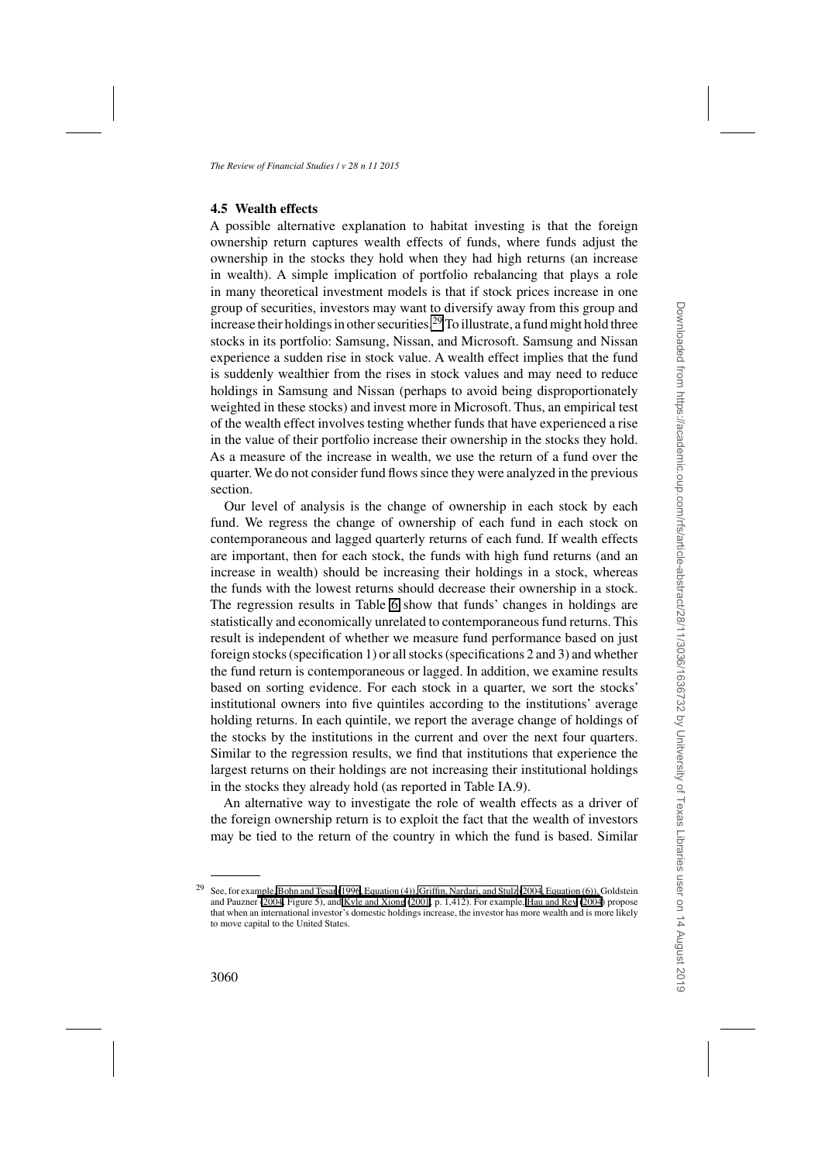# **4.5 Wealth effects**

A possible alternative explanation to habitat investing is that the foreign ownership return captures wealth effects of funds, where funds adjust the ownership in the stocks they hold when they had high returns (an increase in wealth). A simple implication of portfolio rebalancing that plays a role in many theoretical investment models is that if stock prices increase in one group of securities, investors may want to diversify away from this group and increase their holdings in other securities.<sup>29</sup> To illustrate, a fund might hold three stocks in its portfolio: Samsung, Nissan, and Microsoft. Samsung and Nissan experience a sudden rise in stock value. A wealth effect implies that the fund is suddenly wealthier from the rises in stock values and may need to reduce holdings in Samsung and Nissan (perhaps to avoid being disproportionately weighted in these stocks) and invest more in Microsoft. Thus, an empirical test of the wealth effect involves testing whether funds that have experienced a rise in the value of their portfolio increase their ownership in the stocks they hold. As a measure of the increase in wealth, we use the return of a fund over the quarter. We do not consider fund flows since they were analyzed in the previous section.

Our level of analysis is the change of ownership in each stock by each fund. We regress the change of ownership of each fund in each stock on contemporaneous and lagged quarterly returns of each fund. If wealth effects are important, then for each stock, the funds with high fund returns (and an increase in wealth) should be increasing their holdings in a stock, whereas the funds with the lowest returns should decrease their ownership in a stock. The regression results in Table [6](#page-25-0) show that funds' changes in holdings are statistically and economically unrelated to contemporaneous fund returns. This result is independent of whether we measure fund performance based on just foreign stocks (specification 1) or all stocks (specifications 2 and 3) and whether the fund return is contemporaneous or lagged. In addition, we examine results based on sorting evidence. For each stock in a quarter, we sort the stocks' institutional owners into five quintiles according to the institutions' average holding returns. In each quintile, we report the average change of holdings of the stocks by the institutions in the current and over the next four quarters. Similar to the regression results, we find that institutions that experience the largest returns on their holdings are not increasing their institutional holdings in the stocks they already hold (as reported in Table IA.9).

An alternative way to investigate the role of wealth effects as a driver of the foreign ownership return is to exploit the fact that the wealth of investors may be tied to the return of the country in which the fund is based. Similar

<sup>&</sup>lt;sup>29</sup> See, for exa[mple,](#page-35-0) [Bohn and Tesar](#page-34-0)[\(1996](#page-34-0)[, Equation \(4\)\), Griffin, Nardari, and Stulz \(2004, Equation \(6\)\),](#page-35-0) Goldstein and Pauzner [\(2004,](#page-35-0) Figure 5), and [Kyle and Xiong](#page-36-0) [\(2001](#page-36-0), p. 1,412). For example, [Hau and Rey](#page-35-0) [\(2004](#page-35-0)) propose that when an international investor's domestic holdings increase, the investor has more wealth and is more likely to move capital to the United States.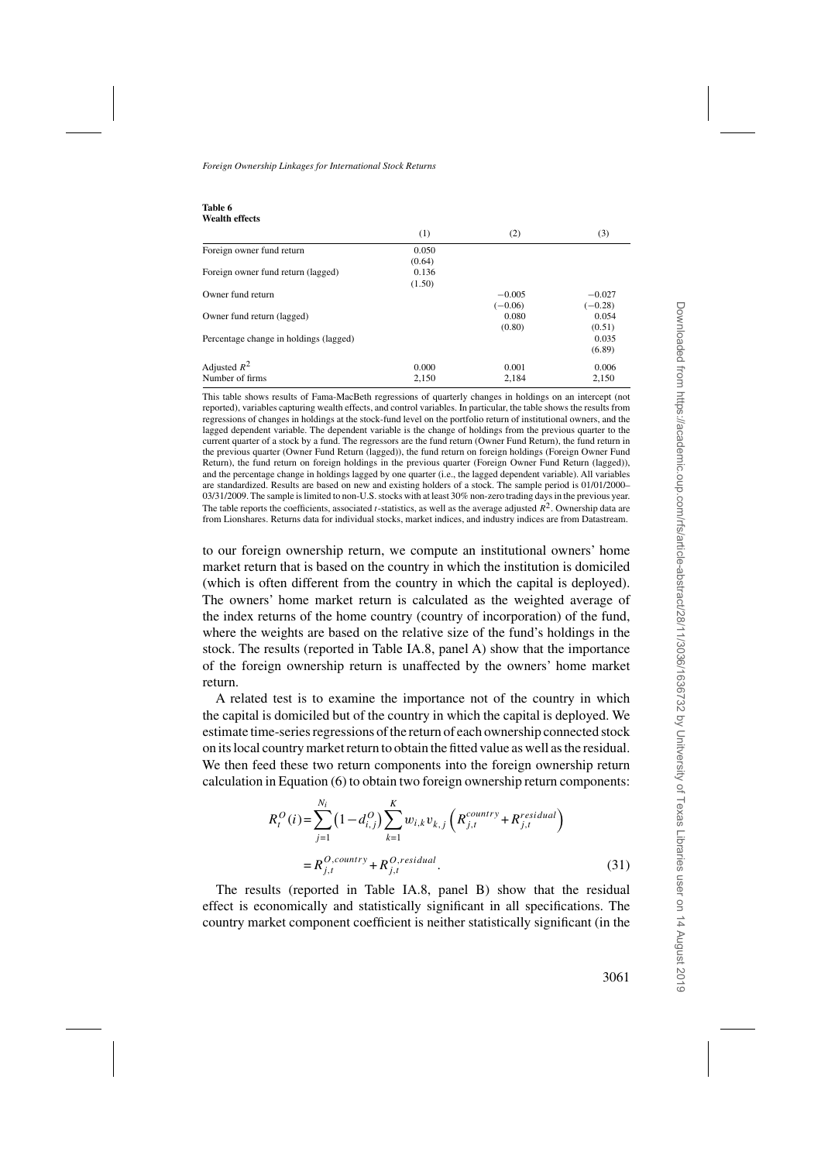<span id="page-25-0"></span>

| Table 6               |  |
|-----------------------|--|
| <b>Wealth effects</b> |  |

|                                        | (1)    | (2)       | (3)       |
|----------------------------------------|--------|-----------|-----------|
| Foreign owner fund return              | 0.050  |           |           |
|                                        | (0.64) |           |           |
| Foreign owner fund return (lagged)     | 0.136  |           |           |
|                                        | (1.50) |           |           |
| Owner fund return                      |        | $-0.005$  | $-0.027$  |
|                                        |        | $(-0.06)$ | $(-0.28)$ |
| Owner fund return (lagged)             |        | 0.080     | 0.054     |
|                                        |        | (0.80)    | (0.51)    |
| Percentage change in holdings (lagged) |        |           | 0.035     |
|                                        |        |           | (6.89)    |
| Adjusted $R^2$                         | 0.000  | 0.001     | 0.006     |
| Number of firms                        | 2.150  | 2.184     | 2.150     |

This table shows results of Fama-MacBeth regressions of quarterly changes in holdings on an intercept (not reported), variables capturing wealth effects, and control variables. In particular, the table shows the results from regressions of changes in holdings at the stock-fund level on the portfolio return of institutional owners, and the lagged dependent variable. The dependent variable is the change of holdings from the previous quarter to the current quarter of a stock by a fund. The regressors are the fund return (Owner Fund Return), the fund return in the previous quarter (Owner Fund Return (lagged)), the fund return on foreign holdings (Foreign Owner Fund Return), the fund return on foreign holdings in the previous quarter (Foreign Owner Fund Return (lagged)), and the percentage change in holdings lagged by one quarter (i.e., the lagged dependent variable). All variables are standardized. Results are based on new and existing holders of a stock. The sample period is 01/01/2000– 03/31/2009. The sample is limited to non-U.S. stocks with at least 30% non-zero trading days in the previous year. The table reports the coefficients, associated *t*-statistics, as well as the average adjusted *R*2. Ownership data are from Lionshares. Returns data for individual stocks, market indices, and industry indices are from Datastream.

to our foreign ownership return, we compute an institutional owners' home market return that is based on the country in which the institution is domiciled (which is often different from the country in which the capital is deployed). The owners' home market return is calculated as the weighted average of the index returns of the home country (country of incorporation) of the fund, where the weights are based on the relative size of the fund's holdings in the stock. The results (reported in Table IA.8, panel A) show that the importance of the foreign ownership return is unaffected by the owners' home market return.

A related test is to examine the importance not of the country in which the capital is domiciled but of the country in which the capital is deployed. We estimate time-series regressions of the return of each ownership connected stock on its local country market return to obtain the fitted value as well as the residual. We then feed these two return components into the foreign ownership return calculation in Equation (6) to obtain two foreign ownership return components:

$$
R_t^O(i) = \sum_{j=1}^{N_i} \left(1 - d_{i,j}^O\right) \sum_{k=1}^K w_{i,k} v_{k,j} \left(R_{j,t}^{countery} + R_{j,t}^{residual}\right)
$$
  
=  $R_{j,t}^{O, country} + R_{j,t}^{O,residual}$ . (31)

The results (reported in Table IA.8, panel B) show that the residual effect is economically and statistically significant in all specifications. The country market component coefficient is neither statistically significant (in the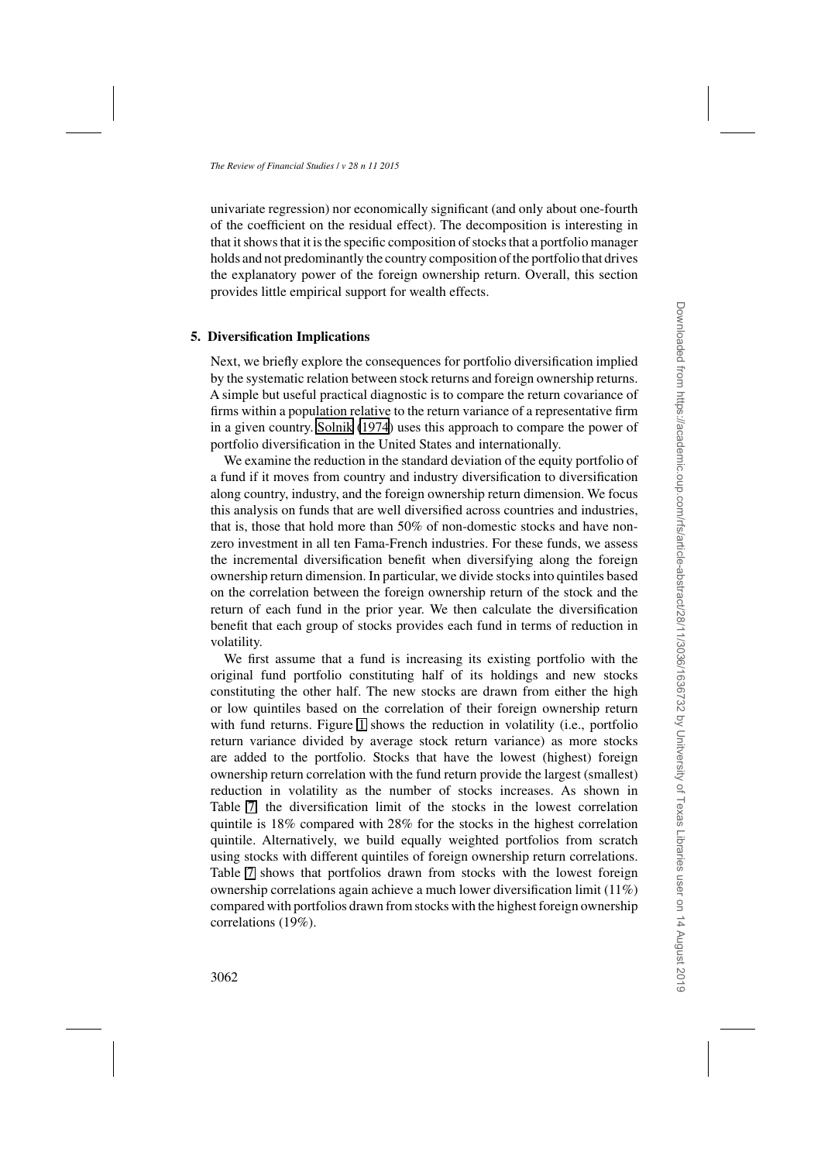univariate regression) nor economically significant (and only about one-fourth of the coefficient on the residual effect). The decomposition is interesting in that it shows that it is the specific composition of stocks that a portfolio manager holds and not predominantly the country composition of the portfolio that drives the explanatory power of the foreign ownership return. Overall, this section provides little empirical support for wealth effects.

# **5. Diversification Implications**

Next, we briefly explore the consequences for portfolio diversification implied by the systematic relation between stock returns and foreign ownership returns. A simple but useful practical diagnostic is to compare the return covariance of firms within a population relative to the return variance of a representative firm in a given country. [Solnik](#page-36-0) [\(1974\)](#page-36-0) uses this approach to compare the power of portfolio diversification in the United States and internationally.

We examine the reduction in the standard deviation of the equity portfolio of a fund if it moves from country and industry diversification to diversification along country, industry, and the foreign ownership return dimension. We focus this analysis on funds that are well diversified across countries and industries, that is, those that hold more than 50% of non-domestic stocks and have nonzero investment in all ten Fama-French industries. For these funds, we assess the incremental diversification benefit when diversifying along the foreign ownership return dimension. In particular, we divide stocks into quintiles based on the correlation between the foreign ownership return of the stock and the return of each fund in the prior year. We then calculate the diversification benefit that each group of stocks provides each fund in terms of reduction in volatility.

We first assume that a fund is increasing its existing portfolio with the original fund portfolio constituting half of its holdings and new stocks constituting the other half. The new stocks are drawn from either the high or low quintiles based on the correlation of their foreign ownership return with fund returns. Figure [1](#page-27-0) shows the reduction in volatility (i.e., portfolio return variance divided by average stock return variance) as more stocks are added to the portfolio. Stocks that have the lowest (highest) foreign ownership return correlation with the fund return provide the largest (smallest) reduction in volatility as the number of stocks increases. As shown in Table [7,](#page-28-0) the diversification limit of the stocks in the lowest correlation quintile is 18% compared with 28% for the stocks in the highest correlation quintile. Alternatively, we build equally weighted portfolios from scratch using stocks with different quintiles of foreign ownership return correlations. Table [7](#page-28-0) shows that portfolios drawn from stocks with the lowest foreign ownership correlations again achieve a much lower diversification limit (11%) compared with portfolios drawn from stocks with the highest foreign ownership correlations (19%).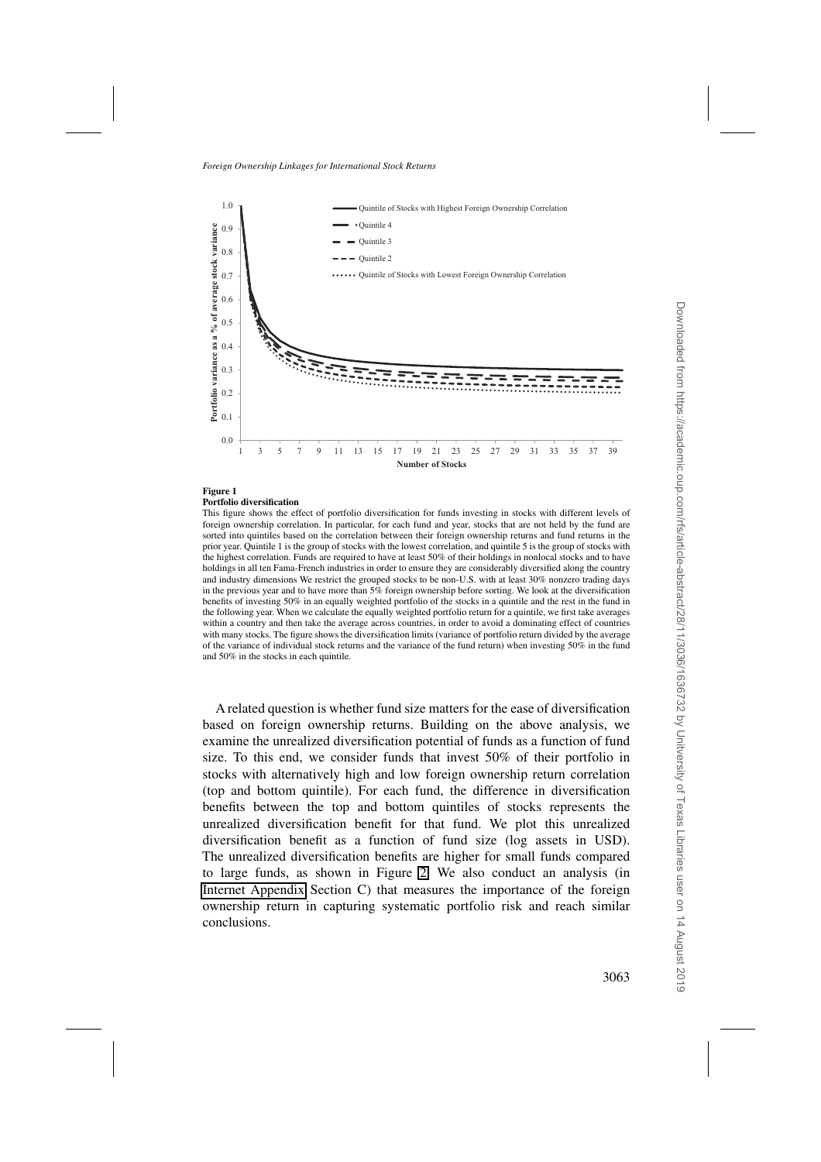<span id="page-27-0"></span>

## **Figure 1**

#### **Portfolio diversification**

This figure shows the effect of portfolio diversification for funds investing in stocks with different levels of foreign ownership correlation. In particular, for each fund and year, stocks that are not held by the fund are sorted into quintiles based on the correlation between their foreign ownership returns and fund returns in the prior year. Quintile 1 is the group of stocks with the lowest correlation, and quintile 5 is the group of stocks with the highest correlation. Funds are required to have at least 50% of their holdings in nonlocal stocks and to have holdings in all ten Fama-French industries in order to ensure they are considerably diversified along the country and industry dimensions We restrict the grouped stocks to be non-U.S. with at least 30% nonzero trading days in the previous year and to have more than 5% foreign ownership before sorting. We look at the diversification benefits of investing 50% in an equally weighted portfolio of the stocks in a quintile and the rest in the fund in the following year. When we calculate the equally weighted portfolio return for a quintile, we first take averages within a country and then take the average across countries, in order to avoid a dominating effect of countries with many stocks. The figure shows the diversification limits (variance of portfolio return divided by the average of the variance of individual stock returns and the variance of the fund return) when investing 50% in the fund and 50% in the stocks in each quintile.

A related question is whether fund size matters for the ease of diversification based on foreign ownership returns. Building on the above analysis, we examine the unrealized diversification potential of funds as a function of fund size. To this end, we consider funds that invest 50% of their portfolio in stocks with alternatively high and low foreign ownership return correlation (top and bottom quintile). For each fund, the difference in diversification benefits between the top and bottom quintiles of stocks represents the unrealized diversification benefit for that fund. We plot this unrealized diversification benefit as a function of fund size (log assets in USD). The unrealized diversification benefits are higher for small funds compared to large funds, as shown in Figure [2.](#page-29-0) We also conduct an analysis (in [Internet Appendix](http://rfs.oxfordjournals.org/lookup/suppl/doi:10.1093/rfs/hhv030/-/DC1) Section C) that measures the importance of the foreign ownership return in capturing systematic portfolio risk and reach similar conclusions.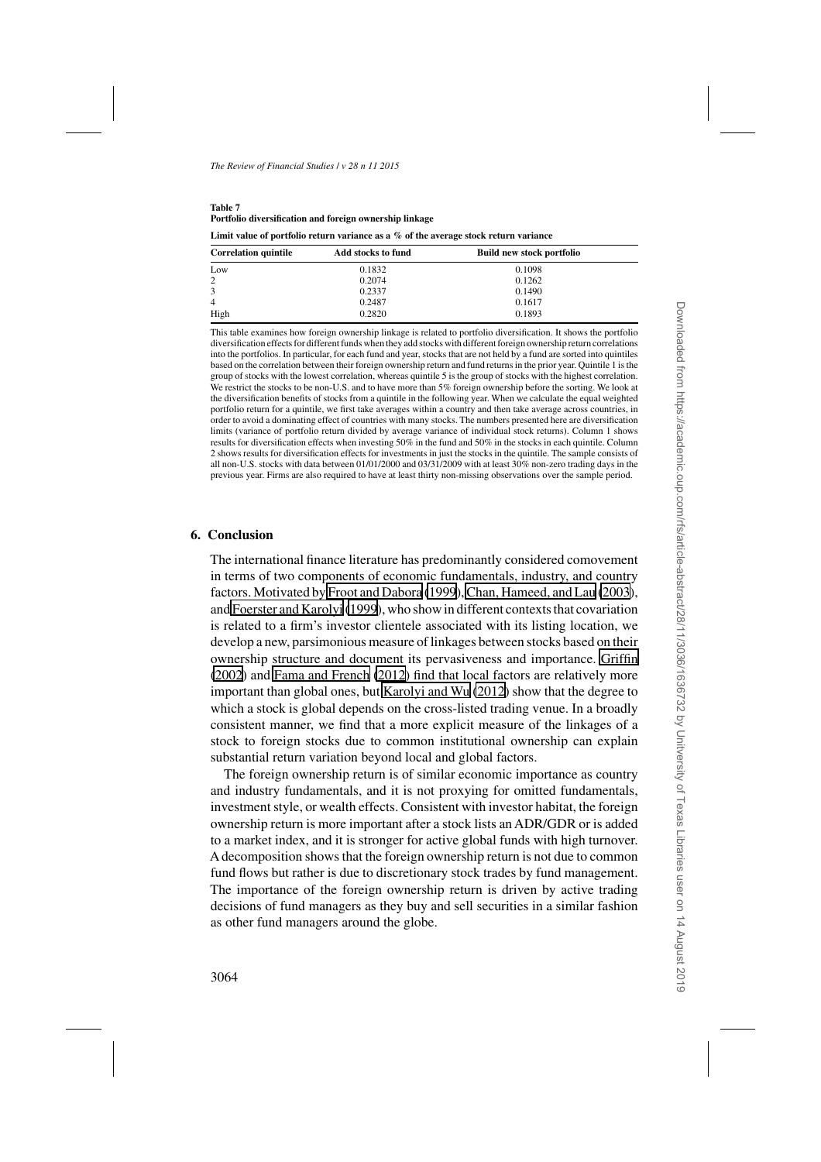<span id="page-28-0"></span>

| Table 7                                                 |
|---------------------------------------------------------|
| Portfolio diversification and foreign ownership linkage |

| Limit value of portfolio return variance as a $\%$ of the average stock return variance |  |  |
|-----------------------------------------------------------------------------------------|--|--|
|-----------------------------------------------------------------------------------------|--|--|

| <b>Correlation quintile</b> | Add stocks to fund | <b>Build new stock portfolio</b> |  |
|-----------------------------|--------------------|----------------------------------|--|
| Low                         | 0.1832             | 0.1098                           |  |
| 2                           | 0.2074             | 0.1262                           |  |
| 3                           | 0.2337             | 0.1490                           |  |
| $\overline{4}$              | 0.2487             | 0.1617                           |  |
| High                        | 0.2820             | 0.1893                           |  |

This table examines how foreign ownership linkage is related to portfolio diversification. It shows the portfolio diversification effects for different funds when they add stocks with different foreign ownership return correlations into the portfolios. In particular, for each fund and year, stocks that are not held by a fund are sorted into quintiles based on the correlation between their foreign ownership return and fund returns in the prior year. Quintile 1 is the group of stocks with the lowest correlation, whereas quintile 5 is the group of stocks with the highest correlation. We restrict the stocks to be non-U.S. and to have more than 5% foreign ownership before the sorting. We look at the diversification benefits of stocks from a quintile in the following year. When we calculate the equal weighted portfolio return for a quintile, we first take averages within a country and then take average across countries, in order to avoid a dominating effect of countries with many stocks. The numbers presented here are diversification limits (variance of portfolio return divided by average variance of individual stock returns). Column 1 shows results for diversification effects when investing 50% in the fund and 50% in the stocks in each quintile. Column 2 shows results for diversification effects for investments in just the stocks in the quintile. The sample consists of all non-U.S. stocks with data between 01/01/2000 and 03/31/2009 with at least 30% non-zero trading days in the previous year. Firms are also required to have at least thirty non-missing observations over the sample period.

# **6. Conclusion**

The international finance literature has predominantly considered comovement in terms of two components of economic fundamentals, industry, and country factors. Motivated by [Froot and Dabora](#page-34-0) [\(1999\)](#page-34-0), [Chan, Hameed, and Lau](#page-34-0) [\(2003](#page-34-0)), and [Foerster and Karolyi](#page-34-0) [\(1999](#page-34-0)), who show in different contexts that covariation is related to a firm's investor clientele associated with its listing location, we develop a new, parsimonious measure of linkages between stocks based on their ownership structure and document its pervasiveness and importance. [Griffin](#page-35-0) [\(2002\)](#page-35-0) and [Fama and French](#page-34-0) [\(2012\)](#page-34-0) find that local factors are relatively more important than global ones, but [Karolyi and Wu](#page-36-0) [\(2012\)](#page-36-0) show that the degree to which a stock is global depends on the cross-listed trading venue. In a broadly consistent manner, we find that a more explicit measure of the linkages of a stock to foreign stocks due to common institutional ownership can explain substantial return variation beyond local and global factors.

The foreign ownership return is of similar economic importance as country and industry fundamentals, and it is not proxying for omitted fundamentals, investment style, or wealth effects. Consistent with investor habitat, the foreign ownership return is more important after a stock lists an ADR/GDR or is added to a market index, and it is stronger for active global funds with high turnover. A decomposition shows that the foreign ownership return is not due to common fund flows but rather is due to discretionary stock trades by fund management. The importance of the foreign ownership return is driven by active trading decisions of fund managers as they buy and sell securities in a similar fashion as other fund managers around the globe.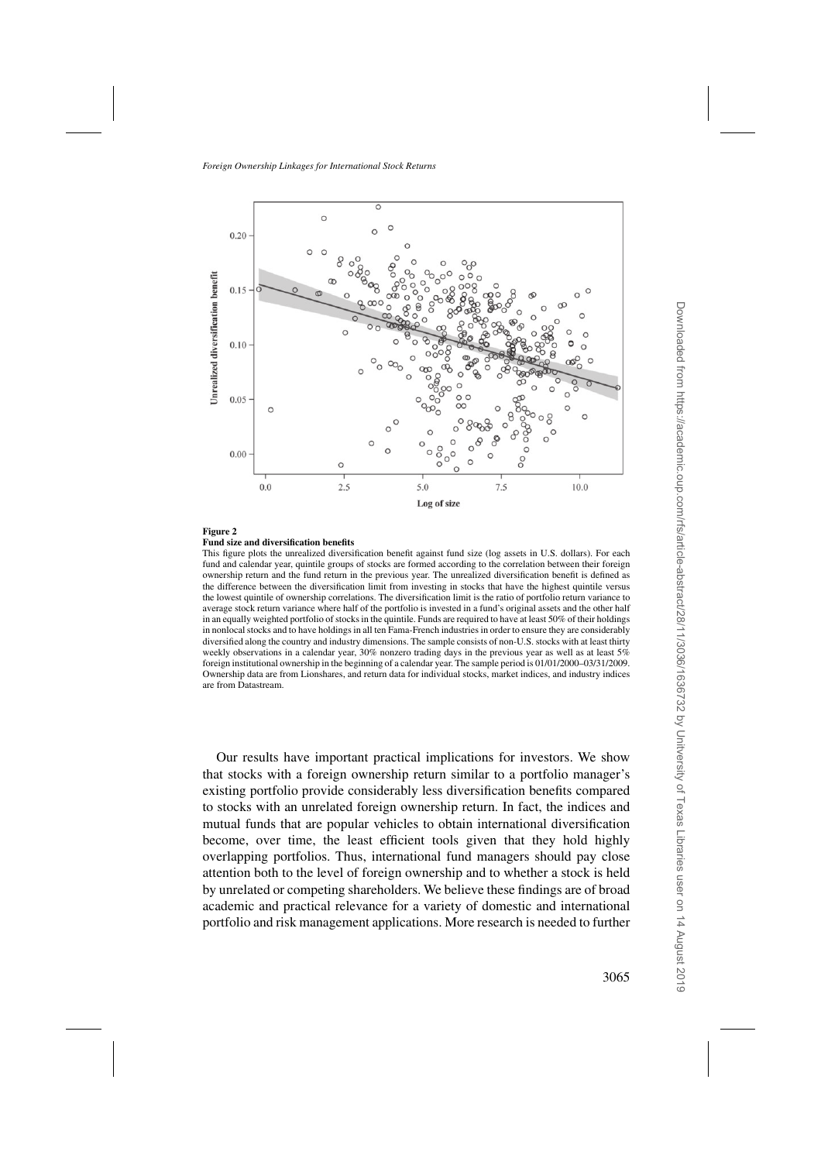<span id="page-29-0"></span>

#### **Figure 2**

#### **Fund size and diversification benefits**

This figure plots the unrealized diversification benefit against fund size (log assets in U.S. dollars). For each fund and calendar year, quintile groups of stocks are formed according to the correlation between their foreign ownership return and the fund return in the previous year. The unrealized diversification benefit is defined as the difference between the diversification limit from investing in stocks that have the highest quintile versus the lowest quintile of ownership correlations. The diversification limit is the ratio of portfolio return variance to average stock return variance where half of the portfolio is invested in a fund's original assets and the other half in an equally weighted portfolio of stocks in the quintile. Funds are required to have at least 50% of their holdings in nonlocal stocks and to have holdings in all ten Fama-French industries in order to ensure they are considerably diversified along the country and industry dimensions. The sample consists of non-U.S. stocks with at least thirty weekly observations in a calendar year, 30% nonzero trading days in the previous year as well as at least 5% foreign institutional ownership in the beginning of a calendar year. The sample period is 01/01/2000–03/31/2009. Ownership data are from Lionshares, and return data for individual stocks, market indices, and industry indices are from Datastream.

Our results have important practical implications for investors. We show that stocks with a foreign ownership return similar to a portfolio manager's existing portfolio provide considerably less diversification benefits compared to stocks with an unrelated foreign ownership return. In fact, the indices and mutual funds that are popular vehicles to obtain international diversification become, over time, the least efficient tools given that they hold highly overlapping portfolios. Thus, international fund managers should pay close attention both to the level of foreign ownership and to whether a stock is held by unrelated or competing shareholders. We believe these findings are of broad academic and practical relevance for a variety of domestic and international portfolio and risk management applications. More research is needed to further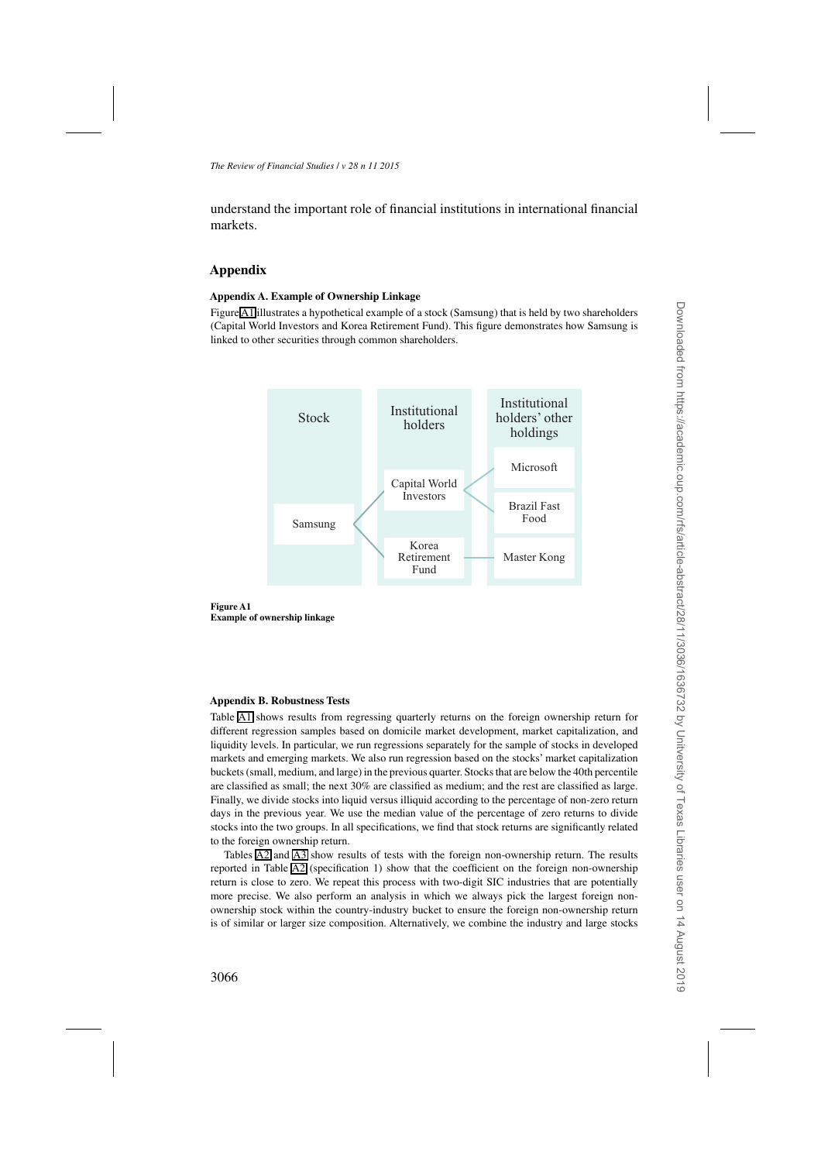understand the important role of financial institutions in international financial markets.

# **Appendix**

## **Appendix A. Example of Ownership Linkage**

Figure [A1](#page-27-0) illustrates a hypothetical example of a stock (Samsung) that is held by two shareholders (Capital World Investors and Korea Retirement Fund). This figure demonstrates how Samsung is linked to other securities through common shareholders.





#### **Appendix B. Robustness Tests**

Table [A1](#page-13-0) shows results from regressing quarterly returns on the foreign ownership return for different regression samples based on domicile market development, market capitalization, and liquidity levels. In particular, we run regressions separately for the sample of stocks in developed markets and emerging markets. We also run regression based on the stocks' market capitalization buckets (small, medium, and large) in the previous quarter. Stocks that are below the 40th percentile are classified as small; the next 30% are classified as medium; and the rest are classified as large. Finally, we divide stocks into liquid versus illiquid according to the percentage of non-zero return days in the previous year. We use the median value of the percentage of zero returns to divide stocks into the two groups. In all specifications, we find that stock returns are significantly related to the foreign ownership return.

Tables [A2](#page-14-0) and [A3](#page-18-0) show results of tests with the foreign non-ownership return. The results reported in Table [A2](#page-14-0) (specification 1) show that the coefficient on the foreign non-ownership return is close to zero. We repeat this process with two-digit SIC industries that are potentially more precise. We also perform an analysis in which we always pick the largest foreign nonownership stock within the country-industry bucket to ensure the foreign non-ownership return is of similar or larger size composition. Alternatively, we combine the industry and large stocks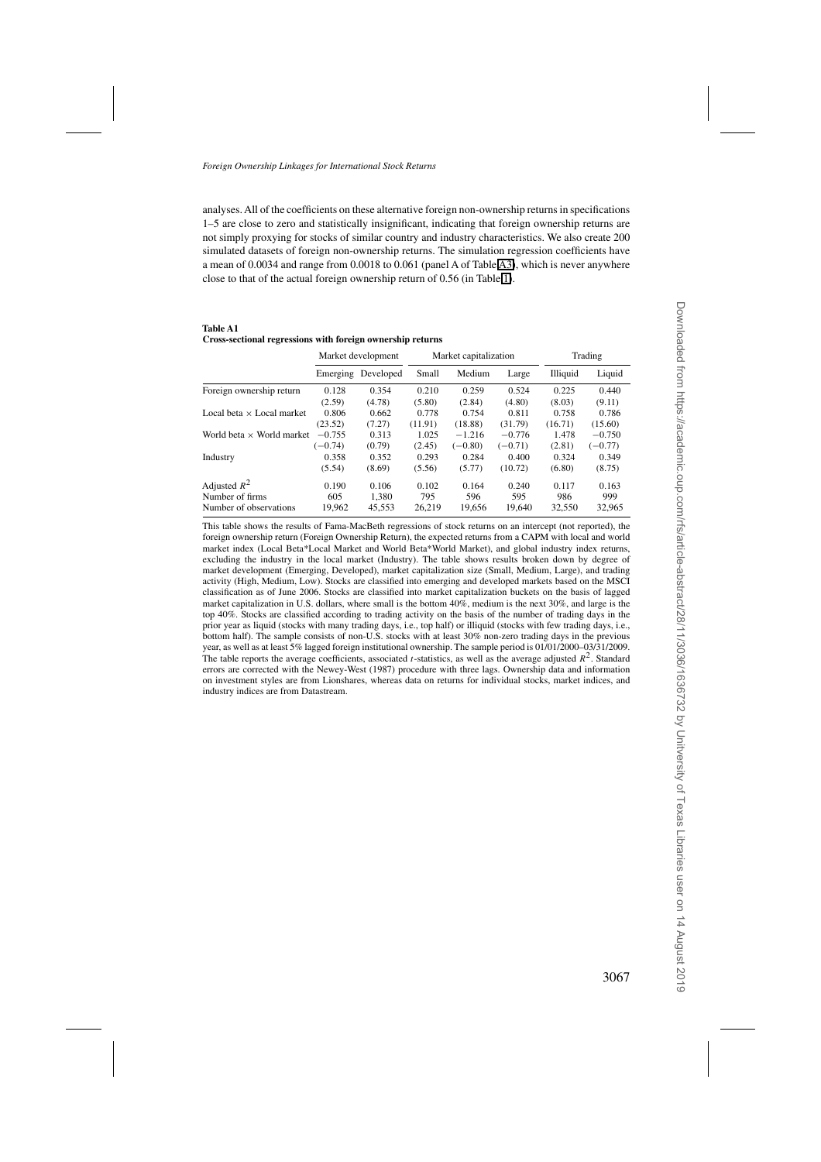analyses. All of the coefficients on these alternative foreign non-ownership returns in specifications 1–5 are close to zero and statistically insignificant, indicating that foreign ownership returns are not simply proxying for stocks of similar country and industry characteristics. We also create 200 simulated datasets of foreign non-ownership returns. The simulation regression coefficients have a mean of 0.0034 and range from 0.0018 to 0.061 (panel A of Table [A3\)](#page-18-0), which is never anywhere close to that of the actual foreign ownership return of 0.56 (in Table [1\)](#page-13-0).

| <b>Table A1</b>                                            |  |  |
|------------------------------------------------------------|--|--|
| Cross-sectional regressions with foreign ownership returns |  |  |

|                                  | Market development |           | Market capitalization |           |           | Trading  |           |
|----------------------------------|--------------------|-----------|-----------------------|-----------|-----------|----------|-----------|
|                                  | Emerging           | Developed | Small                 | Medium    | Large     | Illiquid | Liquid    |
| Foreign ownership return         | 0.128              | 0.354     | 0.210                 | 0.259     | 0.524     | 0.225    | 0.440     |
|                                  | (2.59)             | (4.78)    | (5.80)                | (2.84)    | (4.80)    | (8.03)   | (9.11)    |
| Local beta $\times$ Local market | 0.806              | 0.662     | 0.778                 | 0.754     | 0.811     | 0.758    | 0.786     |
|                                  | (23.52)            | (7.27)    | (11.91)               | (18.88)   | (31.79)   | (16.71)  | (15.60)   |
| World beta $\times$ World market | $-0.755$           | 0.313     | 1.025                 | $-1.216$  | $-0.776$  | 1.478    | $-0.750$  |
|                                  | $(-0.74)$          | (0.79)    | (2.45)                | $(-0.80)$ | $(-0.71)$ | (2.81)   | $(-0.77)$ |
| Industry                         | 0.358              | 0.352     | 0.293                 | 0.284     | 0.400     | 0.324    | 0.349     |
|                                  | (5.54)             | (8.69)    | (5.56)                | (5.77)    | (10.72)   | (6.80)   | (8.75)    |
| Adjusted $R^2$                   | 0.190              | 0.106     | 0.102                 | 0.164     | 0.240     | 0.117    | 0.163     |
| Number of firms                  | 605                | 1.380     | 795                   | 596       | 595       | 986      | 999       |
| Number of observations           | 19.962             | 45.553    | 26.219                | 19.656    | 19.640    | 32,550   | 32,965    |

This table shows the results of Fama-MacBeth regressions of stock returns on an intercept (not reported), the foreign ownership return (Foreign Ownership Return), the expected returns from a CAPM with local and world market index (Local Beta\*Local Market and World Beta\*World Market), and global industry index returns, excluding the industry in the local market (Industry). The table shows results broken down by degree of market development (Emerging, Developed), market capitalization size (Small, Medium, Large), and trading activity (High, Medium, Low). Stocks are classified into emerging and developed markets based on the MSCI classification as of June 2006. Stocks are classified into market capitalization buckets on the basis of lagged market capitalization in U.S. dollars, where small is the bottom 40%, medium is the next 30%, and large is the top 40%. Stocks are classified according to trading activity on the basis of the number of trading days in the prior year as liquid (stocks with many trading days, i.e., top half) or illiquid (stocks with few trading days, i.e., bottom half). The sample consists of non-U.S. stocks with at least 30% non-zero trading days in the previous year, as well as at least 5% lagged foreign institutional ownership. The sample period is 01/01/2000–03/31/2009. The table reports the average coefficients, associated *t*-statistics, as well as the average adjusted  $R^2$ . Standard errors are corrected with the Newey-West (1987) procedure with three lags. Ownership data and information on investment styles are from Lionshares, whereas data on returns for individual stocks, market indices, and industry indices are from Datastream.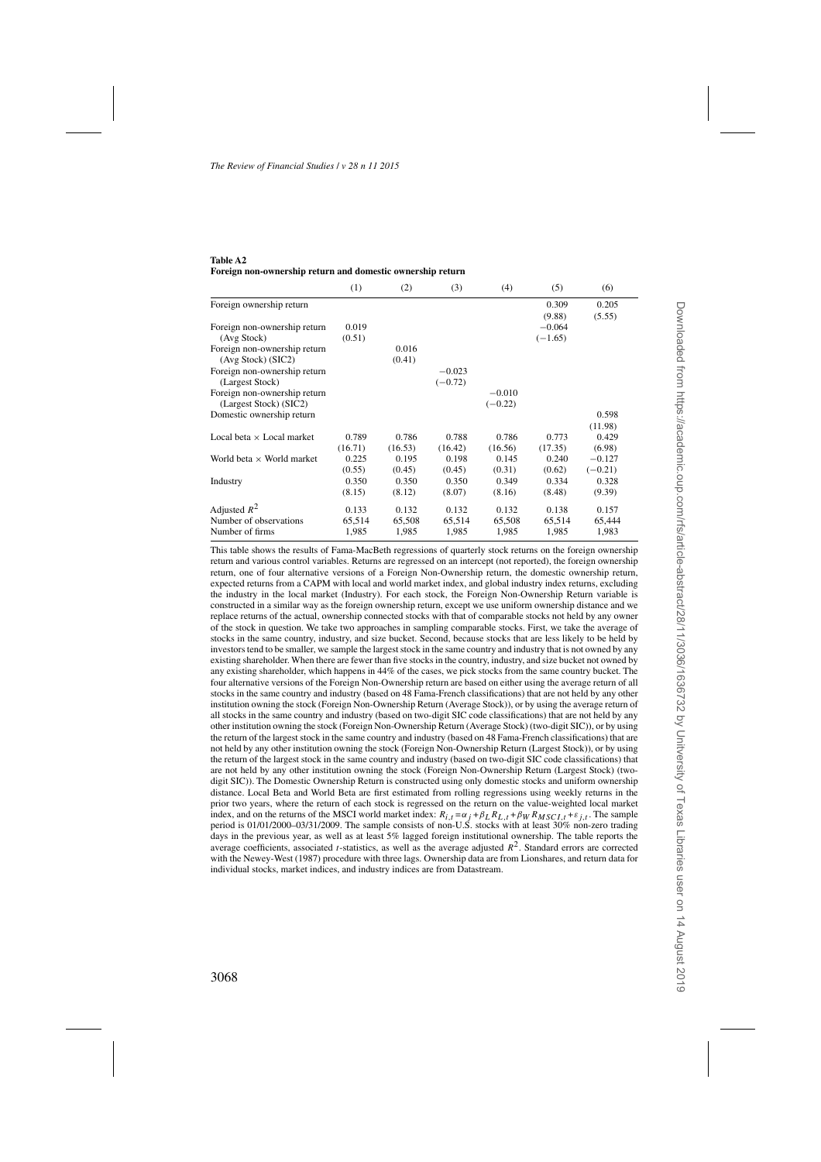#### **Table A2 Foreign non-ownership return and domestic ownership return**

|                                  | (1)     | (2)     | (3)       | (4)       | (5)       | (6)       |
|----------------------------------|---------|---------|-----------|-----------|-----------|-----------|
| Foreign ownership return         |         |         |           |           | 0.309     | 0.205     |
|                                  |         |         |           |           | (9.88)    | (5.55)    |
| Foreign non-ownership return     | 0.019   |         |           |           | $-0.064$  |           |
| (Avg Stock)                      | (0.51)  |         |           |           | $(-1.65)$ |           |
| Foreign non-ownership return     |         | 0.016   |           |           |           |           |
| (Avg Stock) (SIC2)               |         | (0.41)  |           |           |           |           |
| Foreign non-ownership return     |         |         | $-0.023$  |           |           |           |
| (Largest Stock)                  |         |         | $(-0.72)$ |           |           |           |
| Foreign non-ownership return     |         |         |           | $-0.010$  |           |           |
| (Largest Stock) (SIC2)           |         |         |           | $(-0.22)$ |           |           |
| Domestic ownership return        |         |         |           |           |           | 0.598     |
|                                  |         |         |           |           |           | (11.98)   |
| Local beta $\times$ Local market | 0.789   | 0.786   | 0.788     | 0.786     | 0.773     | 0.429     |
|                                  | (16.71) | (16.53) | (16.42)   | (16.56)   | (17.35)   | (6.98)    |
| World beta $\times$ World market | 0.225   | 0.195   | 0.198     | 0.145     | 0.240     | $-0.127$  |
|                                  | (0.55)  | (0.45)  | (0.45)    | (0.31)    | (0.62)    | $(-0.21)$ |
| Industry                         | 0.350   | 0.350   | 0.350     | 0.349     | 0.334     | 0.328     |
|                                  | (8.15)  | (8.12)  | (8.07)    | (8.16)    | (8.48)    | (9.39)    |
| Adjusted $R^2$                   | 0.133   | 0.132   | 0.132     | 0.132     | 0.138     | 0.157     |
| Number of observations           | 65,514  | 65,508  | 65,514    | 65,508    | 65,514    | 65,444    |
| Number of firms                  | 1,985   | 1,985   | 1,985     | 1,985     | 1,985     | 1,983     |

This table shows the results of Fama-MacBeth regressions of quarterly stock returns on the foreign ownership return and various control variables. Returns are regressed on an intercept (not reported), the foreign ownership return, one of four alternative versions of a Foreign Non-Ownership return, the domestic ownership return, expected returns from a CAPM with local and world market index, and global industry index returns, excluding the industry in the local market (Industry). For each stock, the Foreign Non-Ownership Return variable is constructed in a similar way as the foreign ownership return, except we use uniform ownership distance and we replace returns of the actual, ownership connected stocks with that of comparable stocks not held by any owner of the stock in question. We take two approaches in sampling comparable stocks. First, we take the average of stocks in the same country, industry, and size bucket. Second, because stocks that are less likely to be held by investors tend to be smaller, we sample the largest stock in the same country and industry that is not owned by any existing shareholder. When there are fewer than five stocks in the country, industry, and size bucket not owned by any existing shareholder, which happens in 44% of the cases, we pick stocks from the same country bucket. The four alternative versions of the Foreign Non-Ownership return are based on either using the average return of all stocks in the same country and industry (based on 48 Fama-French classifications) that are not held by any other institution owning the stock (Foreign Non-Ownership Return (Average Stock)), or by using the average return of all stocks in the same country and industry (based on two-digit SIC code classifications) that are not held by any other institution owning the stock (Foreign Non-Ownership Return (Average Stock) (two-digit SIC)), or by using the return of the largest stock in the same country and industry (based on 48 Fama-French classifications) that are not held by any other institution owning the stock (Foreign Non-Ownership Return (Largest Stock)), or by using the return of the largest stock in the same country and industry (based on two-digit SIC code classifications) that are not held by any other institution owning the stock (Foreign Non-Ownership Return (Largest Stock) (twodigit SIC)). The Domestic Ownership Return is constructed using only domestic stocks and uniform ownership distance. Local Beta and World Beta are first estimated from rolling regressions using weekly returns in the prior two years, where the return of each stock is regressed on the return on the value-weighted local market index, and on the returns of the MSCI world market index:  $R_{i,t} = \alpha_j + \beta_L R_{L,t} + \beta_W R_{MSCI,t} + \varepsilon_{j,t}$ . The sample period is 01/01/2000–03/31/2009. The sample consists of non-U.S. stocks with at least 30% non-zero trading days in the previous year, as well as at least 5% lagged foreign institutional ownership. The table reports the average coefficients, associated *t*-statistics, as well as the average adjusted  $R^2$ . Standard errors are corrected with the Newey-West (1987) procedure with three lags. Ownership data are from Lionshares, and return data for individual stocks, market indices, and industry indices are from Datastream.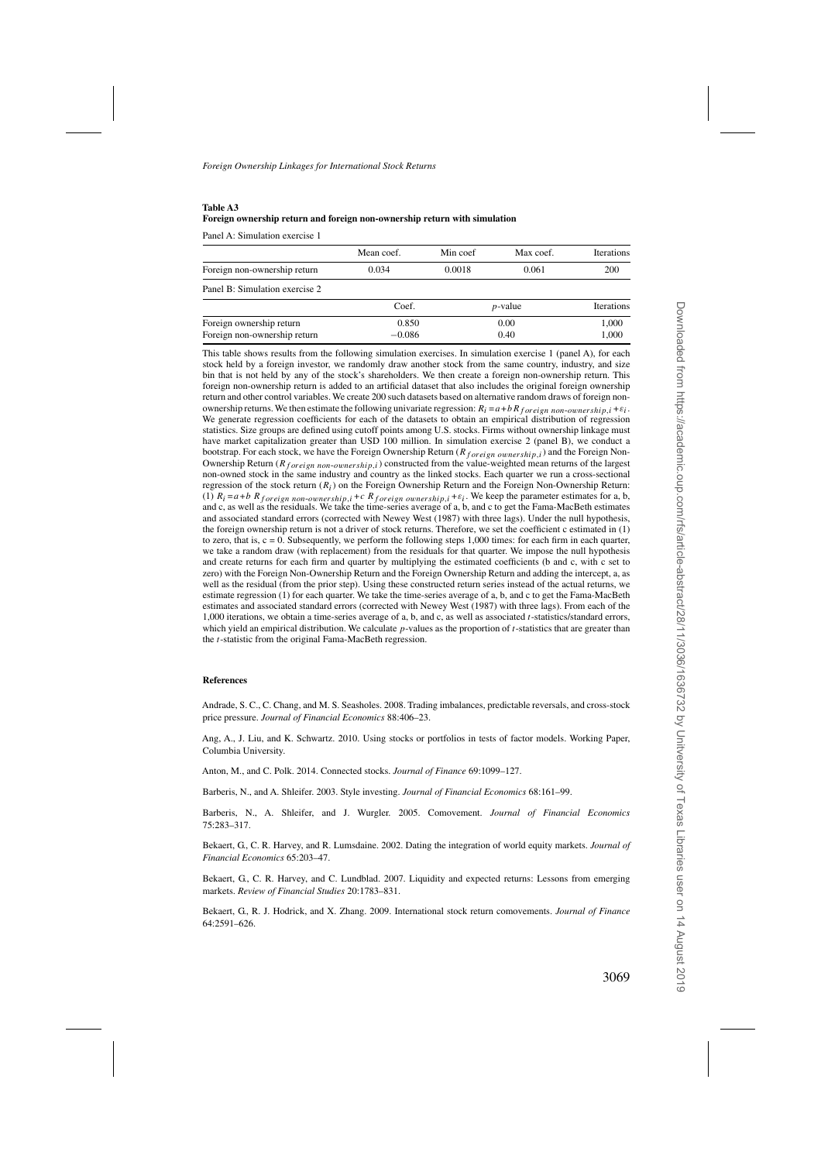## <span id="page-33-0"></span>**Table A3 Foreign ownership return and foreign non-ownership return with simulation**

Panel A: Simulation exercise 1

|                                | Mean coef.    | Min coef | Max coef.  | <b>Iterations</b> |
|--------------------------------|---------------|----------|------------|-------------------|
| Foreign non-ownership return   | 0.034         | 0.0018   | 0.061      | 200               |
| Panel B: Simulation exercise 2 |               |          |            |                   |
|                                | Coef.         |          | $p$ -value | <b>Iterations</b> |
| Foreign ownership return       | 0.850<br>0.00 |          |            | 1,000             |
| Foreign non-ownership return   | $-0.086$      | 0.40     |            | 1,000             |

This table shows results from the following simulation exercises. In simulation exercise 1 (panel A), for each stock held by a foreign investor, we randomly draw another stock from the same country, industry, and size bin that is not held by any of the stock's shareholders. We then create a foreign non-ownership return. This foreign non-ownership return is added to an artificial dataset that also includes the original foreign ownership return and other control variables. We create 200 such datasets based on alternative random draws of foreign nonownership returns.We then estimate the following univariate regression: *Ri* =*a*+*bRf oreign non*-*ownership,i* +*εi*. We generate regression coefficients for each of the datasets to obtain an empirical distribution of regression statistics. Size groups are defined using cutoff points among U.S. stocks. Firms without ownership linkage must have market capitalization greater than USD 100 million. In simulation exercise 2 (panel B), we conduct a bootstrap. For each stock, we have the Foreign Ownership Return (*R*<sub>foreign ownership,i</sub>) and the Foreign Non-Ownership Return ( $R_{foreign\ non-ownership,i}$ ) constructed from the value-weighted mean returns of the largest non-owned stock in the same industry and country as the linked stocks. Each quarter we run a cross-sectional regression of the stock return (*Ri*) on the Foreign Ownership Return and the Foreign Non-Ownership Return: (1)  $R_i = a + b$   $R_{foreign \ non-ownership, i + c$   $R_{foreign \ ourership, i + \varepsilon_i}$ . We keep the parameter estimates for a, b, and c, as well as the residuals. We take the time-series average of a, b, and c to get the Fama-MacBeth estimates and associated standard errors (corrected with Newey West (1987) with three lags). Under the null hypothesis, the foreign ownership return is not a driver of stock returns. Therefore, we set the coefficient c estimated in (1) to zero, that is,  $c = 0$ . Subsequently, we perform the following steps 1,000 times: for each firm in each quarter, we take a random draw (with replacement) from the residuals for that quarter. We impose the null hypothesis and create returns for each firm and quarter by multiplying the estimated coefficients (b and c, with c set to zero) with the Foreign Non-Ownership Return and the Foreign Ownership Return and adding the intercept, a, as well as the residual (from the prior step). Using these constructed return series instead of the actual returns, we estimate regression (1) for each quarter. We take the time-series average of a, b, and c to get the Fama-MacBeth estimates and associated standard errors (corrected with Newey West (1987) with three lags). From each of the 1,000 iterations, we obtain a time-series average of a, b, and c, as well as associated *t*-statistics/standard errors, which yield an empirical distribution. We calculate *p*-values as the proportion of *t*-statistics that are greater than the *t*-statistic from the original Fama-MacBeth regression.

#### **References**

Andrade, S. C., C. Chang, and M. S. Seasholes. 2008. Trading imbalances, predictable reversals, and cross-stock price pressure. *Journal of Financial Economics* 88:406–23.

Ang, A., J. Liu, and K. Schwartz. 2010. Using stocks or portfolios in tests of factor models. Working Paper, Columbia University.

Anton, M., and C. Polk. 2014. Connected stocks. *Journal of Finance* 69:1099–127.

Barberis, N., and A. Shleifer. 2003. Style investing. *Journal of Financial Economics* 68:161–99.

Barberis, N., A. Shleifer, and J. Wurgler. 2005. Comovement. *Journal of Financial Economics* 75:283–317.

Bekaert, G., C. R. Harvey, and R. Lumsdaine. 2002. Dating the integration of world equity markets. *Journal of Financial Economics* 65:203–47.

Bekaert, G., C. R. Harvey, and C. Lundblad. 2007. Liquidity and expected returns: Lessons from emerging markets. *Review of Financial Studies* 20:1783–831.

Bekaert, G., R. J. Hodrick, and X. Zhang. 2009. International stock return comovements. *Journal of Finance* 64:2591–626.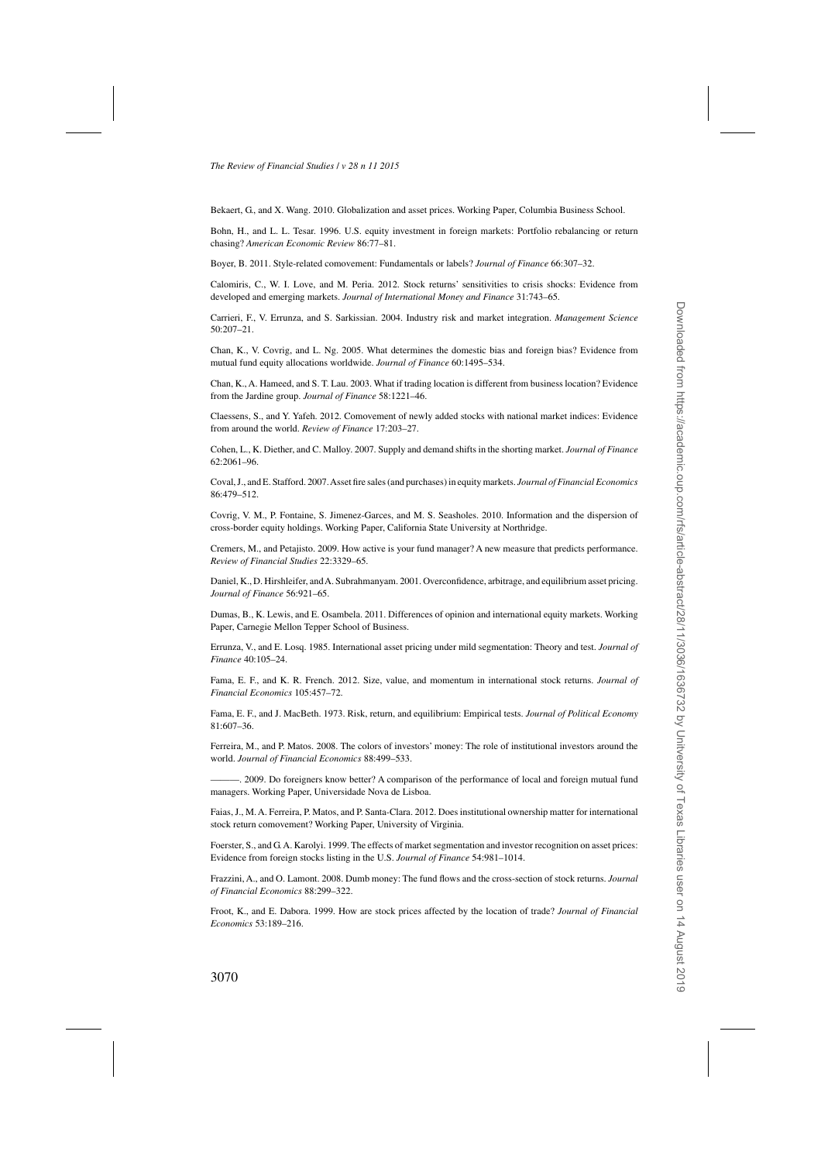<span id="page-34-0"></span>Bekaert, G., and X. Wang. 2010. Globalization and asset prices. Working Paper, Columbia Business School.

Bohn, H., and L. L. Tesar. 1996. U.S. equity investment in foreign markets: Portfolio rebalancing or return chasing? *American Economic Review* 86:77–81.

Boyer, B. 2011. Style-related comovement: Fundamentals or labels? *Journal of Finance* 66:307–32.

Calomiris, C., W. I. Love, and M. Peria. 2012. Stock returns' sensitivities to crisis shocks: Evidence from developed and emerging markets. *Journal of International Money and Finance* 31:743–65.

Carrieri, F., V. Errunza, and S. Sarkissian. 2004. Industry risk and market integration. *Management Science* 50:207–21.

Chan, K., V. Covrig, and L. Ng. 2005. What determines the domestic bias and foreign bias? Evidence from mutual fund equity allocations worldwide. *Journal of Finance* 60:1495–534.

Chan, K., A. Hameed, and S. T. Lau. 2003. What if trading location is different from business location? Evidence from the Jardine group. *Journal of Finance* 58:1221–46.

Claessens, S., and Y. Yafeh. 2012. Comovement of newly added stocks with national market indices: Evidence from around the world. *Review of Finance* 17:203–27.

Cohen, L., K. Diether, and C. Malloy. 2007. Supply and demand shifts in the shorting market. *Journal of Finance* 62:2061–96.

Coval, J., and E. Stafford. 2007.Asset fire sales (and purchases) in equity markets. *Journal of Financial Economics* 86:479–512.

Covrig, V. M., P. Fontaine, S. Jimenez-Garces, and M. S. Seasholes. 2010. Information and the dispersion of cross-border equity holdings. Working Paper, California State University at Northridge.

Cremers, M., and Petajisto. 2009. How active is your fund manager? A new measure that predicts performance. *Review of Financial Studies* 22:3329–65.

Daniel, K., D. Hirshleifer, and A. Subrahmanyam. 2001. Overconfidence, arbitrage, and equilibrium asset pricing. *Journal of Finance* 56:921–65.

Dumas, B., K. Lewis, and E. Osambela. 2011. Differences of opinion and international equity markets. Working Paper, Carnegie Mellon Tepper School of Business.

Errunza, V., and E. Losq. 1985. International asset pricing under mild segmentation: Theory and test. *Journal of Finance* 40:105–24.

Fama, E. F., and K. R. French. 2012. Size, value, and momentum in international stock returns. *Journal of Financial Economics* 105:457–72.

Fama, E. F., and J. MacBeth. 1973. Risk, return, and equilibrium: Empirical tests. *Journal of Political Economy* 81:607–36.

Ferreira, M., and P. Matos. 2008. The colors of investors' money: The role of institutional investors around the world. *Journal of Financial Economics* 88:499–533.

———. 2009. Do foreigners know better? A comparison of the performance of local and foreign mutual fund managers. Working Paper, Universidade Nova de Lisboa.

Faias, J., M. A. Ferreira, P. Matos, and P. Santa-Clara. 2012. Does institutional ownership matter for international stock return comovement? Working Paper, University of Virginia.

Foerster, S., and G. A. Karolyi. 1999. The effects of market segmentation and investor recognition on asset prices: Evidence from foreign stocks listing in the U.S. *Journal of Finance* 54:981–1014.

Frazzini, A., and O. Lamont. 2008. Dumb money: The fund flows and the cross-section of stock returns. *Journal of Financial Economics* 88:299–322.

Froot, K., and E. Dabora. 1999. How are stock prices affected by the location of trade? *Journal of Financial Economics* 53:189–216.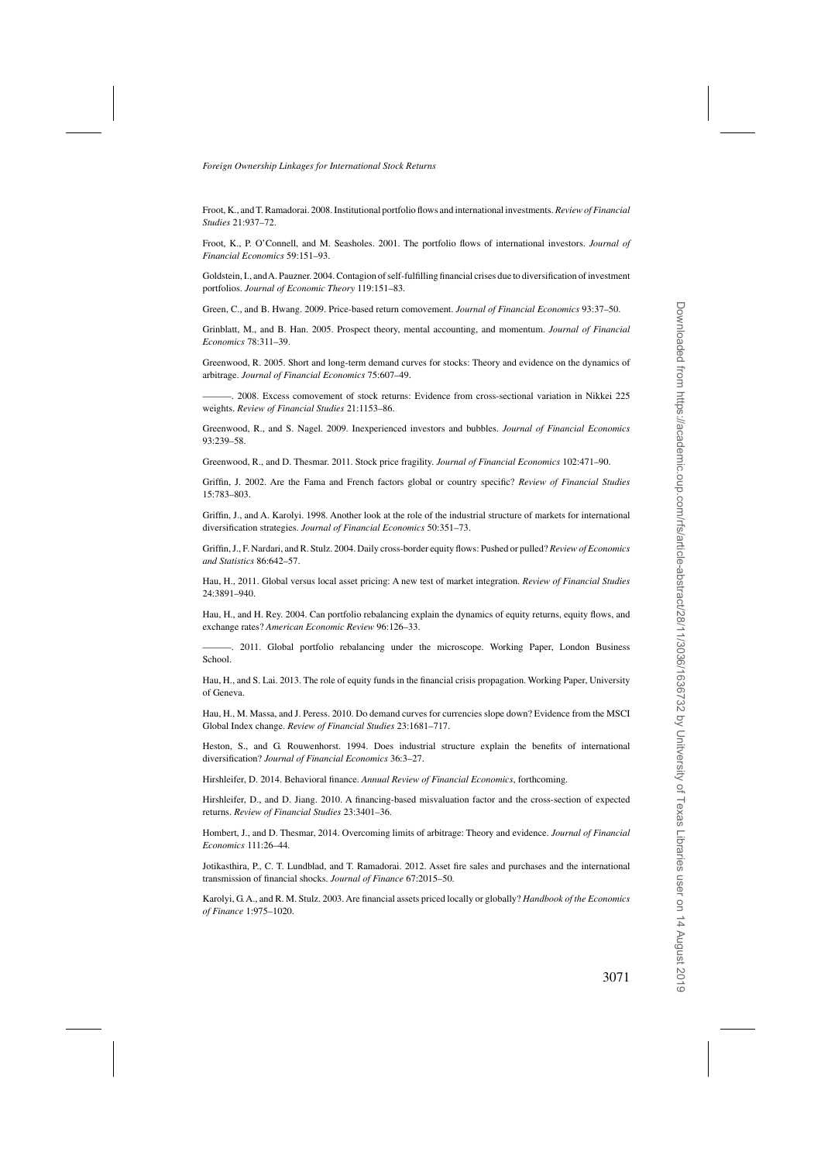<span id="page-35-0"></span>Froot, K., and T. Ramadorai. 2008. Institutional portfolio flows and international investments. *Review of Financial Studies* 21:937–72.

Froot, K., P. O'Connell, and M. Seasholes. 2001. The portfolio flows of international investors. *Journal of Financial Economics* 59:151–93.

Goldstein, I., andA. Pauzner. 2004. Contagion of self-fulfilling financial crises due to diversification of investment portfolios. *Journal of Economic Theory* 119:151–83.

Green, C., and B. Hwang. 2009. Price-based return comovement. *Journal of Financial Economics* 93:37–50.

Grinblatt, M., and B. Han. 2005. Prospect theory, mental accounting, and momentum. *Journal of Financial Economics* 78:311–39.

Greenwood, R. 2005. Short and long-term demand curves for stocks: Theory and evidence on the dynamics of arbitrage. *Journal of Financial Economics* 75:607–49.

———. 2008. Excess comovement of stock returns: Evidence from cross-sectional variation in Nikkei 225 weights. *Review of Financial Studies* 21:1153–86.

Greenwood, R., and S. Nagel. 2009. Inexperienced investors and bubbles. *Journal of Financial Economics* 93:239–58.

Greenwood, R., and D. Thesmar. 2011. Stock price fragility. *Journal of Financial Economics* 102:471–90.

Griffin, J. 2002. Are the Fama and French factors global or country specific? *Review of Financial Studies* 15:783–803.

Griffin, J., and A. Karolyi. 1998. Another look at the role of the industrial structure of markets for international diversification strategies. *Journal of Financial Economics* 50:351–73.

Griffin, J., F. Nardari, and R. Stulz. 2004. Daily cross-border equity flows: Pushed or pulled? *Review of Economics and Statistics* 86:642–57.

Hau, H., 2011. Global versus local asset pricing: A new test of market integration. *Review of Financial Studies* 24:3891–940.

Hau, H., and H. Rey. 2004. Can portfolio rebalancing explain the dynamics of equity returns, equity flows, and exchange rates? *American Economic Review* 96:126–33.

———. 2011. Global portfolio rebalancing under the microscope. Working Paper, London Business School.

Hau, H., and S. Lai. 2013. The role of equity funds in the financial crisis propagation. Working Paper, University of Geneva.

Hau, H., M. Massa, and J. Peress. 2010. Do demand curves for currencies slope down? Evidence from the MSCI Global Index change. *Review of Financial Studies* 23:1681–717.

Heston, S., and G. Rouwenhorst. 1994. Does industrial structure explain the benefits of international diversification? *Journal of Financial Economics* 36:3–27.

Hirshleifer, D. 2014. Behavioral finance. *Annual Review of Financial Economics*, forthcoming.

Hirshleifer, D., and D. Jiang. 2010. A financing-based misvaluation factor and the cross-section of expected returns. *Review of Financial Studies* 23:3401–36.

Hombert, J., and D. Thesmar, 2014. Overcoming limits of arbitrage: Theory and evidence. *Journal of Financial Economics* 111:26–44.

Jotikasthira, P., C. T. Lundblad, and T. Ramadorai. 2012. Asset fire sales and purchases and the international transmission of financial shocks. *Journal of Finance* 67:2015–50.

Karolyi, G. A., and R. M. Stulz. 2003. Are financial assets priced locally or globally? *Handbook of the Economics of Finance* 1:975–1020.